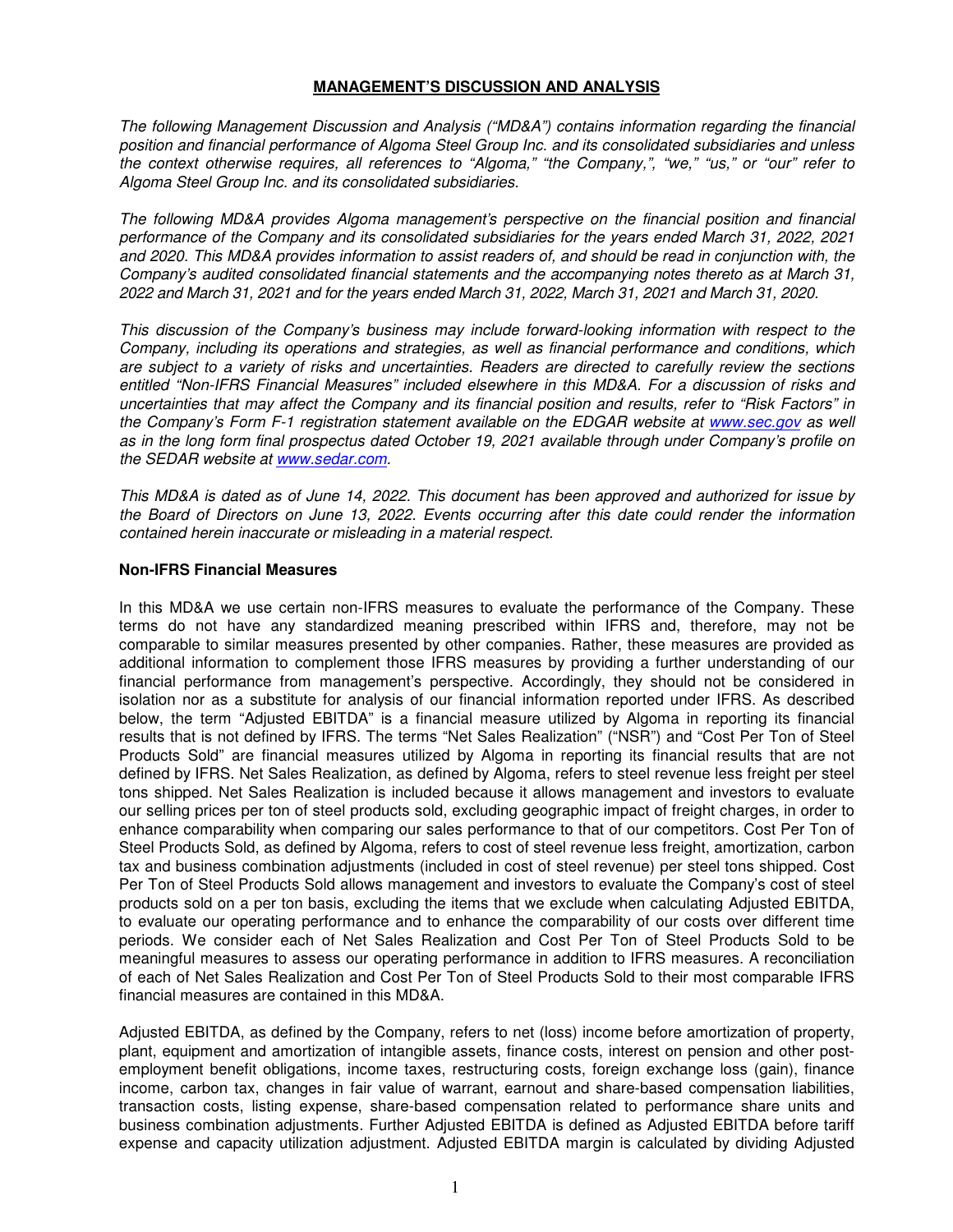### **MANAGEMENT'S DISCUSSION AND ANALYSIS**

*The following Management Discussion and Analysis ("MD&A") contains information regarding the financial position and financial performance of Algoma Steel Group Inc. and its consolidated subsidiaries and unless the context otherwise requires, all references to "Algoma," "the Company,", "we," "us," or "our" refer to Algoma Steel Group Inc. and its consolidated subsidiaries.* 

*The following MD&A provides Algoma management's perspective on the financial position and financial performance of the Company and its consolidated subsidiaries for the years ended March 31, 2022, 2021 and 2020. This MD&A provides information to assist readers of, and should be read in conjunction with, the Company's audited consolidated financial statements and the accompanying notes thereto as at March 31, 2022 and March 31, 2021 and for the years ended March 31, 2022, March 31, 2021 and March 31, 2020.* 

*This discussion of the Company's business may include forward-looking information with respect to the Company, including its operations and strategies, as well as financial performance and conditions, which are subject to a variety of risks and uncertainties. Readers are directed to carefully review the sections entitled "Non-IFRS Financial Measures" included elsewhere in this MD&A. For a discussion of risks and uncertainties that may affect the Company and its financial position and results, refer to "Risk Factors" in the Company's Form F-1 registration statement available on the EDGAR website at www.sec.gov as well as in the long form final prospectus dated October 19, 2021 available through under Company's profile on the SEDAR website at www.sedar.com.* 

*This MD&A is dated as of June 14, 2022. This document has been approved and authorized for issue by the Board of Directors on June 13, 2022. Events occurring after this date could render the information contained herein inaccurate or misleading in a material respect.* 

# **Non-IFRS Financial Measures**

In this MD&A we use certain non-IFRS measures to evaluate the performance of the Company. These terms do not have any standardized meaning prescribed within IFRS and, therefore, may not be comparable to similar measures presented by other companies. Rather, these measures are provided as additional information to complement those IFRS measures by providing a further understanding of our financial performance from management's perspective. Accordingly, they should not be considered in isolation nor as a substitute for analysis of our financial information reported under IFRS. As described below, the term "Adjusted EBITDA" is a financial measure utilized by Algoma in reporting its financial results that is not defined by IFRS. The terms "Net Sales Realization" ("NSR") and "Cost Per Ton of Steel Products Sold" are financial measures utilized by Algoma in reporting its financial results that are not defined by IFRS. Net Sales Realization, as defined by Algoma, refers to steel revenue less freight per steel tons shipped. Net Sales Realization is included because it allows management and investors to evaluate our selling prices per ton of steel products sold, excluding geographic impact of freight charges, in order to enhance comparability when comparing our sales performance to that of our competitors. Cost Per Ton of Steel Products Sold, as defined by Algoma, refers to cost of steel revenue less freight, amortization, carbon tax and business combination adjustments (included in cost of steel revenue) per steel tons shipped. Cost Per Ton of Steel Products Sold allows management and investors to evaluate the Company's cost of steel products sold on a per ton basis, excluding the items that we exclude when calculating Adjusted EBITDA, to evaluate our operating performance and to enhance the comparability of our costs over different time periods. We consider each of Net Sales Realization and Cost Per Ton of Steel Products Sold to be meaningful measures to assess our operating performance in addition to IFRS measures. A reconciliation of each of Net Sales Realization and Cost Per Ton of Steel Products Sold to their most comparable IFRS financial measures are contained in this MD&A.

Adjusted EBITDA, as defined by the Company, refers to net (loss) income before amortization of property, plant, equipment and amortization of intangible assets, finance costs, interest on pension and other postemployment benefit obligations, income taxes, restructuring costs, foreign exchange loss (gain), finance income, carbon tax, changes in fair value of warrant, earnout and share-based compensation liabilities, transaction costs, listing expense, share-based compensation related to performance share units and business combination adjustments. Further Adjusted EBITDA is defined as Adjusted EBITDA before tariff expense and capacity utilization adjustment. Adjusted EBITDA margin is calculated by dividing Adjusted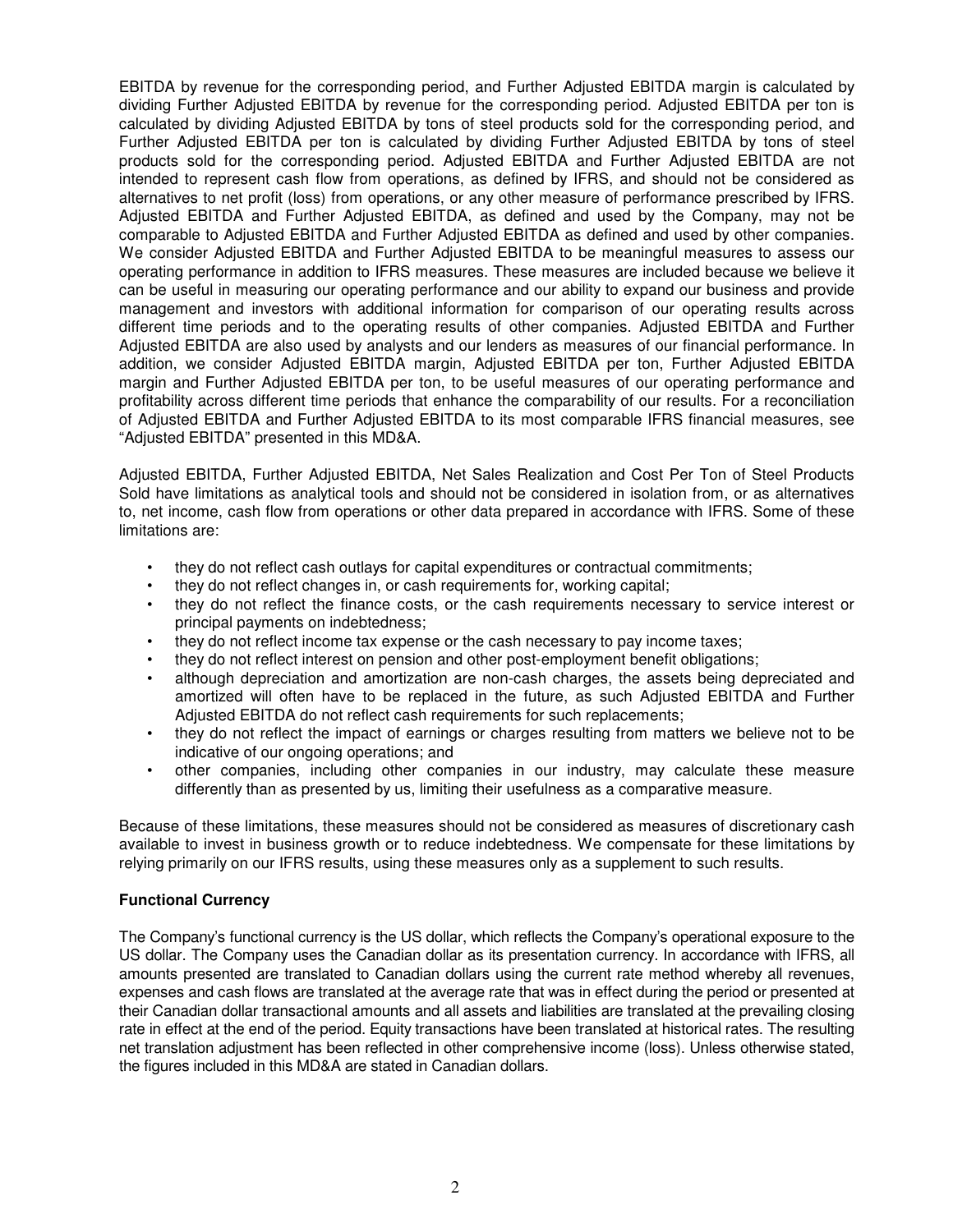EBITDA by revenue for the corresponding period, and Further Adjusted EBITDA margin is calculated by dividing Further Adjusted EBITDA by revenue for the corresponding period. Adjusted EBITDA per ton is calculated by dividing Adjusted EBITDA by tons of steel products sold for the corresponding period, and Further Adjusted EBITDA per ton is calculated by dividing Further Adjusted EBITDA by tons of steel products sold for the corresponding period. Adjusted EBITDA and Further Adjusted EBITDA are not intended to represent cash flow from operations, as defined by IFRS, and should not be considered as alternatives to net profit (loss) from operations, or any other measure of performance prescribed by IFRS. Adjusted EBITDA and Further Adjusted EBITDA, as defined and used by the Company, may not be comparable to Adjusted EBITDA and Further Adjusted EBITDA as defined and used by other companies. We consider Adjusted EBITDA and Further Adjusted EBITDA to be meaningful measures to assess our operating performance in addition to IFRS measures. These measures are included because we believe it can be useful in measuring our operating performance and our ability to expand our business and provide management and investors with additional information for comparison of our operating results across different time periods and to the operating results of other companies. Adjusted EBITDA and Further Adjusted EBITDA are also used by analysts and our lenders as measures of our financial performance. In addition, we consider Adjusted EBITDA margin, Adjusted EBITDA per ton, Further Adjusted EBITDA margin and Further Adjusted EBITDA per ton, to be useful measures of our operating performance and profitability across different time periods that enhance the comparability of our results. For a reconciliation of Adjusted EBITDA and Further Adjusted EBITDA to its most comparable IFRS financial measures, see "Adjusted EBITDA" presented in this MD&A.

Adjusted EBITDA, Further Adjusted EBITDA, Net Sales Realization and Cost Per Ton of Steel Products Sold have limitations as analytical tools and should not be considered in isolation from, or as alternatives to, net income, cash flow from operations or other data prepared in accordance with IFRS. Some of these limitations are:

- they do not reflect cash outlays for capital expenditures or contractual commitments;
- they do not reflect changes in, or cash requirements for, working capital;
- they do not reflect the finance costs, or the cash requirements necessary to service interest or principal payments on indebtedness;
- they do not reflect income tax expense or the cash necessary to pay income taxes;
- they do not reflect interest on pension and other post-employment benefit obligations;
- although depreciation and amortization are non-cash charges, the assets being depreciated and amortized will often have to be replaced in the future, as such Adjusted EBITDA and Further Adjusted EBITDA do not reflect cash requirements for such replacements;
- they do not reflect the impact of earnings or charges resulting from matters we believe not to be indicative of our ongoing operations; and
- other companies, including other companies in our industry, may calculate these measure differently than as presented by us, limiting their usefulness as a comparative measure.

Because of these limitations, these measures should not be considered as measures of discretionary cash available to invest in business growth or to reduce indebtedness. We compensate for these limitations by relying primarily on our IFRS results, using these measures only as a supplement to such results.

### **Functional Currency**

The Company's functional currency is the US dollar, which reflects the Company's operational exposure to the US dollar. The Company uses the Canadian dollar as its presentation currency. In accordance with IFRS, all amounts presented are translated to Canadian dollars using the current rate method whereby all revenues, expenses and cash flows are translated at the average rate that was in effect during the period or presented at their Canadian dollar transactional amounts and all assets and liabilities are translated at the prevailing closing rate in effect at the end of the period. Equity transactions have been translated at historical rates. The resulting net translation adjustment has been reflected in other comprehensive income (loss). Unless otherwise stated, the figures included in this MD&A are stated in Canadian dollars.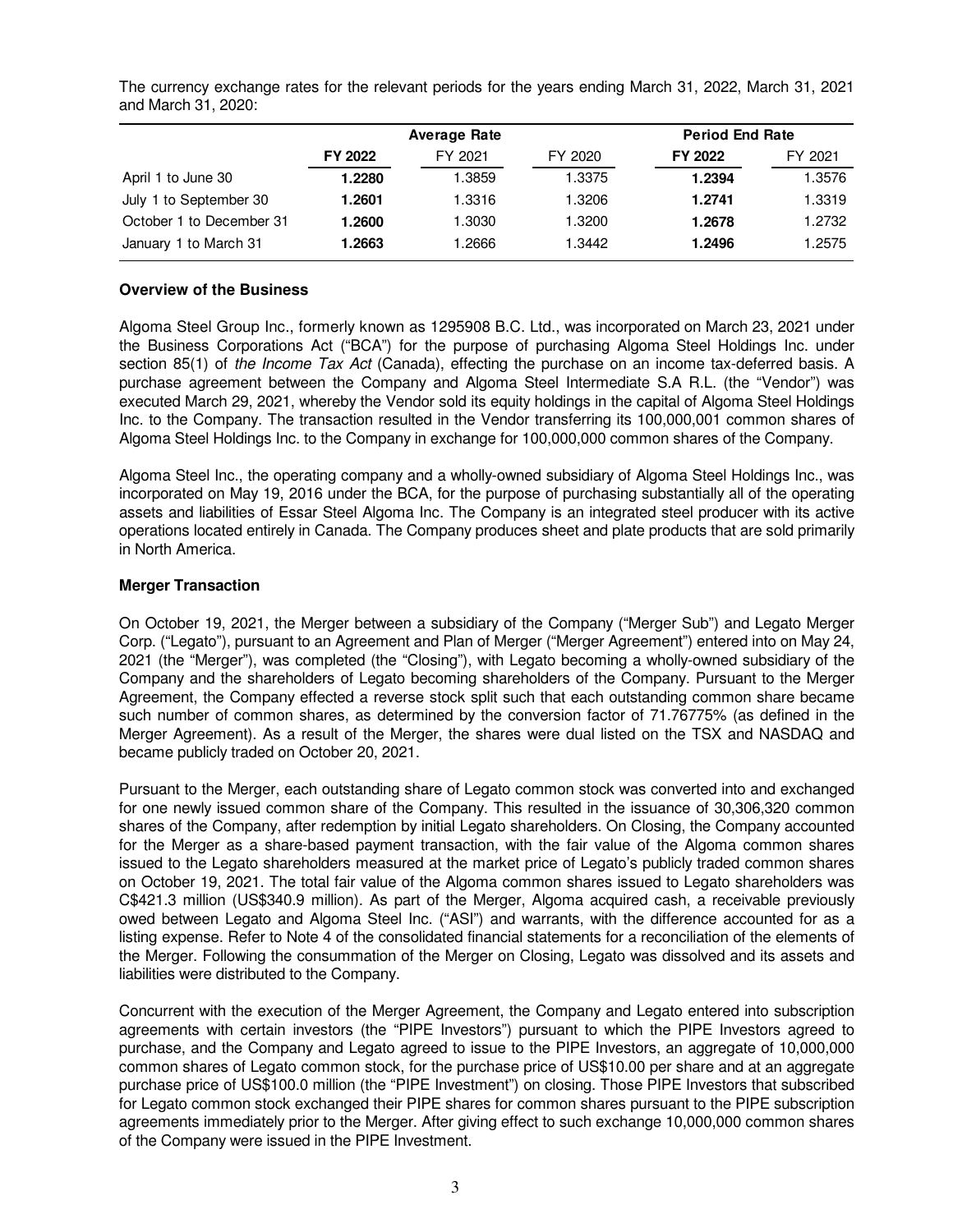The currency exchange rates for the relevant periods for the years ending March 31, 2022, March 31, 2021 and March 31, 2020:

|                          |         | <b>Average Rate</b> |         | <b>Period End Rate</b> |         |
|--------------------------|---------|---------------------|---------|------------------------|---------|
|                          | FY 2022 | FY 2021             | FY 2020 | FY 2022                | FY 2021 |
| April 1 to June 30       | 1.2280  | .3859               | 1.3375  | 1.2394                 | 1.3576  |
| July 1 to September 30   | 1.2601  | 1.3316              | 1.3206  | 1.2741                 | 1.3319  |
| October 1 to December 31 | 1.2600  | 1.3030              | 3200. ا | 1.2678                 | 1.2732  |
| January 1 to March 31    | 1.2663  | .2666               | 3442. ا | 1.2496                 | l.2575  |

# **Overview of the Business**

Algoma Steel Group Inc., formerly known as 1295908 B.C. Ltd., was incorporated on March 23, 2021 under the Business Corporations Act ("BCA") for the purpose of purchasing Algoma Steel Holdings Inc. under section 85(1) of *the Income Tax Act* (Canada), effecting the purchase on an income tax-deferred basis. A purchase agreement between the Company and Algoma Steel Intermediate S.A R.L. (the "Vendor") was executed March 29, 2021, whereby the Vendor sold its equity holdings in the capital of Algoma Steel Holdings Inc. to the Company. The transaction resulted in the Vendor transferring its 100,000,001 common shares of Algoma Steel Holdings Inc. to the Company in exchange for 100,000,000 common shares of the Company.

Algoma Steel Inc., the operating company and a wholly-owned subsidiary of Algoma Steel Holdings Inc., was incorporated on May 19, 2016 under the BCA, for the purpose of purchasing substantially all of the operating assets and liabilities of Essar Steel Algoma Inc. The Company is an integrated steel producer with its active operations located entirely in Canada. The Company produces sheet and plate products that are sold primarily in North America.

# **Merger Transaction**

On October 19, 2021, the Merger between a subsidiary of the Company ("Merger Sub") and Legato Merger Corp. ("Legato"), pursuant to an Agreement and Plan of Merger ("Merger Agreement") entered into on May 24, 2021 (the "Merger"), was completed (the "Closing"), with Legato becoming a wholly-owned subsidiary of the Company and the shareholders of Legato becoming shareholders of the Company. Pursuant to the Merger Agreement, the Company effected a reverse stock split such that each outstanding common share became such number of common shares, as determined by the conversion factor of 71.76775% (as defined in the Merger Agreement). As a result of the Merger, the shares were dual listed on the TSX and NASDAQ and became publicly traded on October 20, 2021.

Pursuant to the Merger, each outstanding share of Legato common stock was converted into and exchanged for one newly issued common share of the Company. This resulted in the issuance of 30,306,320 common shares of the Company, after redemption by initial Legato shareholders. On Closing, the Company accounted for the Merger as a share-based payment transaction, with the fair value of the Algoma common shares issued to the Legato shareholders measured at the market price of Legato's publicly traded common shares on October 19, 2021. The total fair value of the Algoma common shares issued to Legato shareholders was C\$421.3 million (US\$340.9 million). As part of the Merger, Algoma acquired cash, a receivable previously owed between Legato and Algoma Steel Inc. ("ASI") and warrants, with the difference accounted for as a listing expense. Refer to Note 4 of the consolidated financial statements for a reconciliation of the elements of the Merger. Following the consummation of the Merger on Closing, Legato was dissolved and its assets and liabilities were distributed to the Company.

Concurrent with the execution of the Merger Agreement, the Company and Legato entered into subscription agreements with certain investors (the "PIPE Investors") pursuant to which the PIPE Investors agreed to purchase, and the Company and Legato agreed to issue to the PIPE Investors, an aggregate of 10,000,000 common shares of Legato common stock, for the purchase price of US\$10.00 per share and at an aggregate purchase price of US\$100.0 million (the "PIPE Investment") on closing. Those PIPE Investors that subscribed for Legato common stock exchanged their PIPE shares for common shares pursuant to the PIPE subscription agreements immediately prior to the Merger. After giving effect to such exchange 10,000,000 common shares of the Company were issued in the PIPE Investment.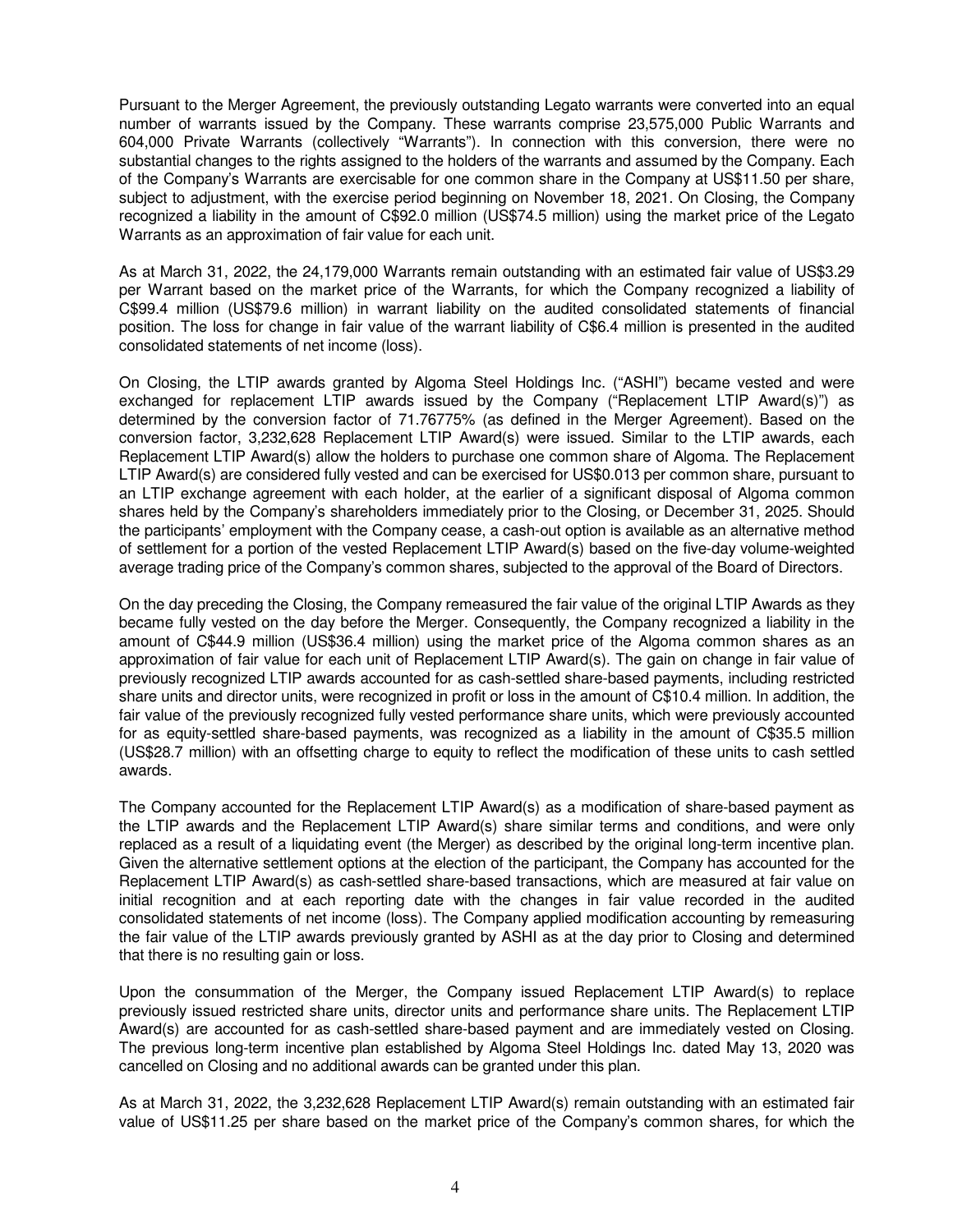Pursuant to the Merger Agreement, the previously outstanding Legato warrants were converted into an equal number of warrants issued by the Company. These warrants comprise 23,575,000 Public Warrants and 604,000 Private Warrants (collectively "Warrants"). In connection with this conversion, there were no substantial changes to the rights assigned to the holders of the warrants and assumed by the Company. Each of the Company's Warrants are exercisable for one common share in the Company at US\$11.50 per share, subject to adjustment, with the exercise period beginning on November 18, 2021. On Closing, the Company recognized a liability in the amount of C\$92.0 million (US\$74.5 million) using the market price of the Legato Warrants as an approximation of fair value for each unit.

As at March 31, 2022, the 24,179,000 Warrants remain outstanding with an estimated fair value of US\$3.29 per Warrant based on the market price of the Warrants, for which the Company recognized a liability of C\$99.4 million (US\$79.6 million) in warrant liability on the audited consolidated statements of financial position. The loss for change in fair value of the warrant liability of C\$6.4 million is presented in the audited consolidated statements of net income (loss).

On Closing, the LTIP awards granted by Algoma Steel Holdings Inc. ("ASHI") became vested and were exchanged for replacement LTIP awards issued by the Company ("Replacement LTIP Award(s)") as determined by the conversion factor of 71.76775% (as defined in the Merger Agreement). Based on the conversion factor, 3,232,628 Replacement LTIP Award(s) were issued. Similar to the LTIP awards, each Replacement LTIP Award(s) allow the holders to purchase one common share of Algoma. The Replacement LTIP Award(s) are considered fully vested and can be exercised for US\$0.013 per common share, pursuant to an LTIP exchange agreement with each holder, at the earlier of a significant disposal of Algoma common shares held by the Company's shareholders immediately prior to the Closing, or December 31, 2025. Should the participants' employment with the Company cease, a cash-out option is available as an alternative method of settlement for a portion of the vested Replacement LTIP Award(s) based on the five-day volume-weighted average trading price of the Company's common shares, subjected to the approval of the Board of Directors.

On the day preceding the Closing, the Company remeasured the fair value of the original LTIP Awards as they became fully vested on the day before the Merger. Consequently, the Company recognized a liability in the amount of C\$44.9 million (US\$36.4 million) using the market price of the Algoma common shares as an approximation of fair value for each unit of Replacement LTIP Award(s). The gain on change in fair value of previously recognized LTIP awards accounted for as cash-settled share-based payments, including restricted share units and director units, were recognized in profit or loss in the amount of C\$10.4 million. In addition, the fair value of the previously recognized fully vested performance share units, which were previously accounted for as equity-settled share-based payments, was recognized as a liability in the amount of C\$35.5 million (US\$28.7 million) with an offsetting charge to equity to reflect the modification of these units to cash settled awards.

The Company accounted for the Replacement LTIP Award(s) as a modification of share-based payment as the LTIP awards and the Replacement LTIP Award(s) share similar terms and conditions, and were only replaced as a result of a liquidating event (the Merger) as described by the original long-term incentive plan. Given the alternative settlement options at the election of the participant, the Company has accounted for the Replacement LTIP Award(s) as cash-settled share-based transactions, which are measured at fair value on initial recognition and at each reporting date with the changes in fair value recorded in the audited consolidated statements of net income (loss). The Company applied modification accounting by remeasuring the fair value of the LTIP awards previously granted by ASHI as at the day prior to Closing and determined that there is no resulting gain or loss.

Upon the consummation of the Merger, the Company issued Replacement LTIP Award(s) to replace previously issued restricted share units, director units and performance share units. The Replacement LTIP Award(s) are accounted for as cash-settled share-based payment and are immediately vested on Closing. The previous long-term incentive plan established by Algoma Steel Holdings Inc. dated May 13, 2020 was cancelled on Closing and no additional awards can be granted under this plan.

As at March 31, 2022, the 3,232,628 Replacement LTIP Award(s) remain outstanding with an estimated fair value of US\$11.25 per share based on the market price of the Company's common shares, for which the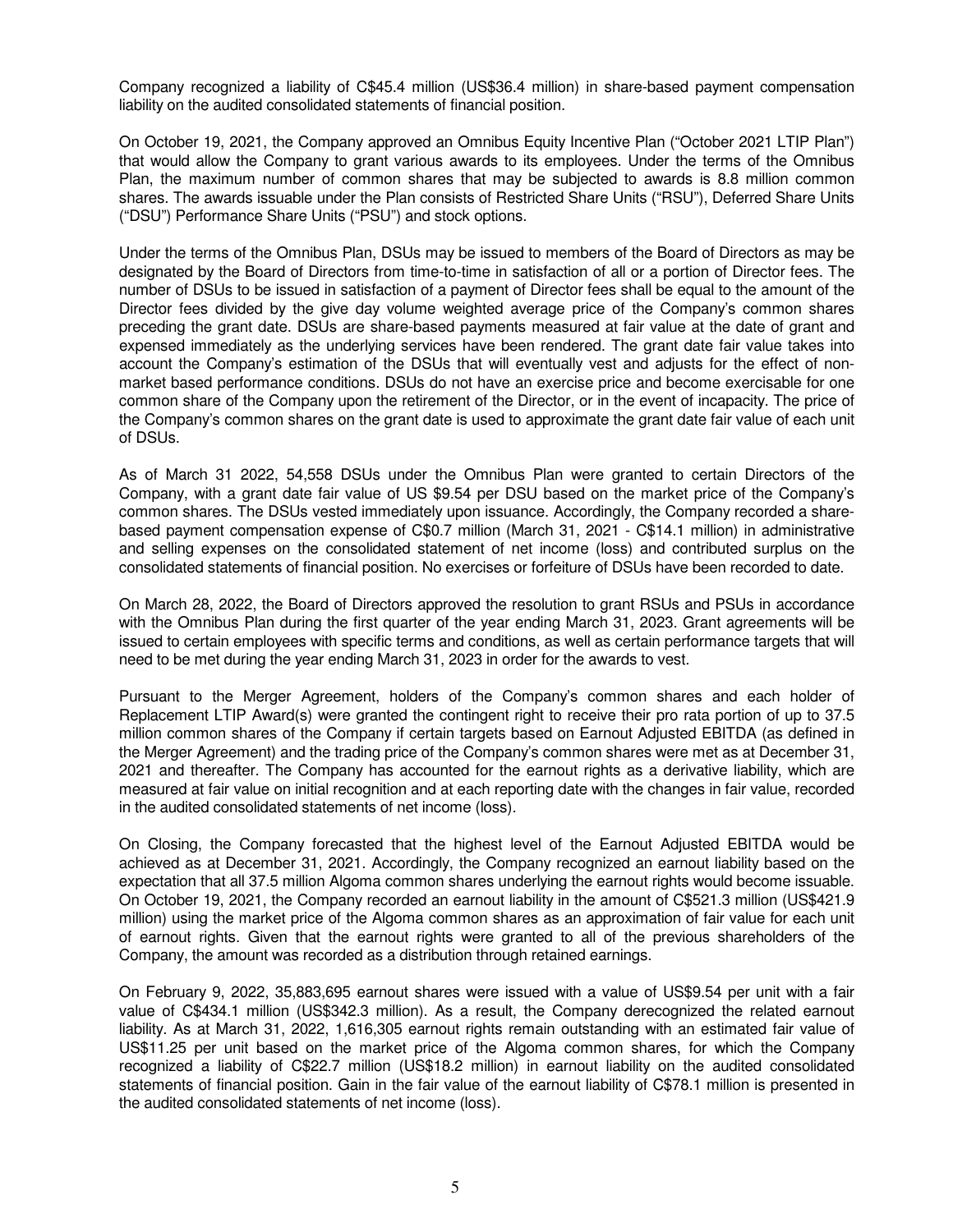Company recognized a liability of C\$45.4 million (US\$36.4 million) in share-based payment compensation liability on the audited consolidated statements of financial position.

On October 19, 2021, the Company approved an Omnibus Equity Incentive Plan ("October 2021 LTIP Plan") that would allow the Company to grant various awards to its employees. Under the terms of the Omnibus Plan, the maximum number of common shares that may be subjected to awards is 8.8 million common shares. The awards issuable under the Plan consists of Restricted Share Units ("RSU"), Deferred Share Units ("DSU") Performance Share Units ("PSU") and stock options.

Under the terms of the Omnibus Plan, DSUs may be issued to members of the Board of Directors as may be designated by the Board of Directors from time-to-time in satisfaction of all or a portion of Director fees. The number of DSUs to be issued in satisfaction of a payment of Director fees shall be equal to the amount of the Director fees divided by the give day volume weighted average price of the Company's common shares preceding the grant date. DSUs are share-based payments measured at fair value at the date of grant and expensed immediately as the underlying services have been rendered. The grant date fair value takes into account the Company's estimation of the DSUs that will eventually vest and adjusts for the effect of nonmarket based performance conditions. DSUs do not have an exercise price and become exercisable for one common share of the Company upon the retirement of the Director, or in the event of incapacity. The price of the Company's common shares on the grant date is used to approximate the grant date fair value of each unit of DSUs.

As of March 31 2022, 54,558 DSUs under the Omnibus Plan were granted to certain Directors of the Company, with a grant date fair value of US \$9.54 per DSU based on the market price of the Company's common shares. The DSUs vested immediately upon issuance. Accordingly, the Company recorded a sharebased payment compensation expense of C\$0.7 million (March 31, 2021 - C\$14.1 million) in administrative and selling expenses on the consolidated statement of net income (loss) and contributed surplus on the consolidated statements of financial position. No exercises or forfeiture of DSUs have been recorded to date.

On March 28, 2022, the Board of Directors approved the resolution to grant RSUs and PSUs in accordance with the Omnibus Plan during the first quarter of the year ending March 31, 2023. Grant agreements will be issued to certain employees with specific terms and conditions, as well as certain performance targets that will need to be met during the year ending March 31, 2023 in order for the awards to vest.

Pursuant to the Merger Agreement, holders of the Company's common shares and each holder of Replacement LTIP Award(s) were granted the contingent right to receive their pro rata portion of up to 37.5 million common shares of the Company if certain targets based on Earnout Adjusted EBITDA (as defined in the Merger Agreement) and the trading price of the Company's common shares were met as at December 31, 2021 and thereafter. The Company has accounted for the earnout rights as a derivative liability, which are measured at fair value on initial recognition and at each reporting date with the changes in fair value, recorded in the audited consolidated statements of net income (loss).

On Closing, the Company forecasted that the highest level of the Earnout Adjusted EBITDA would be achieved as at December 31, 2021. Accordingly, the Company recognized an earnout liability based on the expectation that all 37.5 million Algoma common shares underlying the earnout rights would become issuable. On October 19, 2021, the Company recorded an earnout liability in the amount of C\$521.3 million (US\$421.9 million) using the market price of the Algoma common shares as an approximation of fair value for each unit of earnout rights. Given that the earnout rights were granted to all of the previous shareholders of the Company, the amount was recorded as a distribution through retained earnings.

On February 9, 2022, 35,883,695 earnout shares were issued with a value of US\$9.54 per unit with a fair value of C\$434.1 million (US\$342.3 million). As a result, the Company derecognized the related earnout liability. As at March 31, 2022, 1,616,305 earnout rights remain outstanding with an estimated fair value of US\$11.25 per unit based on the market price of the Algoma common shares, for which the Company recognized a liability of C\$22.7 million (US\$18.2 million) in earnout liability on the audited consolidated statements of financial position. Gain in the fair value of the earnout liability of C\$78.1 million is presented in the audited consolidated statements of net income (loss).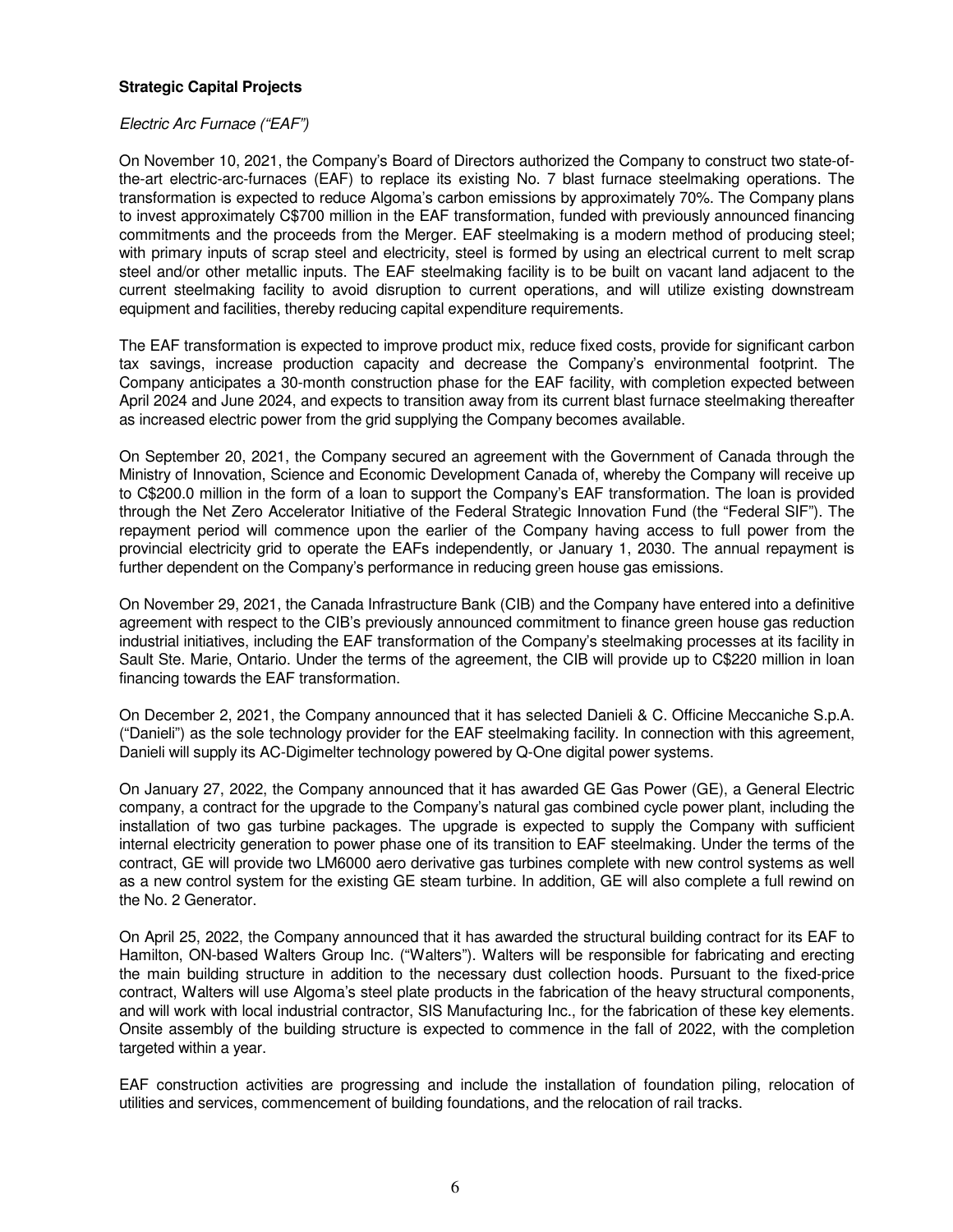# **Strategic Capital Projects**

### *Electric Arc Furnace ("EAF")*

On November 10, 2021, the Company's Board of Directors authorized the Company to construct two state-ofthe-art electric-arc-furnaces (EAF) to replace its existing No. 7 blast furnace steelmaking operations. The transformation is expected to reduce Algoma's carbon emissions by approximately 70%. The Company plans to invest approximately C\$700 million in the EAF transformation, funded with previously announced financing commitments and the proceeds from the Merger. EAF steelmaking is a modern method of producing steel; with primary inputs of scrap steel and electricity, steel is formed by using an electrical current to melt scrap steel and/or other metallic inputs. The EAF steelmaking facility is to be built on vacant land adjacent to the current steelmaking facility to avoid disruption to current operations, and will utilize existing downstream equipment and facilities, thereby reducing capital expenditure requirements.

The EAF transformation is expected to improve product mix, reduce fixed costs, provide for significant carbon tax savings, increase production capacity and decrease the Company's environmental footprint. The Company anticipates a 30-month construction phase for the EAF facility, with completion expected between April 2024 and June 2024, and expects to transition away from its current blast furnace steelmaking thereafter as increased electric power from the grid supplying the Company becomes available.

On September 20, 2021, the Company secured an agreement with the Government of Canada through the Ministry of Innovation, Science and Economic Development Canada of, whereby the Company will receive up to C\$200.0 million in the form of a loan to support the Company's EAF transformation. The loan is provided through the Net Zero Accelerator Initiative of the Federal Strategic Innovation Fund (the "Federal SIF"). The repayment period will commence upon the earlier of the Company having access to full power from the provincial electricity grid to operate the EAFs independently, or January 1, 2030. The annual repayment is further dependent on the Company's performance in reducing green house gas emissions.

On November 29, 2021, the Canada Infrastructure Bank (CIB) and the Company have entered into a definitive agreement with respect to the CIB's previously announced commitment to finance green house gas reduction industrial initiatives, including the EAF transformation of the Company's steelmaking processes at its facility in Sault Ste. Marie, Ontario. Under the terms of the agreement, the CIB will provide up to C\$220 million in loan financing towards the EAF transformation.

On December 2, 2021, the Company announced that it has selected Danieli & C. Officine Meccaniche S.p.A. ("Danieli") as the sole technology provider for the EAF steelmaking facility. In connection with this agreement, Danieli will supply its AC-Digimelter technology powered by Q-One digital power systems.

On January 27, 2022, the Company announced that it has awarded GE Gas Power (GE), a General Electric company, a contract for the upgrade to the Company's natural gas combined cycle power plant, including the installation of two gas turbine packages. The upgrade is expected to supply the Company with sufficient internal electricity generation to power phase one of its transition to EAF steelmaking. Under the terms of the contract, GE will provide two LM6000 aero derivative gas turbines complete with new control systems as well as a new control system for the existing GE steam turbine. In addition, GE will also complete a full rewind on the No. 2 Generator.

On April 25, 2022, the Company announced that it has awarded the structural building contract for its EAF to Hamilton, ON-based Walters Group Inc. ("Walters"). Walters will be responsible for fabricating and erecting the main building structure in addition to the necessary dust collection hoods. Pursuant to the fixed-price contract, Walters will use Algoma's steel plate products in the fabrication of the heavy structural components, and will work with local industrial contractor, SIS Manufacturing Inc., for the fabrication of these key elements. Onsite assembly of the building structure is expected to commence in the fall of 2022, with the completion targeted within a year.

EAF construction activities are progressing and include the installation of foundation piling, relocation of utilities and services, commencement of building foundations, and the relocation of rail tracks.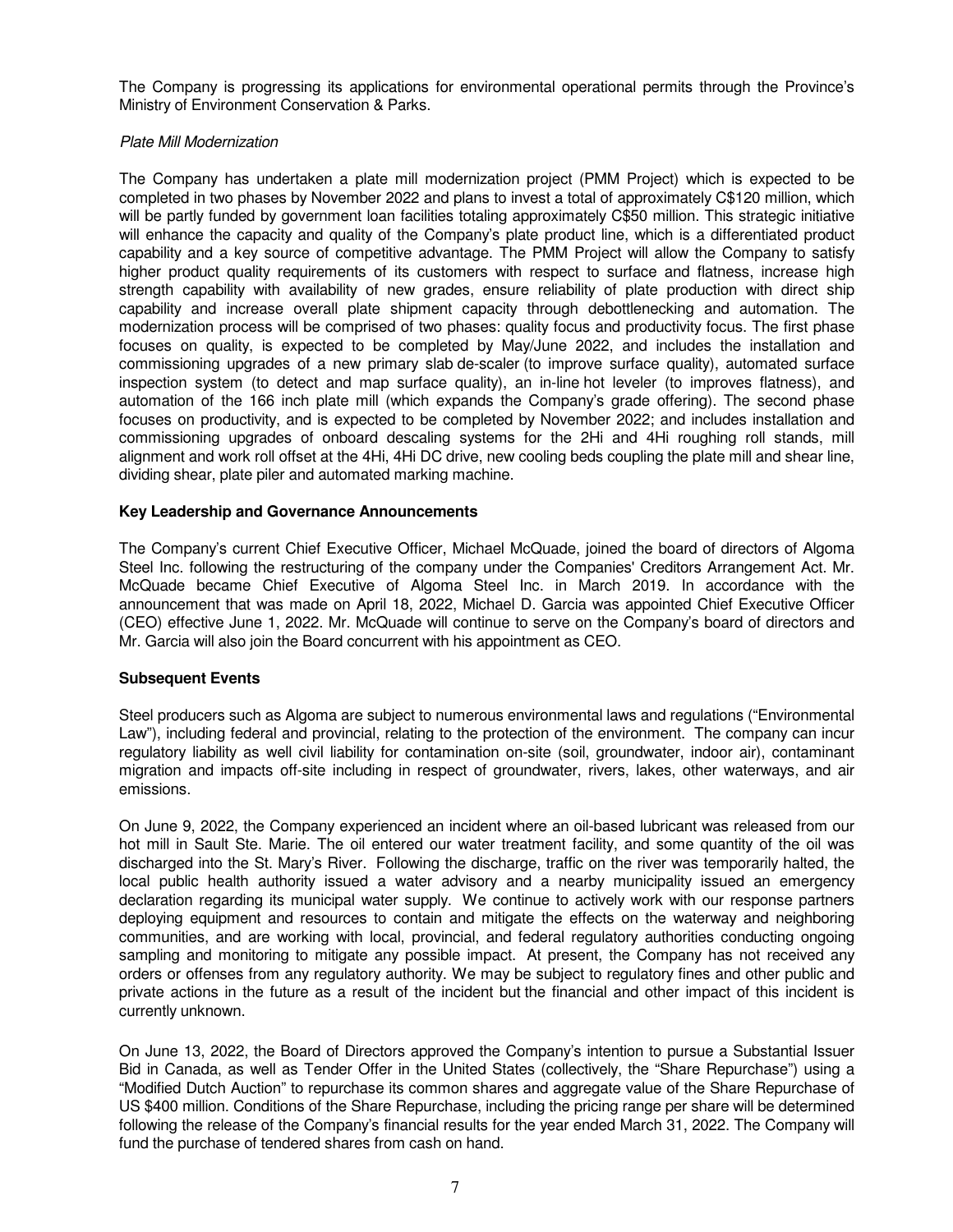The Company is progressing its applications for environmental operational permits through the Province's Ministry of Environment Conservation & Parks.

### *Plate Mill Modernization*

The Company has undertaken a plate mill modernization project (PMM Project) which is expected to be completed in two phases by November 2022 and plans to invest a total of approximately C\$120 million, which will be partly funded by government loan facilities totaling approximately C\$50 million. This strategic initiative will enhance the capacity and quality of the Company's plate product line, which is a differentiated product capability and a key source of competitive advantage. The PMM Project will allow the Company to satisfy higher product quality requirements of its customers with respect to surface and flatness, increase high strength capability with availability of new grades, ensure reliability of plate production with direct ship capability and increase overall plate shipment capacity through debottlenecking and automation. The modernization process will be comprised of two phases: quality focus and productivity focus. The first phase focuses on quality, is expected to be completed by May/June 2022, and includes the installation and commissioning upgrades of a new primary slab de-scaler (to improve surface quality), automated surface inspection system (to detect and map surface quality), an in-line hot leveler (to improves flatness), and automation of the 166 inch plate mill (which expands the Company's grade offering). The second phase focuses on productivity, and is expected to be completed by November 2022; and includes installation and commissioning upgrades of onboard descaling systems for the 2Hi and 4Hi roughing roll stands, mill alignment and work roll offset at the 4Hi, 4Hi DC drive, new cooling beds coupling the plate mill and shear line, dividing shear, plate piler and automated marking machine.

# **Key Leadership and Governance Announcements**

The Company's current Chief Executive Officer, Michael McQuade, joined the board of directors of Algoma Steel Inc. following the restructuring of the company under the Companies' Creditors Arrangement Act. Mr. McQuade became Chief Executive of Algoma Steel Inc. in March 2019. In accordance with the announcement that was made on April 18, 2022, Michael D. Garcia was appointed Chief Executive Officer (CEO) effective June 1, 2022. Mr. McQuade will continue to serve on the Company's board of directors and Mr. Garcia will also join the Board concurrent with his appointment as CEO.

### **Subsequent Events**

Steel producers such as Algoma are subject to numerous environmental laws and regulations ("Environmental Law"), including federal and provincial, relating to the protection of the environment. The company can incur regulatory liability as well civil liability for contamination on-site (soil, groundwater, indoor air), contaminant migration and impacts off-site including in respect of groundwater, rivers, lakes, other waterways, and air emissions.

On June 9, 2022, the Company experienced an incident where an oil-based lubricant was released from our hot mill in Sault Ste. Marie. The oil entered our water treatment facility, and some quantity of the oil was discharged into the St. Mary's River. Following the discharge, traffic on the river was temporarily halted, the local public health authority issued a water advisory and a nearby municipality issued an emergency declaration regarding its municipal water supply. We continue to actively work with our response partners deploying equipment and resources to contain and mitigate the effects on the waterway and neighboring communities, and are working with local, provincial, and federal regulatory authorities conducting ongoing sampling and monitoring to mitigate any possible impact. At present, the Company has not received any orders or offenses from any regulatory authority. We may be subject to regulatory fines and other public and private actions in the future as a result of the incident but the financial and other impact of this incident is currently unknown.

On June 13, 2022, the Board of Directors approved the Company's intention to pursue a Substantial Issuer Bid in Canada, as well as Tender Offer in the United States (collectively, the "Share Repurchase") using a "Modified Dutch Auction" to repurchase its common shares and aggregate value of the Share Repurchase of US \$400 million. Conditions of the Share Repurchase, including the pricing range per share will be determined following the release of the Company's financial results for the year ended March 31, 2022. The Company will fund the purchase of tendered shares from cash on hand.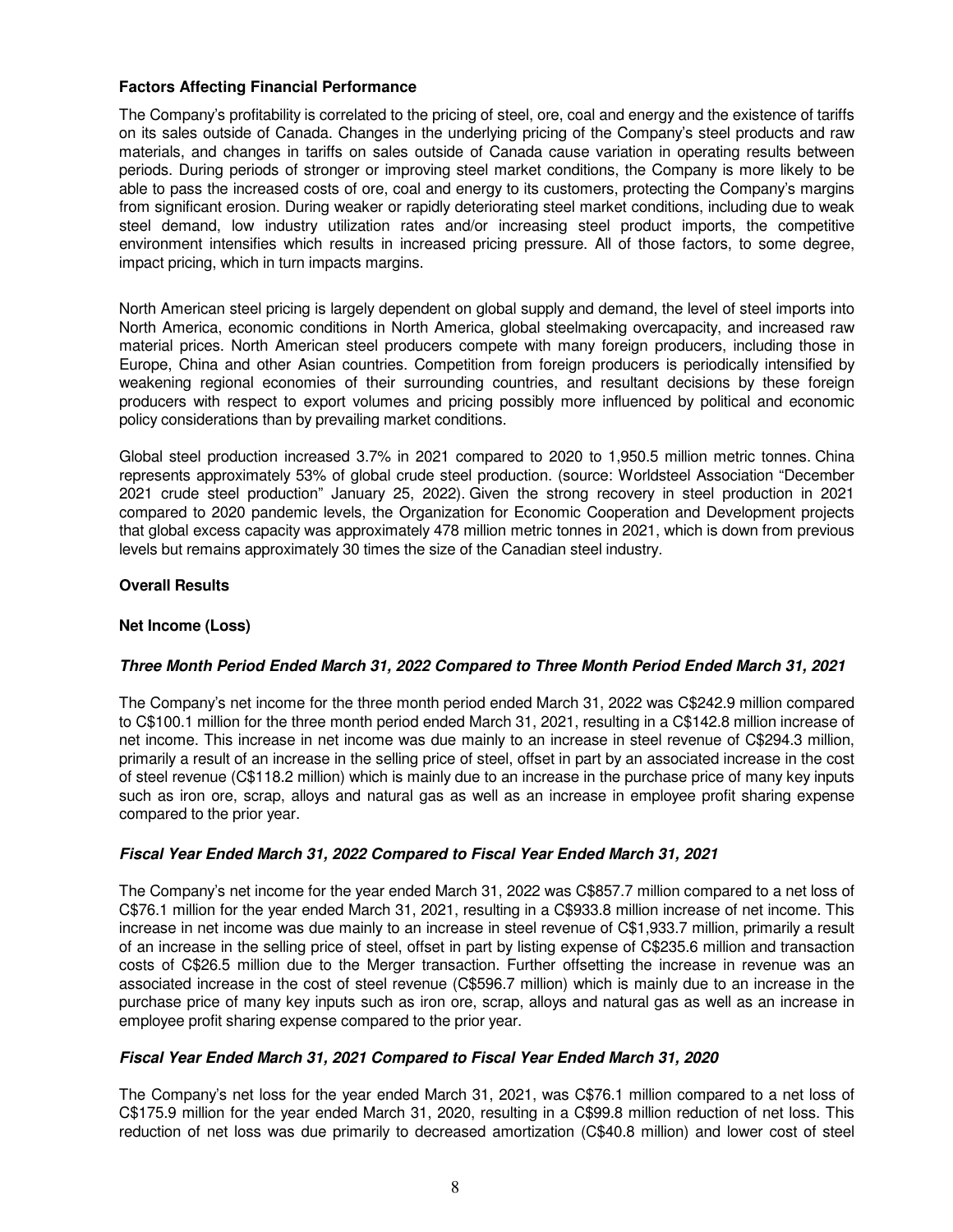# **Factors Affecting Financial Performance**

The Company's profitability is correlated to the pricing of steel, ore, coal and energy and the existence of tariffs on its sales outside of Canada. Changes in the underlying pricing of the Company's steel products and raw materials, and changes in tariffs on sales outside of Canada cause variation in operating results between periods. During periods of stronger or improving steel market conditions, the Company is more likely to be able to pass the increased costs of ore, coal and energy to its customers, protecting the Company's margins from significant erosion. During weaker or rapidly deteriorating steel market conditions, including due to weak steel demand, low industry utilization rates and/or increasing steel product imports, the competitive environment intensifies which results in increased pricing pressure. All of those factors, to some degree, impact pricing, which in turn impacts margins.

North American steel pricing is largely dependent on global supply and demand, the level of steel imports into North America, economic conditions in North America, global steelmaking overcapacity, and increased raw material prices. North American steel producers compete with many foreign producers, including those in Europe, China and other Asian countries. Competition from foreign producers is periodically intensified by weakening regional economies of their surrounding countries, and resultant decisions by these foreign producers with respect to export volumes and pricing possibly more influenced by political and economic policy considerations than by prevailing market conditions.

Global steel production increased 3.7% in 2021 compared to 2020 to 1,950.5 million metric tonnes. China represents approximately 53% of global crude steel production. (source: Worldsteel Association "December 2021 crude steel production" January 25, 2022). Given the strong recovery in steel production in 2021 compared to 2020 pandemic levels, the Organization for Economic Cooperation and Development projects that global excess capacity was approximately 478 million metric tonnes in 2021, which is down from previous levels but remains approximately 30 times the size of the Canadian steel industry.

# **Overall Results**

# **Net Income (Loss)**

### **Three Month Period Ended March 31, 2022 Compared to Three Month Period Ended March 31, 2021**

The Company's net income for the three month period ended March 31, 2022 was C\$242.9 million compared to C\$100.1 million for the three month period ended March 31, 2021, resulting in a C\$142.8 million increase of net income. This increase in net income was due mainly to an increase in steel revenue of C\$294.3 million, primarily a result of an increase in the selling price of steel, offset in part by an associated increase in the cost of steel revenue (C\$118.2 million) which is mainly due to an increase in the purchase price of many key inputs such as iron ore, scrap, alloys and natural gas as well as an increase in employee profit sharing expense compared to the prior year.

### **Fiscal Year Ended March 31, 2022 Compared to Fiscal Year Ended March 31, 2021**

The Company's net income for the year ended March 31, 2022 was C\$857.7 million compared to a net loss of C\$76.1 million for the year ended March 31, 2021, resulting in a C\$933.8 million increase of net income. This increase in net income was due mainly to an increase in steel revenue of C\$1,933.7 million, primarily a result of an increase in the selling price of steel, offset in part by listing expense of C\$235.6 million and transaction costs of C\$26.5 million due to the Merger transaction. Further offsetting the increase in revenue was an associated increase in the cost of steel revenue (C\$596.7 million) which is mainly due to an increase in the purchase price of many key inputs such as iron ore, scrap, alloys and natural gas as well as an increase in employee profit sharing expense compared to the prior year.

### **Fiscal Year Ended March 31, 2021 Compared to Fiscal Year Ended March 31, 2020**

The Company's net loss for the year ended March 31, 2021, was C\$76.1 million compared to a net loss of C\$175.9 million for the year ended March 31, 2020, resulting in a C\$99.8 million reduction of net loss. This reduction of net loss was due primarily to decreased amortization (C\$40.8 million) and lower cost of steel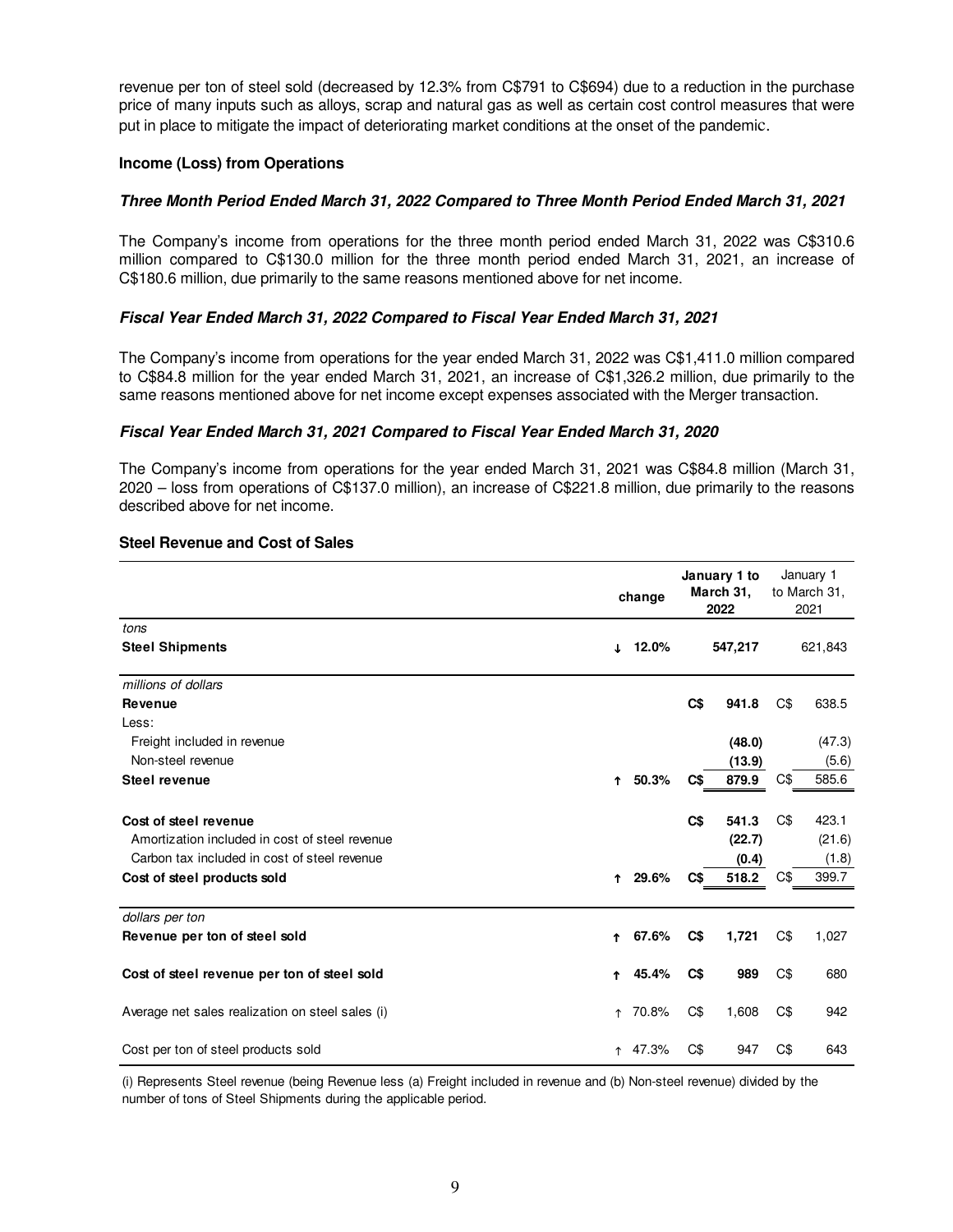revenue per ton of steel sold (decreased by 12.3% from C\$791 to C\$694) due to a reduction in the purchase price of many inputs such as alloys, scrap and natural gas as well as certain cost control measures that were put in place to mitigate the impact of deteriorating market conditions at the onset of the pandemic.

# **Income (Loss) from Operations**

# **Three Month Period Ended March 31, 2022 Compared to Three Month Period Ended March 31, 2021**

The Company's income from operations for the three month period ended March 31, 2022 was C\$310.6 million compared to C\$130.0 million for the three month period ended March 31, 2021, an increase of C\$180.6 million, due primarily to the same reasons mentioned above for net income.

# **Fiscal Year Ended March 31, 2022 Compared to Fiscal Year Ended March 31, 2021**

The Company's income from operations for the year ended March 31, 2022 was C\$1,411.0 million compared to C\$84.8 million for the year ended March 31, 2021, an increase of C\$1,326.2 million, due primarily to the same reasons mentioned above for net income except expenses associated with the Merger transaction.

# **Fiscal Year Ended March 31, 2021 Compared to Fiscal Year Ended March 31, 2020**

The Company's income from operations for the year ended March 31, 2021 was C\$84.8 million (March 31, 2020 – loss from operations of C\$137.0 million), an increase of C\$221.8 million, due primarily to the reasons described above for net income.

|                                                  |            | change |                | January 1 to<br>March 31,<br>2022 |     | January 1<br>to March 31,<br>2021 |
|--------------------------------------------------|------------|--------|----------------|-----------------------------------|-----|-----------------------------------|
| tons                                             |            |        |                |                                   |     |                                   |
| <b>Steel Shipments</b>                           | J.         | 12.0%  |                | 547,217                           |     | 621,843                           |
| millions of dollars                              |            |        |                |                                   |     |                                   |
| Revenue                                          |            |        | C <sub>3</sub> | 941.8                             | C\$ | 638.5                             |
| Less:                                            |            |        |                |                                   |     |                                   |
| Freight included in revenue                      |            |        |                | (48.0)                            |     | (47.3)                            |
| Non-steel revenue                                |            |        |                | (13.9)                            |     | (5.6)                             |
| Steel revenue                                    | $\uparrow$ | 50.3%  | C\$            | 879.9                             | C\$ | 585.6                             |
| Cost of steel revenue                            |            |        | C <sub>s</sub> | 541.3                             | C\$ | 423.1                             |
| Amortization included in cost of steel revenue   |            |        |                | (22.7)                            |     | (21.6)                            |
| Carbon tax included in cost of steel revenue     |            |        |                | (0.4)                             |     | (1.8)                             |
| Cost of steel products sold                      | Ϋ.         | 29.6%  | C\$            | 518.2                             | C\$ | 399.7                             |
| dollars per ton                                  |            |        |                |                                   |     |                                   |
| Revenue per ton of steel sold                    | 1          | 67.6%  | C\$            | 1,721                             | C\$ | 1,027                             |
| Cost of steel revenue per ton of steel sold      | ↑          | 45.4%  | C\$            | 989                               | C\$ | 680                               |
| Average net sales realization on steel sales (i) | ↑          | 70.8%  | C\$            | 1,608                             | C\$ | 942                               |
| Cost per ton of steel products sold              | ↑          | 47.3%  | C\$            | 947                               | C\$ | 643                               |

### **Steel Revenue and Cost of Sales**

(i) Represents Steel revenue (being Revenue less (a) Freight included in revenue and (b) Non-steel revenue) divided by the number of tons of Steel Shipments during the applicable period.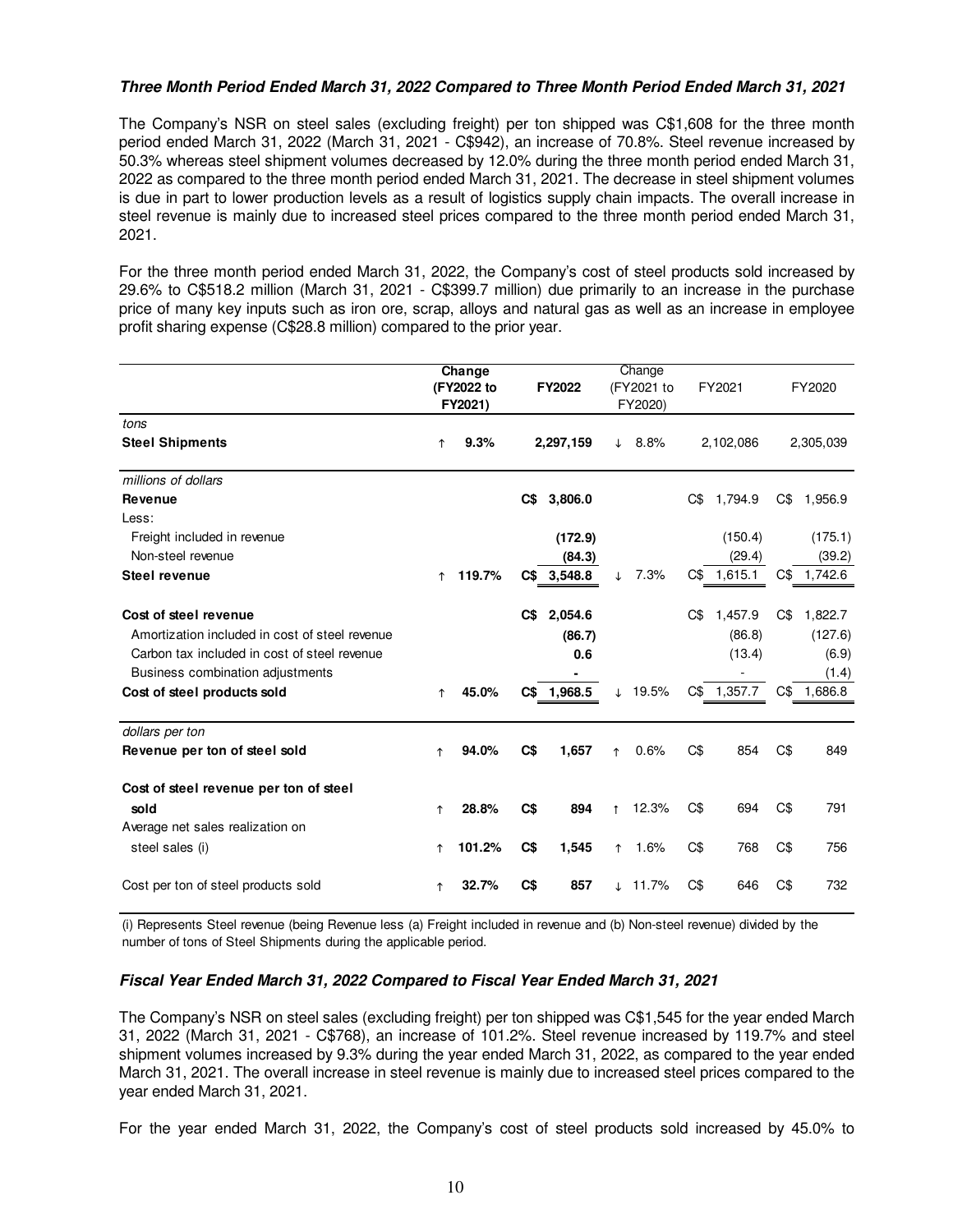# **Three Month Period Ended March 31, 2022 Compared to Three Month Period Ended March 31, 2021**

The Company's NSR on steel sales (excluding freight) per ton shipped was C\$1,608 for the three month period ended March 31, 2022 (March 31, 2021 - C\$942), an increase of 70.8%. Steel revenue increased by 50.3% whereas steel shipment volumes decreased by 12.0% during the three month period ended March 31, 2022 as compared to the three month period ended March 31, 2021. The decrease in steel shipment volumes is due in part to lower production levels as a result of logistics supply chain impacts. The overall increase in steel revenue is mainly due to increased steel prices compared to the three month period ended March 31, 2021.

For the three month period ended March 31, 2022, the Company's cost of steel products sold increased by 29.6% to C\$518.2 million (March 31, 2021 - C\$399.7 million) due primarily to an increase in the purchase price of many key inputs such as iron ore, scrap, alloys and natural gas as well as an increase in employee profit sharing expense (C\$28.8 million) compared to the prior year.

|                                                |            | Change<br>(FY2022 to<br>FY2021) |                | FY2022      |            | Change<br>(FY2021 to<br>FY2020) |     | FY2021    |     | FY2020      |
|------------------------------------------------|------------|---------------------------------|----------------|-------------|------------|---------------------------------|-----|-----------|-----|-------------|
| tons<br><b>Steel Shipments</b>                 | $\uparrow$ | 9.3%                            |                | 2,297,159   | ↓          | 8.8%                            |     | 2,102,086 |     | 2,305,039   |
| millions of dollars                            |            |                                 |                |             |            |                                 |     |           |     |             |
| <b>Revenue</b>                                 |            |                                 | C\$            | 3,806.0     |            |                                 | C\$ | 1,794.9   | C\$ | 1,956.9     |
| Less:                                          |            |                                 |                |             |            |                                 |     |           |     |             |
| Freight included in revenue                    |            |                                 |                | (172.9)     |            |                                 |     | (150.4)   |     | (175.1)     |
| Non-steel revenue                              |            |                                 |                | (84.3)      |            |                                 |     | (29.4)    |     | (39.2)      |
| <b>Steel revenue</b>                           | $\uparrow$ | 119.7%                          |                | C\$ 3,548.8 | T          | 7.3%                            | C\$ | 1,615.1   |     | C\$ 1,742.6 |
| Cost of steel revenue                          |            |                                 | C\$            | 2,054.6     |            |                                 | C\$ | 1,457.9   | C\$ | 1,822.7     |
| Amortization included in cost of steel revenue |            |                                 |                | (86.7)      |            |                                 |     | (86.8)    |     | (127.6)     |
| Carbon tax included in cost of steel revenue   |            |                                 |                | 0.6         |            |                                 |     | (13.4)    |     | (6.9)       |
| Business combination adjustments               |            |                                 |                |             |            |                                 |     |           |     | (1.4)       |
| Cost of steel products sold                    | $\uparrow$ | 45.0%                           |                | C\$ 1,968.5 | $\perp$    | 19.5%                           | C\$ | 1,357.7   |     | C\$ 1,686.8 |
| dollars per ton                                |            |                                 |                |             |            |                                 |     |           |     |             |
| Revenue per ton of steel sold                  | $\uparrow$ | 94.0%                           | C <sub>s</sub> | 1,657       | $\uparrow$ | 0.6%                            | C\$ | 854       | C\$ | 849         |
| Cost of steel revenue per ton of steel         |            |                                 |                |             |            |                                 |     |           |     |             |
| sold                                           | ↑          | 28.8%                           | C <sub>3</sub> | 894         | $\uparrow$ | 12.3%                           | C\$ | 694       | C\$ | 791         |
| Average net sales realization on               |            |                                 |                |             |            |                                 |     |           |     |             |
| steel sales (i)                                | ↑          | 101.2%                          | C <sub>3</sub> | 1,545       | ↑          | 1.6%                            | C\$ | 768       | C\$ | 756         |
| Cost per ton of steel products sold            | ↑          | 32.7%                           | C\$            | 857         |            | $\downarrow$ 11.7%              | C\$ | 646       | C\$ | 732         |

(i) Represents Steel revenue (being Revenue less (a) Freight included in revenue and (b) Non-steel revenue) divided by the number of tons of Steel Shipments during the applicable period.

### **Fiscal Year Ended March 31, 2022 Compared to Fiscal Year Ended March 31, 2021**

The Company's NSR on steel sales (excluding freight) per ton shipped was C\$1,545 for the year ended March 31, 2022 (March 31, 2021 - C\$768), an increase of 101.2%. Steel revenue increased by 119.7% and steel shipment volumes increased by 9.3% during the year ended March 31, 2022, as compared to the year ended March 31, 2021. The overall increase in steel revenue is mainly due to increased steel prices compared to the year ended March 31, 2021.

For the year ended March 31, 2022, the Company's cost of steel products sold increased by 45.0% to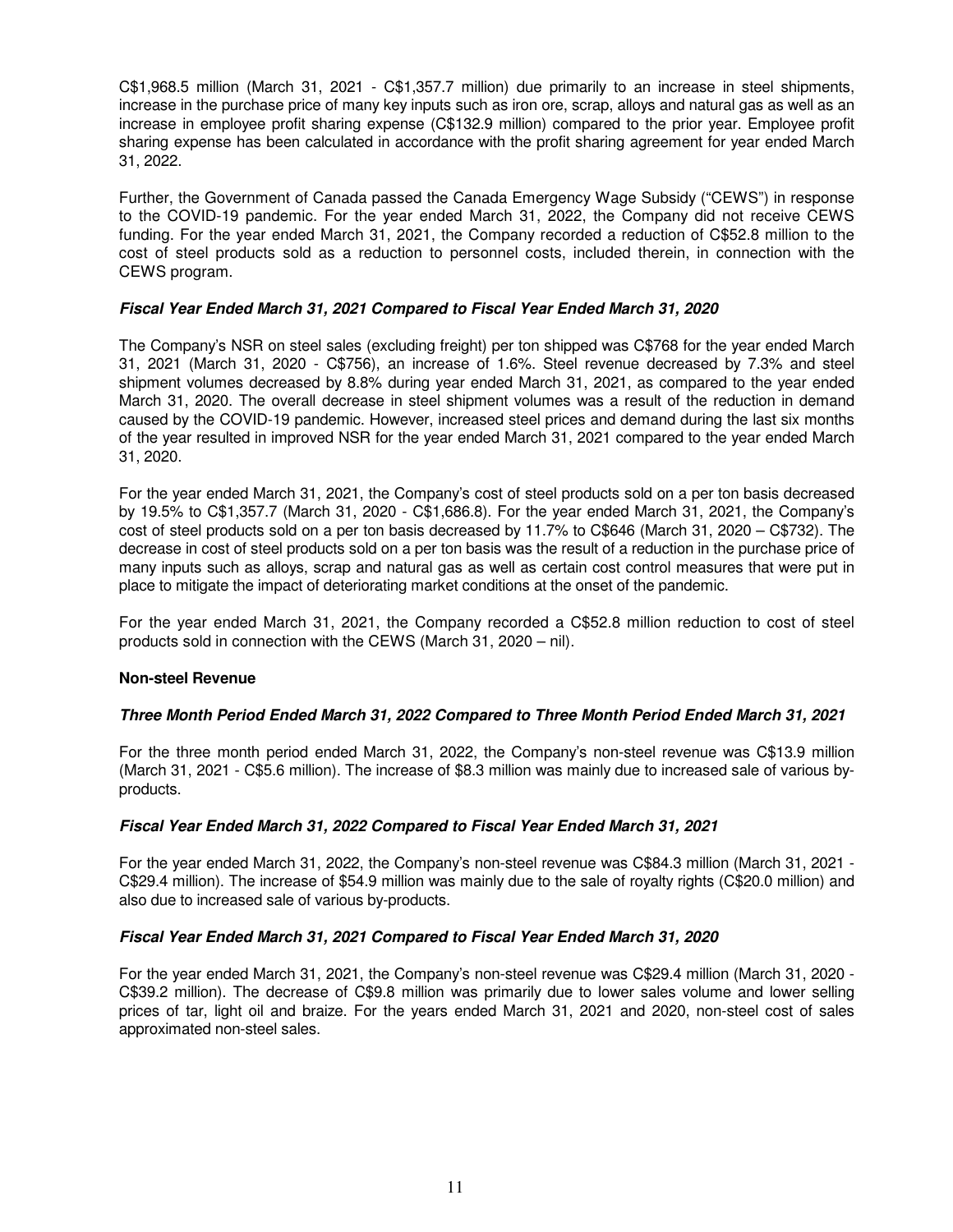C\$1,968.5 million (March 31, 2021 - C\$1,357.7 million) due primarily to an increase in steel shipments, increase in the purchase price of many key inputs such as iron ore, scrap, alloys and natural gas as well as an increase in employee profit sharing expense (C\$132.9 million) compared to the prior year. Employee profit sharing expense has been calculated in accordance with the profit sharing agreement for year ended March 31, 2022.

Further, the Government of Canada passed the Canada Emergency Wage Subsidy ("CEWS") in response to the COVID-19 pandemic. For the year ended March 31, 2022, the Company did not receive CEWS funding. For the year ended March 31, 2021, the Company recorded a reduction of C\$52.8 million to the cost of steel products sold as a reduction to personnel costs, included therein, in connection with the CEWS program.

# **Fiscal Year Ended March 31, 2021 Compared to Fiscal Year Ended March 31, 2020**

The Company's NSR on steel sales (excluding freight) per ton shipped was C\$768 for the year ended March 31, 2021 (March 31, 2020 - C\$756), an increase of 1.6%. Steel revenue decreased by 7.3% and steel shipment volumes decreased by 8.8% during year ended March 31, 2021, as compared to the year ended March 31, 2020. The overall decrease in steel shipment volumes was a result of the reduction in demand caused by the COVID-19 pandemic. However, increased steel prices and demand during the last six months of the year resulted in improved NSR for the year ended March 31, 2021 compared to the year ended March 31, 2020.

For the year ended March 31, 2021, the Company's cost of steel products sold on a per ton basis decreased by 19.5% to C\$1,357.7 (March 31, 2020 - C\$1,686.8). For the year ended March 31, 2021, the Company's cost of steel products sold on a per ton basis decreased by 11.7% to C\$646 (March 31, 2020 – C\$732). The decrease in cost of steel products sold on a per ton basis was the result of a reduction in the purchase price of many inputs such as alloys, scrap and natural gas as well as certain cost control measures that were put in place to mitigate the impact of deteriorating market conditions at the onset of the pandemic.

For the year ended March 31, 2021, the Company recorded a C\$52.8 million reduction to cost of steel products sold in connection with the CEWS (March 31, 2020 – nil).

### **Non-steel Revenue**

### **Three Month Period Ended March 31, 2022 Compared to Three Month Period Ended March 31, 2021**

For the three month period ended March 31, 2022, the Company's non-steel revenue was C\$13.9 million (March 31, 2021 - C\$5.6 million). The increase of \$8.3 million was mainly due to increased sale of various byproducts.

### **Fiscal Year Ended March 31, 2022 Compared to Fiscal Year Ended March 31, 2021**

For the year ended March 31, 2022, the Company's non-steel revenue was C\$84.3 million (March 31, 2021 - C\$29.4 million). The increase of \$54.9 million was mainly due to the sale of royalty rights (C\$20.0 million) and also due to increased sale of various by-products.

### **Fiscal Year Ended March 31, 2021 Compared to Fiscal Year Ended March 31, 2020**

For the year ended March 31, 2021, the Company's non-steel revenue was C\$29.4 million (March 31, 2020 - C\$39.2 million). The decrease of C\$9.8 million was primarily due to lower sales volume and lower selling prices of tar, light oil and braize. For the years ended March 31, 2021 and 2020, non-steel cost of sales approximated non-steel sales.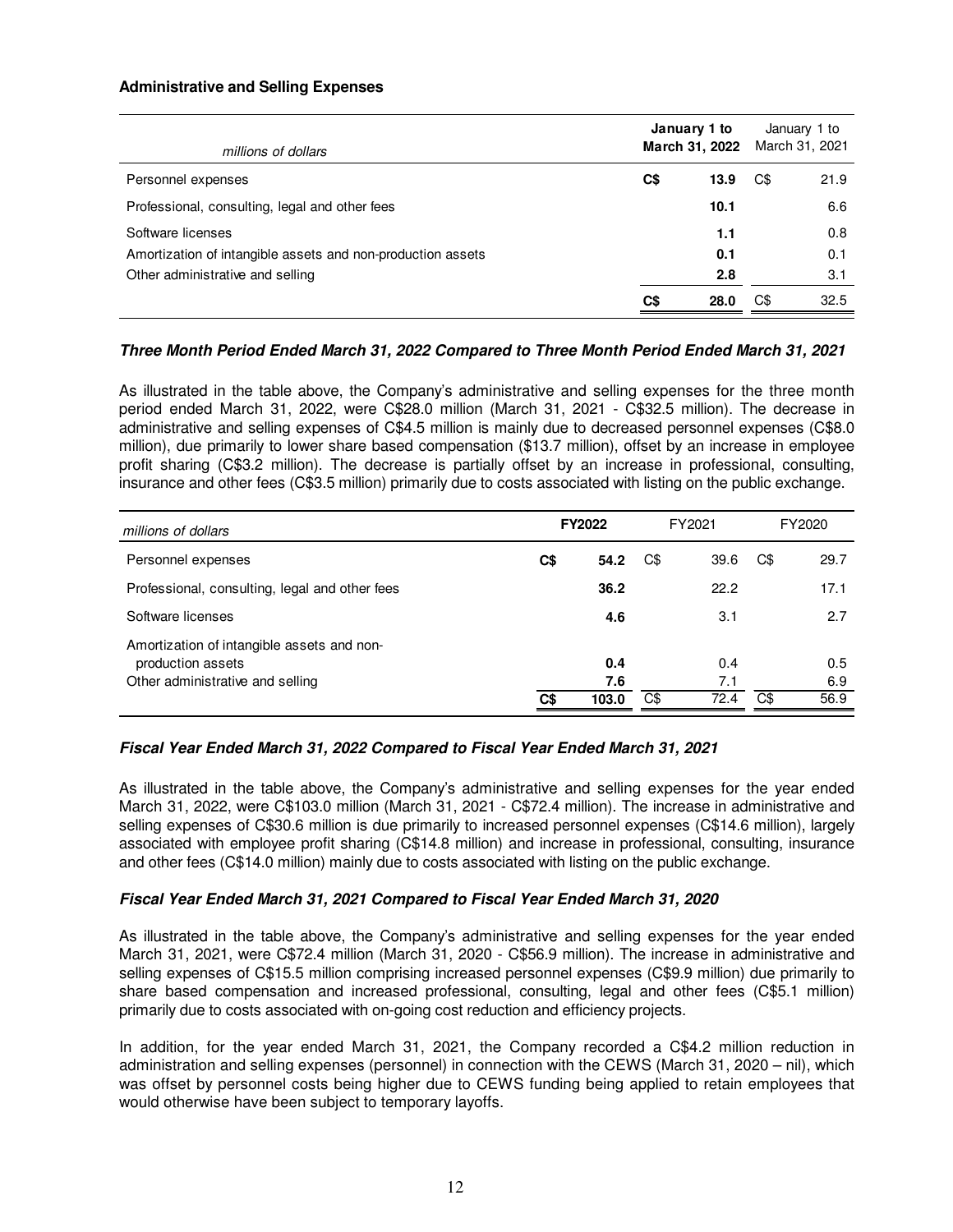### **Administrative and Selling Expenses**

| millions of dollars                                         |     | January 1 to<br>March 31, 2022 |     | January 1 to<br>March 31, 2021 |
|-------------------------------------------------------------|-----|--------------------------------|-----|--------------------------------|
| Personnel expenses                                          | C\$ | 13.9                           | C\$ | 21.9                           |
| Professional, consulting, legal and other fees              |     | 10.1                           |     | 6.6                            |
| Software licenses                                           |     | 1.1                            |     | 0.8                            |
| Amortization of intangible assets and non-production assets |     | 0.1                            |     | 0.1                            |
| Other administrative and selling                            |     | 2.8                            |     | 3.1                            |
|                                                             | C\$ | 28.0                           | C\$ | 32.5                           |

# **Three Month Period Ended March 31, 2022 Compared to Three Month Period Ended March 31, 2021**

As illustrated in the table above, the Company's administrative and selling expenses for the three month period ended March 31, 2022, were C\$28.0 million (March 31, 2021 - C\$32.5 million). The decrease in administrative and selling expenses of C\$4.5 million is mainly due to decreased personnel expenses (C\$8.0 million), due primarily to lower share based compensation (\$13.7 million), offset by an increase in employee profit sharing (C\$3.2 million). The decrease is partially offset by an increase in professional, consulting, insurance and other fees (C\$3.5 million) primarily due to costs associated with listing on the public exchange.

| millions of dollars                                                                                 | FY2021<br>FY2022 |                     |     | FY2020             |     |                    |
|-----------------------------------------------------------------------------------------------------|------------------|---------------------|-----|--------------------|-----|--------------------|
| Personnel expenses                                                                                  | C\$              | 54.2                | C\$ | 39.6               | C\$ | 29.7               |
| Professional, consulting, legal and other fees                                                      |                  | 36.2                |     | 22.2               |     | 17.1               |
| Software licenses                                                                                   |                  | 4.6                 |     | 3.1                |     | 2.7                |
| Amortization of intangible assets and non-<br>production assets<br>Other administrative and selling | C\$              | 0.4<br>7.6<br>103.0 | C\$ | 0.4<br>7.1<br>72.4 | C\$ | 0.5<br>6.9<br>56.9 |

# **Fiscal Year Ended March 31, 2022 Compared to Fiscal Year Ended March 31, 2021**

As illustrated in the table above, the Company's administrative and selling expenses for the year ended March 31, 2022, were C\$103.0 million (March 31, 2021 - C\$72.4 million). The increase in administrative and selling expenses of C\$30.6 million is due primarily to increased personnel expenses (C\$14.6 million), largely associated with employee profit sharing (C\$14.8 million) and increase in professional, consulting, insurance and other fees (C\$14.0 million) mainly due to costs associated with listing on the public exchange.

# **Fiscal Year Ended March 31, 2021 Compared to Fiscal Year Ended March 31, 2020**

As illustrated in the table above, the Company's administrative and selling expenses for the year ended March 31, 2021, were C\$72.4 million (March 31, 2020 - C\$56.9 million). The increase in administrative and selling expenses of C\$15.5 million comprising increased personnel expenses (C\$9.9 million) due primarily to share based compensation and increased professional, consulting, legal and other fees (C\$5.1 million) primarily due to costs associated with on-going cost reduction and efficiency projects.

In addition, for the year ended March 31, 2021, the Company recorded a C\$4.2 million reduction in administration and selling expenses (personnel) in connection with the CEWS (March 31, 2020 – nil), which was offset by personnel costs being higher due to CEWS funding being applied to retain employees that would otherwise have been subject to temporary layoffs.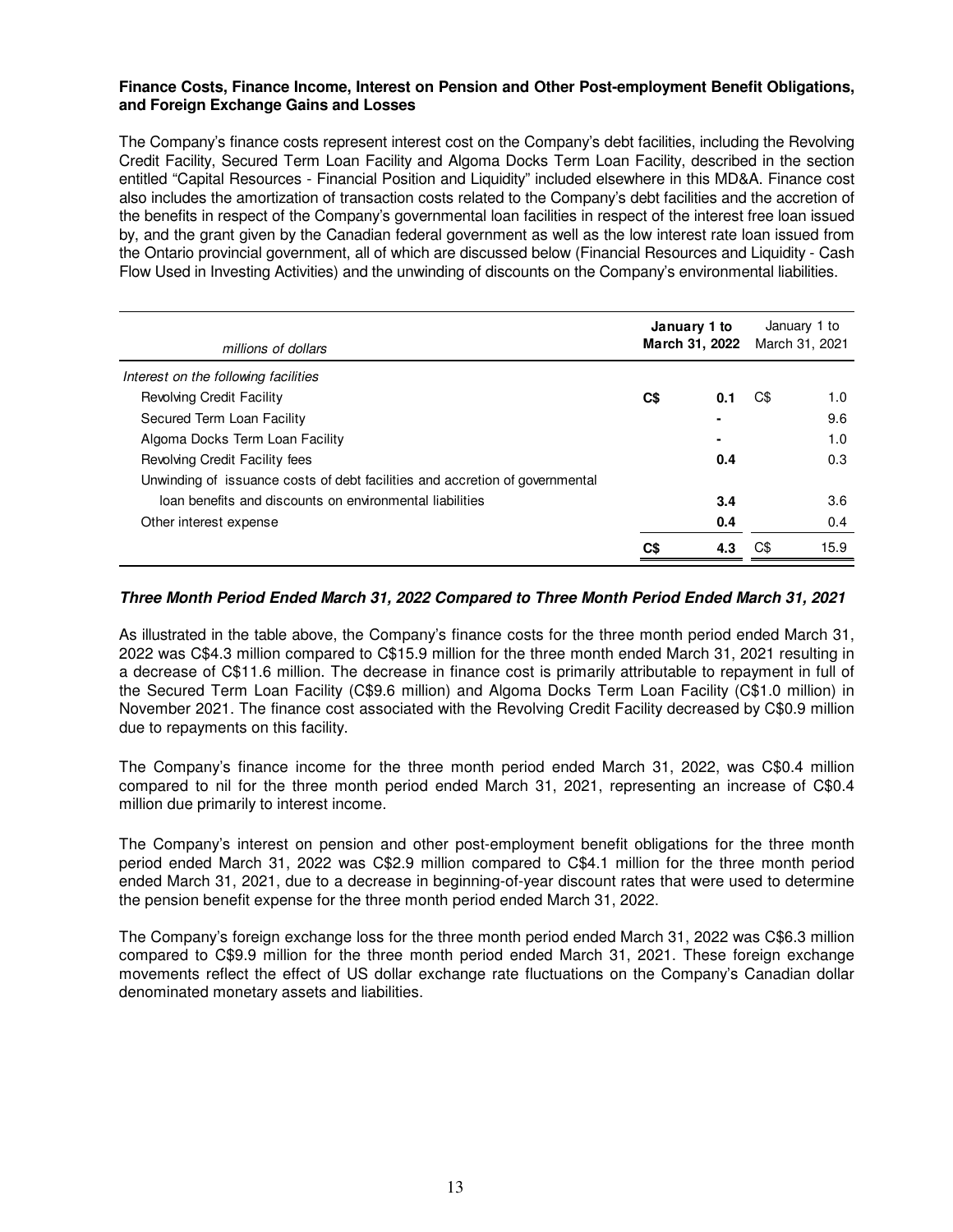### **Finance Costs, Finance Income, Interest on Pension and Other Post-employment Benefit Obligations, and Foreign Exchange Gains and Losses**

The Company's finance costs represent interest cost on the Company's debt facilities, including the Revolving Credit Facility, Secured Term Loan Facility and Algoma Docks Term Loan Facility, described in the section entitled "Capital Resources - Financial Position and Liquidity" included elsewhere in this MD&A. Finance cost also includes the amortization of transaction costs related to the Company's debt facilities and the accretion of the benefits in respect of the Company's governmental loan facilities in respect of the interest free loan issued by, and the grant given by the Canadian federal government as well as the low interest rate loan issued from the Ontario provincial government, all of which are discussed below (Financial Resources and Liquidity - Cash Flow Used in Investing Activities) and the unwinding of discounts on the Company's environmental liabilities.

| millions of dollars                                                          | January 1 to<br>March 31, 2022 |     | January 1 to<br>March 31, 2021 |      |
|------------------------------------------------------------------------------|--------------------------------|-----|--------------------------------|------|
| Interest on the following facilities                                         |                                |     |                                |      |
| <b>Revolving Credit Facility</b>                                             | C\$                            | 0.1 | C\$                            | 1.0  |
| Secured Term Loan Facility                                                   |                                |     |                                | 9.6  |
| Algoma Docks Term Loan Facility                                              |                                |     |                                | 1.0  |
| Revolving Credit Facility fees                                               |                                | 0.4 |                                | 0.3  |
| Unwinding of issuance costs of debt facilities and accretion of governmental |                                |     |                                |      |
| loan benefits and discounts on environmental liabilities                     |                                | 3.4 |                                | 3.6  |
| Other interest expense                                                       |                                | 0.4 |                                | 0.4  |
|                                                                              | C\$                            | 4.3 |                                | 15.9 |

### **Three Month Period Ended March 31, 2022 Compared to Three Month Period Ended March 31, 2021**

As illustrated in the table above, the Company's finance costs for the three month period ended March 31, 2022 was C\$4.3 million compared to C\$15.9 million for the three month ended March 31, 2021 resulting in a decrease of C\$11.6 million. The decrease in finance cost is primarily attributable to repayment in full of the Secured Term Loan Facility (C\$9.6 million) and Algoma Docks Term Loan Facility (C\$1.0 million) in November 2021. The finance cost associated with the Revolving Credit Facility decreased by C\$0.9 million due to repayments on this facility.

The Company's finance income for the three month period ended March 31, 2022, was C\$0.4 million compared to nil for the three month period ended March 31, 2021, representing an increase of C\$0.4 million due primarily to interest income.

The Company's interest on pension and other post-employment benefit obligations for the three month period ended March 31, 2022 was C\$2.9 million compared to C\$4.1 million for the three month period ended March 31, 2021, due to a decrease in beginning-of-year discount rates that were used to determine the pension benefit expense for the three month period ended March 31, 2022.

The Company's foreign exchange loss for the three month period ended March 31, 2022 was C\$6.3 million compared to C\$9.9 million for the three month period ended March 31, 2021. These foreign exchange movements reflect the effect of US dollar exchange rate fluctuations on the Company's Canadian dollar denominated monetary assets and liabilities.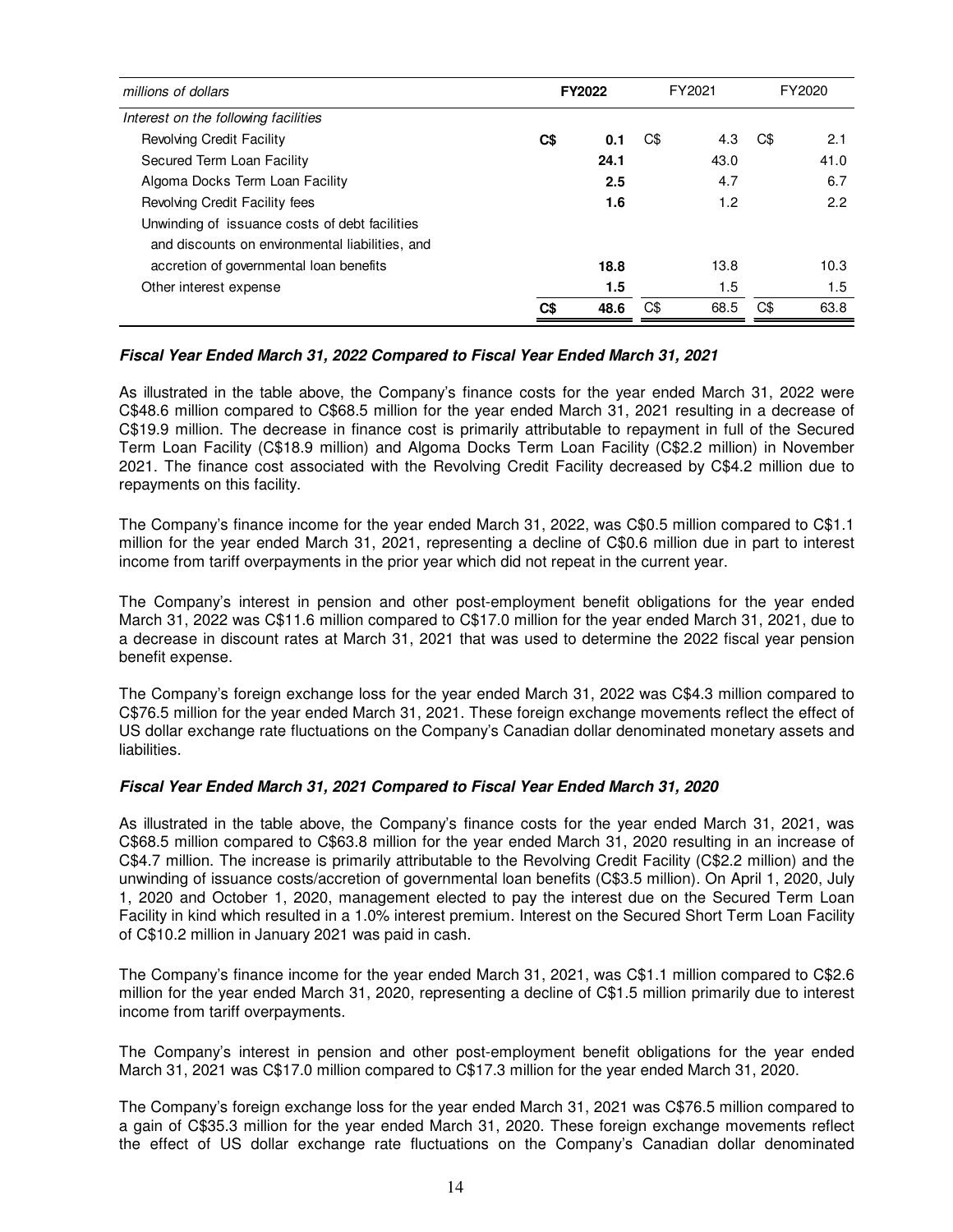| millions of dollars                             |     | FY2021<br><b>FY2022</b> |     |      |     | FY2020 |
|-------------------------------------------------|-----|-------------------------|-----|------|-----|--------|
| Interest on the following facilities            |     |                         |     |      |     |        |
| Revolving Credit Facility                       | C\$ | 0.1                     | C\$ | 4.3  | C\$ | 2.1    |
| Secured Term Loan Facility                      |     | 24.1                    |     | 43.0 |     | 41.0   |
| Algoma Docks Term Loan Facility                 |     | 2.5                     |     | 4.7  |     | 6.7    |
| Revolving Credit Facility fees                  |     | 1.6                     |     | 1.2  |     | 2.2    |
| Unwinding of issuance costs of debt facilities  |     |                         |     |      |     |        |
| and discounts on environmental liabilities, and |     |                         |     |      |     |        |
| accretion of governmental loan benefits         |     | 18.8                    |     | 13.8 |     | 10.3   |
| Other interest expense                          |     | $1.5\,$                 |     | 1.5  |     | 1.5    |
|                                                 | C\$ | 48.6                    | C\$ | 68.5 | C\$ | 63.8   |

# **Fiscal Year Ended March 31, 2022 Compared to Fiscal Year Ended March 31, 2021**

As illustrated in the table above, the Company's finance costs for the year ended March 31, 2022 were C\$48.6 million compared to C\$68.5 million for the year ended March 31, 2021 resulting in a decrease of C\$19.9 million. The decrease in finance cost is primarily attributable to repayment in full of the Secured Term Loan Facility (C\$18.9 million) and Algoma Docks Term Loan Facility (C\$2.2 million) in November 2021. The finance cost associated with the Revolving Credit Facility decreased by C\$4.2 million due to repayments on this facility.

The Company's finance income for the year ended March 31, 2022, was C\$0.5 million compared to C\$1.1 million for the year ended March 31, 2021, representing a decline of C\$0.6 million due in part to interest income from tariff overpayments in the prior year which did not repeat in the current year.

The Company's interest in pension and other post-employment benefit obligations for the year ended March 31, 2022 was C\$11.6 million compared to C\$17.0 million for the year ended March 31, 2021, due to a decrease in discount rates at March 31, 2021 that was used to determine the 2022 fiscal year pension benefit expense.

The Company's foreign exchange loss for the year ended March 31, 2022 was C\$4.3 million compared to C\$76.5 million for the year ended March 31, 2021. These foreign exchange movements reflect the effect of US dollar exchange rate fluctuations on the Company's Canadian dollar denominated monetary assets and liabilities.

# **Fiscal Year Ended March 31, 2021 Compared to Fiscal Year Ended March 31, 2020**

As illustrated in the table above, the Company's finance costs for the year ended March 31, 2021, was C\$68.5 million compared to C\$63.8 million for the year ended March 31, 2020 resulting in an increase of C\$4.7 million. The increase is primarily attributable to the Revolving Credit Facility (C\$2.2 million) and the unwinding of issuance costs/accretion of governmental loan benefits (C\$3.5 million). On April 1, 2020, July 1, 2020 and October 1, 2020, management elected to pay the interest due on the Secured Term Loan Facility in kind which resulted in a 1.0% interest premium. Interest on the Secured Short Term Loan Facility of C\$10.2 million in January 2021 was paid in cash.

The Company's finance income for the year ended March 31, 2021, was C\$1.1 million compared to C\$2.6 million for the year ended March 31, 2020, representing a decline of C\$1.5 million primarily due to interest income from tariff overpayments.

The Company's interest in pension and other post-employment benefit obligations for the year ended March 31, 2021 was C\$17.0 million compared to C\$17.3 million for the year ended March 31, 2020.

The Company's foreign exchange loss for the year ended March 31, 2021 was C\$76.5 million compared to a gain of C\$35.3 million for the year ended March 31, 2020. These foreign exchange movements reflect the effect of US dollar exchange rate fluctuations on the Company's Canadian dollar denominated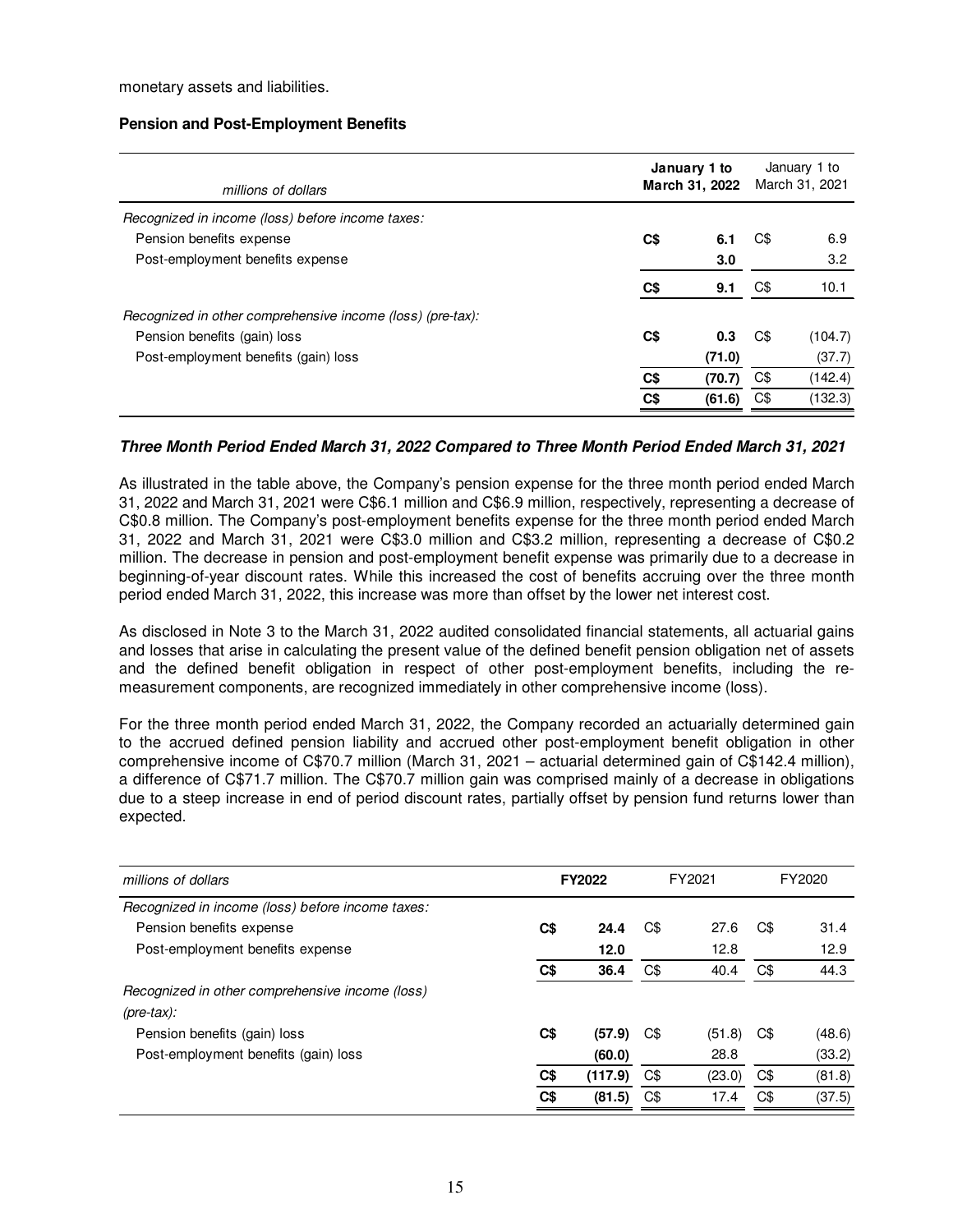monetary assets and liabilities.

### **Pension and Post-Employment Benefits**

| millions of dollars                                        |     | January 1 to<br>March 31, 2022 | January 1 to<br>March 31, 2021 |         |  |
|------------------------------------------------------------|-----|--------------------------------|--------------------------------|---------|--|
| Recognized in income (loss) before income taxes:           |     |                                |                                |         |  |
| Pension benefits expense                                   | C\$ | 6.1                            | C\$                            | 6.9     |  |
| Post-employment benefits expense                           |     | 3.0                            |                                | 3.2     |  |
|                                                            | C\$ | 9.1                            | C\$                            | 10.1    |  |
| Recognized in other comprehensive income (loss) (pre-tax): |     |                                |                                |         |  |
| Pension benefits (gain) loss                               | C\$ | 0.3                            | C\$                            | (104.7) |  |
| Post-employment benefits (gain) loss                       |     | (71.0)                         |                                | (37.7)  |  |
|                                                            | C\$ | (70.7)                         | C\$                            | (142.4) |  |
|                                                            | C\$ | (61.6)                         | C\$                            | (132.3) |  |

# **Three Month Period Ended March 31, 2022 Compared to Three Month Period Ended March 31, 2021**

As illustrated in the table above, the Company's pension expense for the three month period ended March 31, 2022 and March 31, 2021 were C\$6.1 million and C\$6.9 million, respectively, representing a decrease of C\$0.8 million. The Company's post-employment benefits expense for the three month period ended March 31, 2022 and March 31, 2021 were C\$3.0 million and C\$3.2 million, representing a decrease of C\$0.2 million. The decrease in pension and post-employment benefit expense was primarily due to a decrease in beginning-of-year discount rates. While this increased the cost of benefits accruing over the three month period ended March 31, 2022, this increase was more than offset by the lower net interest cost.

As disclosed in Note 3 to the March 31, 2022 audited consolidated financial statements, all actuarial gains and losses that arise in calculating the present value of the defined benefit pension obligation net of assets and the defined benefit obligation in respect of other post-employment benefits, including the remeasurement components, are recognized immediately in other comprehensive income (loss).

For the three month period ended March 31, 2022, the Company recorded an actuarially determined gain to the accrued defined pension liability and accrued other post-employment benefit obligation in other comprehensive income of C\$70.7 million (March 31, 2021 – actuarial determined gain of C\$142.4 million), a difference of C\$71.7 million. The C\$70.7 million gain was comprised mainly of a decrease in obligations due to a steep increase in end of period discount rates, partially offset by pension fund returns lower than expected.

| millions of dollars                              | FY2022 |         | FY2021 |        | FY2020 |        |
|--------------------------------------------------|--------|---------|--------|--------|--------|--------|
| Recognized in income (loss) before income taxes: |        |         |        |        |        |        |
| Pension benefits expense                         | C\$    | 24.4    | C\$    | 27.6   | C\$    | 31.4   |
| Post-employment benefits expense                 |        | 12.0    |        | 12.8   |        | 12.9   |
|                                                  | C\$    | 36.4    | C\$    | 40.4   | C\$    | 44.3   |
| Recognized in other comprehensive income (loss)  |        |         |        |        |        |        |
| $(\text{pre-tax})$ :                             |        |         |        |        |        |        |
| Pension benefits (gain) loss                     | C\$    | (57.9)  | C\$    | (51.8) | C\$    | (48.6) |
| Post-employment benefits (gain) loss             |        | (60.0)  |        | 28.8   |        | (33.2) |
|                                                  | C\$    | (117.9) | C\$    | (23.0) | C\$    | (81.8) |
|                                                  | C\$    | (81.5)  | C\$    | 17.4   | C\$    | (37.5) |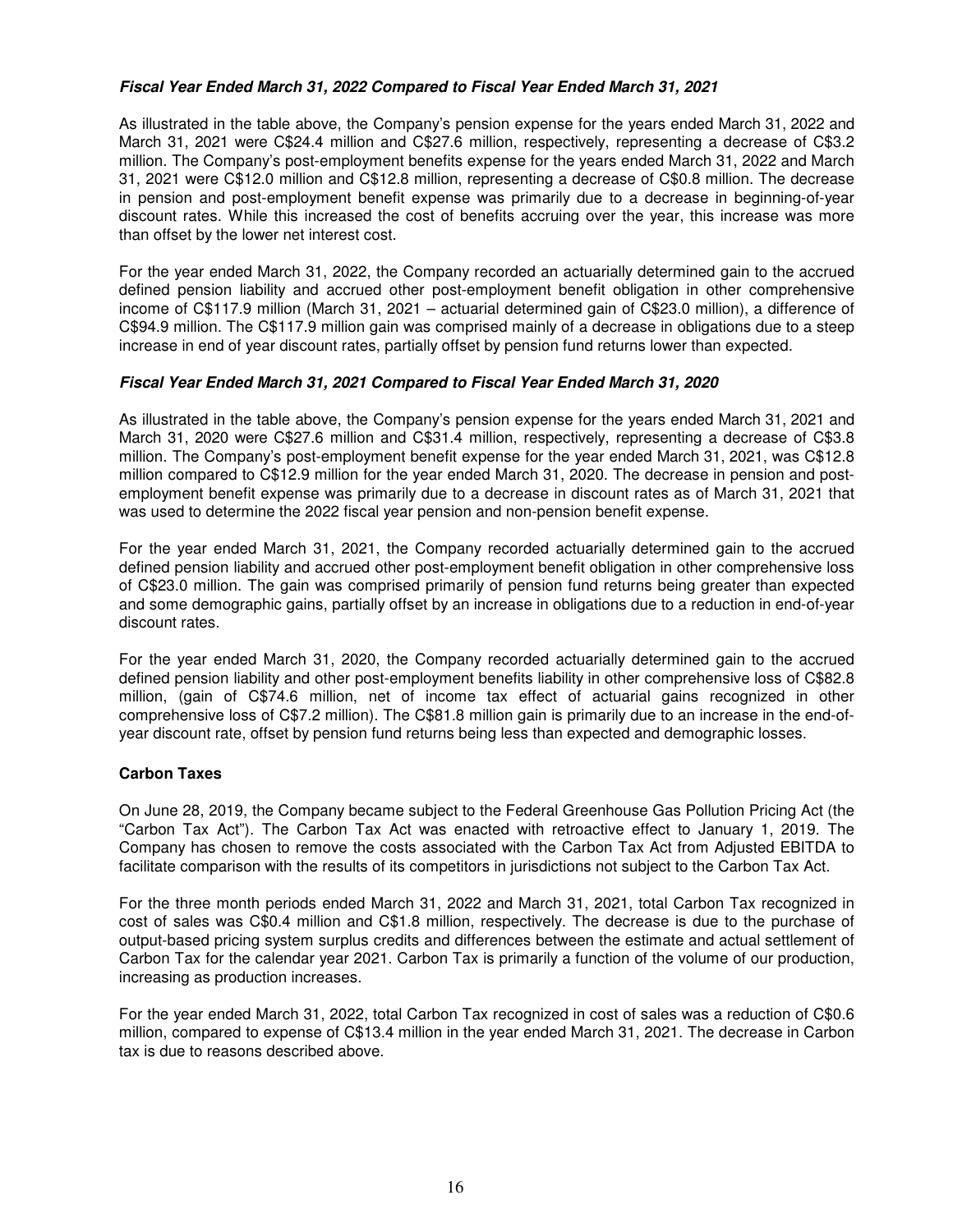# **Fiscal Year Ended March 31, 2022 Compared to Fiscal Year Ended March 31, 2021**

As illustrated in the table above, the Company's pension expense for the years ended March 31, 2022 and March 31, 2021 were C\$24.4 million and C\$27.6 million, respectively, representing a decrease of C\$3.2 million. The Company's post-employment benefits expense for the years ended March 31, 2022 and March 31, 2021 were C\$12.0 million and C\$12.8 million, representing a decrease of C\$0.8 million. The decrease in pension and post-employment benefit expense was primarily due to a decrease in beginning-of-year discount rates. While this increased the cost of benefits accruing over the year, this increase was more than offset by the lower net interest cost.

For the year ended March 31, 2022, the Company recorded an actuarially determined gain to the accrued defined pension liability and accrued other post-employment benefit obligation in other comprehensive income of C\$117.9 million (March 31, 2021 – actuarial determined gain of C\$23.0 million), a difference of C\$94.9 million. The C\$117.9 million gain was comprised mainly of a decrease in obligations due to a steep increase in end of year discount rates, partially offset by pension fund returns lower than expected.

# **Fiscal Year Ended March 31, 2021 Compared to Fiscal Year Ended March 31, 2020**

As illustrated in the table above, the Company's pension expense for the years ended March 31, 2021 and March 31, 2020 were C\$27.6 million and C\$31.4 million, respectively, representing a decrease of C\$3.8 million. The Company's post-employment benefit expense for the year ended March 31, 2021, was C\$12.8 million compared to C\$12.9 million for the year ended March 31, 2020. The decrease in pension and postemployment benefit expense was primarily due to a decrease in discount rates as of March 31, 2021 that was used to determine the 2022 fiscal year pension and non-pension benefit expense.

For the year ended March 31, 2021, the Company recorded actuarially determined gain to the accrued defined pension liability and accrued other post-employment benefit obligation in other comprehensive loss of C\$23.0 million. The gain was comprised primarily of pension fund returns being greater than expected and some demographic gains, partially offset by an increase in obligations due to a reduction in end-of-year discount rates.

For the year ended March 31, 2020, the Company recorded actuarially determined gain to the accrued defined pension liability and other post-employment benefits liability in other comprehensive loss of C\$82.8 million, (gain of C\$74.6 million, net of income tax effect of actuarial gains recognized in other comprehensive loss of C\$7.2 million). The C\$81.8 million gain is primarily due to an increase in the end-ofyear discount rate, offset by pension fund returns being less than expected and demographic losses.

### **Carbon Taxes**

On June 28, 2019, the Company became subject to the Federal Greenhouse Gas Pollution Pricing Act (the "Carbon Tax Act"). The Carbon Tax Act was enacted with retroactive effect to January 1, 2019. The Company has chosen to remove the costs associated with the Carbon Tax Act from Adjusted EBITDA to facilitate comparison with the results of its competitors in jurisdictions not subject to the Carbon Tax Act.

For the three month periods ended March 31, 2022 and March 31, 2021, total Carbon Tax recognized in cost of sales was C\$0.4 million and C\$1.8 million, respectively. The decrease is due to the purchase of output-based pricing system surplus credits and differences between the estimate and actual settlement of Carbon Tax for the calendar year 2021. Carbon Tax is primarily a function of the volume of our production, increasing as production increases.

For the year ended March 31, 2022, total Carbon Tax recognized in cost of sales was a reduction of C\$0.6 million, compared to expense of C\$13.4 million in the year ended March 31, 2021. The decrease in Carbon tax is due to reasons described above.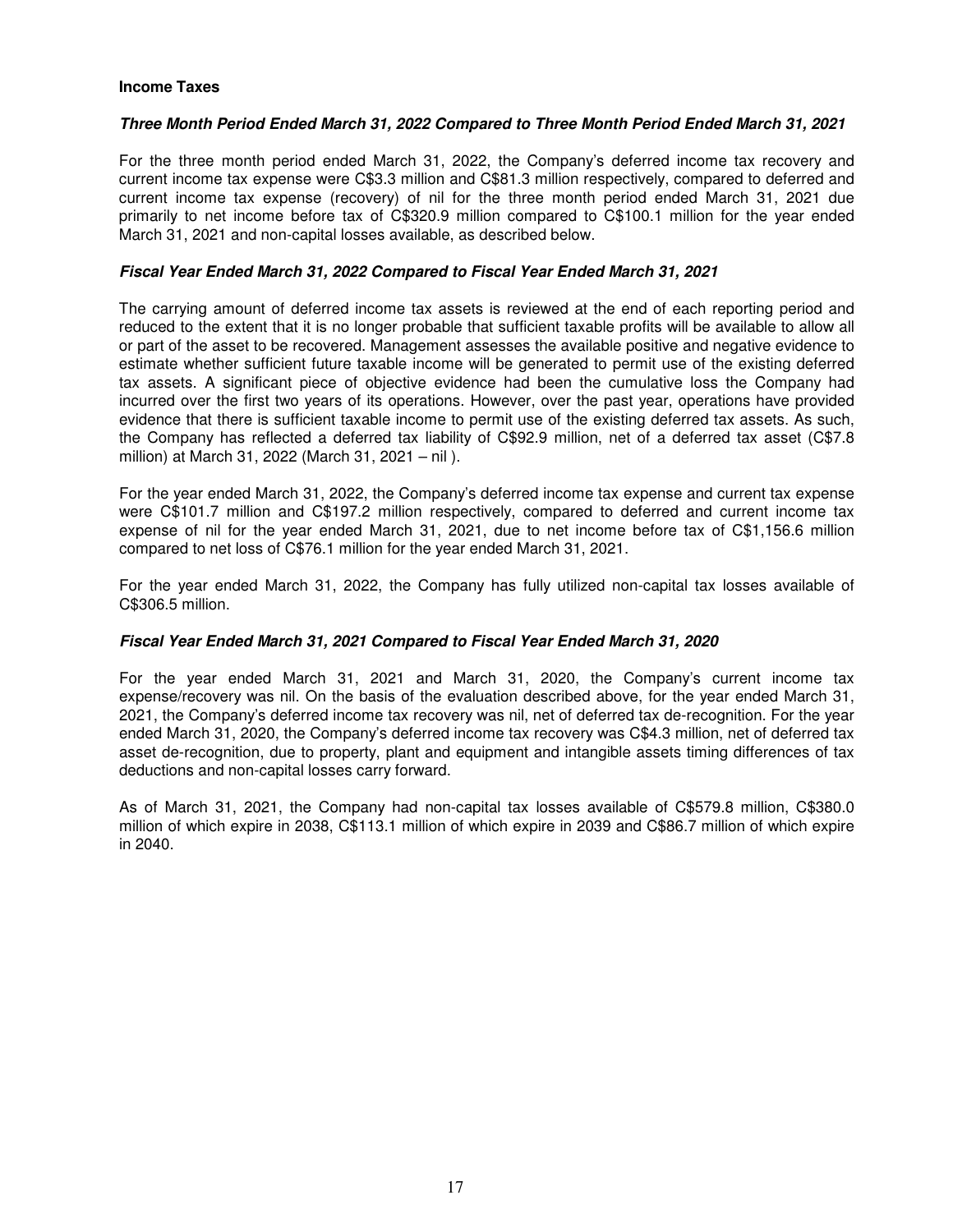# **Income Taxes**

# **Three Month Period Ended March 31, 2022 Compared to Three Month Period Ended March 31, 2021**

For the three month period ended March 31, 2022, the Company's deferred income tax recovery and current income tax expense were C\$3.3 million and C\$81.3 million respectively, compared to deferred and current income tax expense (recovery) of nil for the three month period ended March 31, 2021 due primarily to net income before tax of C\$320.9 million compared to C\$100.1 million for the year ended March 31, 2021 and non-capital losses available, as described below.

# **Fiscal Year Ended March 31, 2022 Compared to Fiscal Year Ended March 31, 2021**

The carrying amount of deferred income tax assets is reviewed at the end of each reporting period and reduced to the extent that it is no longer probable that sufficient taxable profits will be available to allow all or part of the asset to be recovered. Management assesses the available positive and negative evidence to estimate whether sufficient future taxable income will be generated to permit use of the existing deferred tax assets. A significant piece of objective evidence had been the cumulative loss the Company had incurred over the first two years of its operations. However, over the past year, operations have provided evidence that there is sufficient taxable income to permit use of the existing deferred tax assets. As such, the Company has reflected a deferred tax liability of C\$92.9 million, net of a deferred tax asset (C\$7.8 million) at March 31, 2022 (March 31, 2021 – nil ).

For the year ended March 31, 2022, the Company's deferred income tax expense and current tax expense were C\$101.7 million and C\$197.2 million respectively, compared to deferred and current income tax expense of nil for the year ended March 31, 2021, due to net income before tax of C\$1,156.6 million compared to net loss of C\$76.1 million for the year ended March 31, 2021.

For the year ended March 31, 2022, the Company has fully utilized non-capital tax losses available of C\$306.5 million.

### **Fiscal Year Ended March 31, 2021 Compared to Fiscal Year Ended March 31, 2020**

For the year ended March 31, 2021 and March 31, 2020, the Company's current income tax expense/recovery was nil. On the basis of the evaluation described above, for the year ended March 31, 2021, the Company's deferred income tax recovery was nil, net of deferred tax de-recognition. For the year ended March 31, 2020, the Company's deferred income tax recovery was C\$4.3 million, net of deferred tax asset de-recognition, due to property, plant and equipment and intangible assets timing differences of tax deductions and non-capital losses carry forward.

As of March 31, 2021, the Company had non-capital tax losses available of C\$579.8 million, C\$380.0 million of which expire in 2038, C\$113.1 million of which expire in 2039 and C\$86.7 million of which expire in 2040.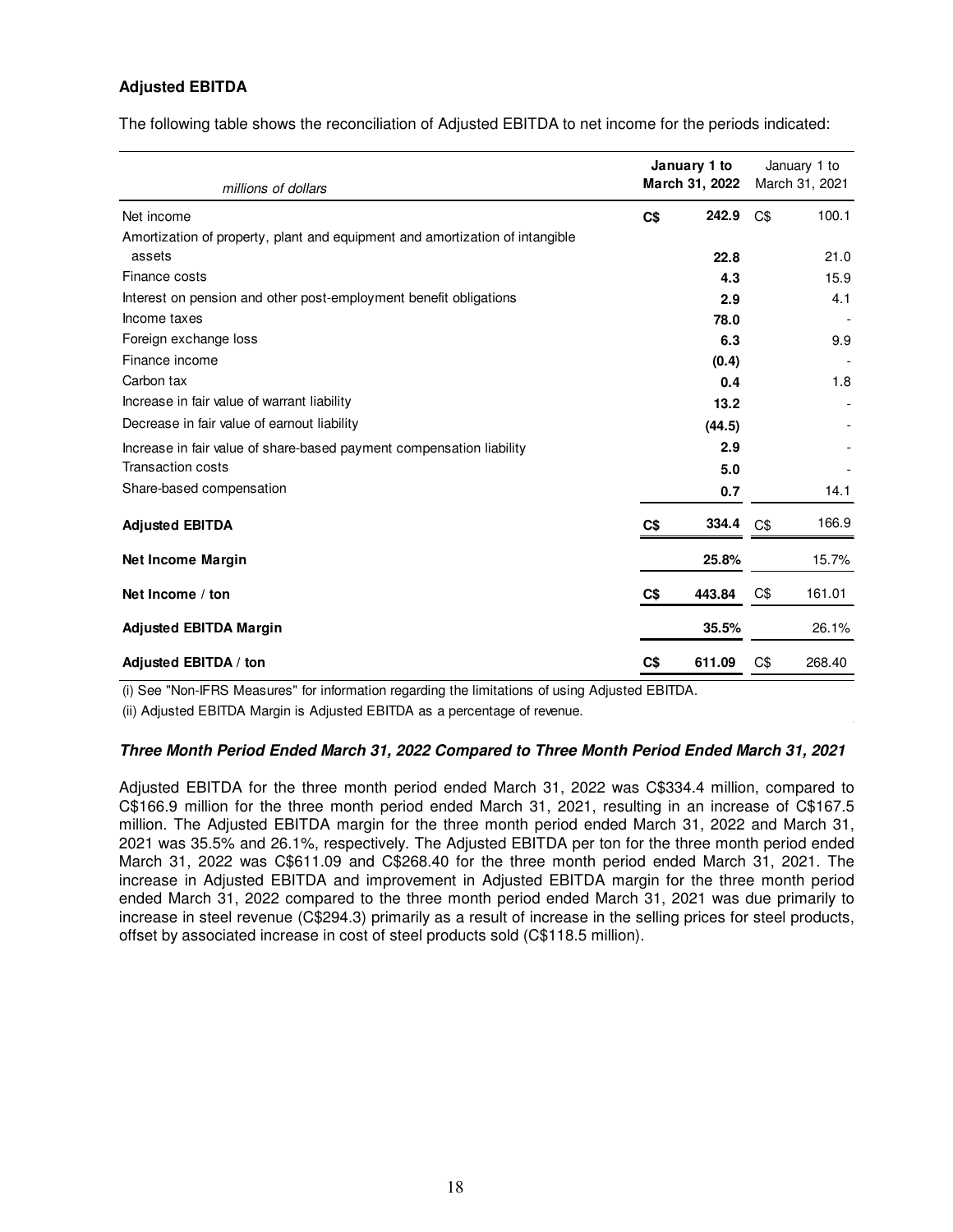# **Adjusted EBITDA**

The following table shows the reconciliation of Adjusted EBITDA to net income for the periods indicated:

| millions of dollars                                                                    | January 1 to<br>March 31, 2022 |        | January 1 to<br>March 31, 2021 |        |  |
|----------------------------------------------------------------------------------------|--------------------------------|--------|--------------------------------|--------|--|
| Net income                                                                             | C\$                            | 242.9  | C\$                            | 100.1  |  |
| Amortization of property, plant and equipment and amortization of intangible<br>assets |                                | 22.8   |                                | 21.0   |  |
| Finance costs                                                                          |                                | 4.3    |                                | 15.9   |  |
| Interest on pension and other post-employment benefit obligations                      |                                | 2.9    |                                | 4.1    |  |
| Income taxes                                                                           |                                | 78.0   |                                |        |  |
| Foreign exchange loss                                                                  |                                | 6.3    |                                | 9.9    |  |
| Finance income                                                                         |                                | (0.4)  |                                |        |  |
| Carbon tax                                                                             |                                | 0.4    |                                | 1.8    |  |
| Increase in fair value of warrant liability                                            |                                | 13.2   |                                |        |  |
| Decrease in fair value of earnout liability                                            |                                | (44.5) |                                |        |  |
| Increase in fair value of share-based payment compensation liability                   |                                | 2.9    |                                |        |  |
| <b>Transaction costs</b>                                                               |                                | 5.0    |                                |        |  |
| Share-based compensation                                                               |                                | 0.7    |                                | 14.1   |  |
| <b>Adjusted EBITDA</b>                                                                 | C <sub>3</sub>                 | 334.4  | C\$                            | 166.9  |  |
| <b>Net Income Margin</b>                                                               |                                | 25.8%  |                                | 15.7%  |  |
| Net Income / ton                                                                       | C\$                            | 443.84 | C\$                            | 161.01 |  |
| <b>Adjusted EBITDA Margin</b>                                                          |                                | 35.5%  |                                | 26.1%  |  |
| Adjusted EBITDA / ton                                                                  | C\$                            | 611.09 | C\$                            | 268.40 |  |

(i) See "Non-IFRS Measures" for information regarding the limitations of using Adjusted EBITDA.

(ii) Adjusted EBITDA Margin is Adjusted EBITDA as a percentage of revenue.

#### **Three Month Period Ended March 31, 2022 Compared to Three Month Period Ended March 31, 2021**

Adjusted EBITDA for the three month period ended March 31, 2022 was C\$334.4 million, compared to C\$166.9 million for the three month period ended March 31, 2021, resulting in an increase of C\$167.5 million. The Adjusted EBITDA margin for the three month period ended March 31, 2022 and March 31, 2021 was 35.5% and 26.1%, respectively. The Adjusted EBITDA per ton for the three month period ended March 31, 2022 was C\$611.09 and C\$268.40 for the three month period ended March 31, 2021. The increase in Adjusted EBITDA and improvement in Adjusted EBITDA margin for the three month period ended March 31, 2022 compared to the three month period ended March 31, 2021 was due primarily to increase in steel revenue (C\$294.3) primarily as a result of increase in the selling prices for steel products, offset by associated increase in cost of steel products sold (C\$118.5 million).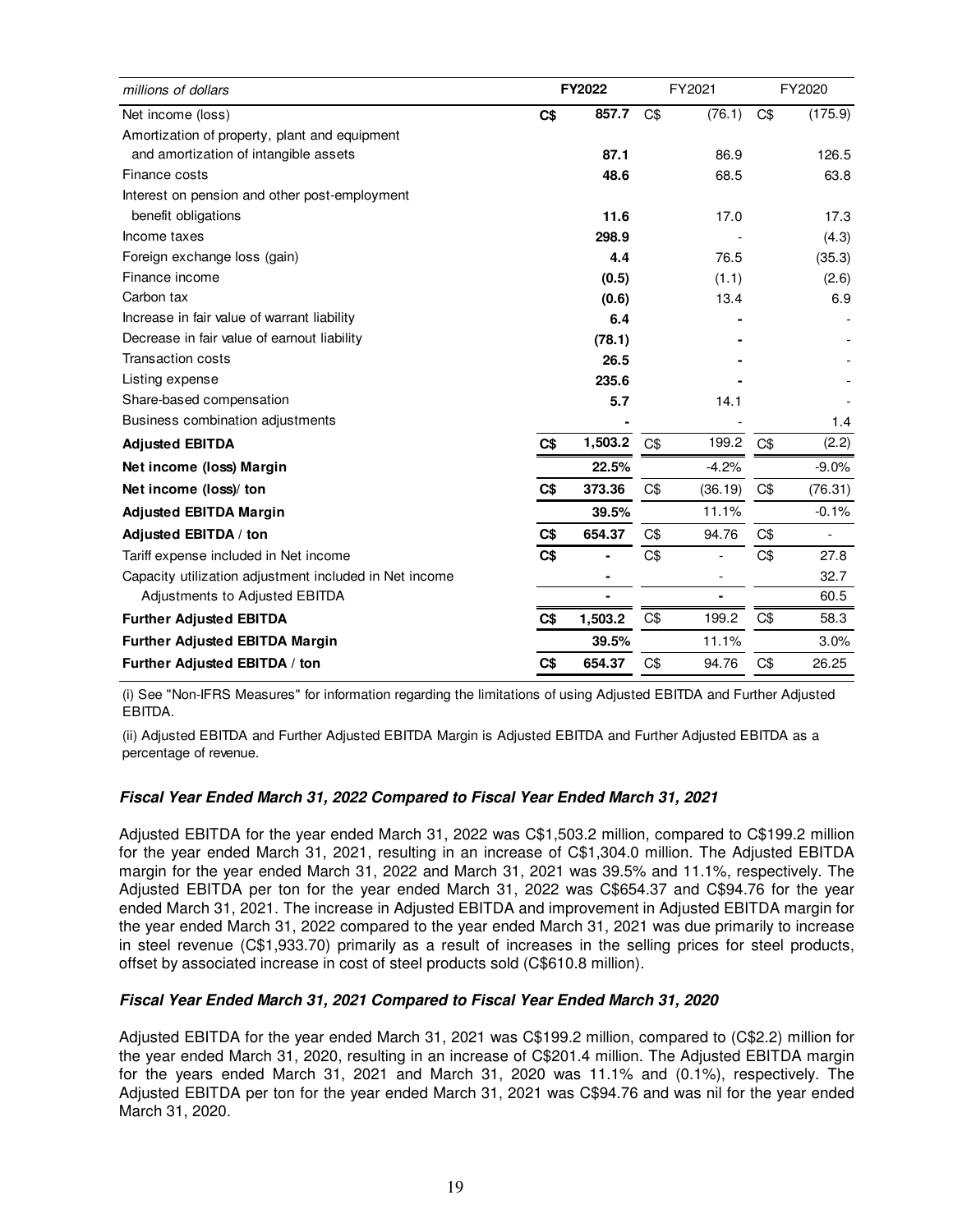| millions of dollars                                    |     | FY2022  |     | FY2021                   |     | FY2020  |
|--------------------------------------------------------|-----|---------|-----|--------------------------|-----|---------|
| Net income (loss)                                      | C\$ | 857.7   | C\$ | (76.1)                   | C\$ | (175.9) |
| Amortization of property, plant and equipment          |     |         |     |                          |     |         |
| and amortization of intangible assets                  |     | 87.1    |     | 86.9                     |     | 126.5   |
| Finance costs                                          |     | 48.6    |     | 68.5                     |     | 63.8    |
| Interest on pension and other post-employment          |     |         |     |                          |     |         |
| benefit obligations                                    |     | 11.6    |     | 17.0                     |     | 17.3    |
| Income taxes                                           |     | 298.9   |     |                          |     | (4.3)   |
| Foreign exchange loss (gain)                           |     | 4.4     |     | 76.5                     |     | (35.3)  |
| Finance income                                         |     | (0.5)   |     | (1.1)                    |     | (2.6)   |
| Carbon tax                                             |     | (0.6)   |     | 13.4                     |     | 6.9     |
| Increase in fair value of warrant liability            |     | 6.4     |     |                          |     |         |
| Decrease in fair value of earnout liability            |     | (78.1)  |     |                          |     |         |
| <b>Transaction costs</b>                               |     | 26.5    |     |                          |     |         |
| Listing expense                                        |     | 235.6   |     |                          |     |         |
| Share-based compensation                               |     | 5.7     |     | 14.1                     |     |         |
| Business combination adjustments                       |     |         |     |                          |     | 1.4     |
| <b>Adjusted EBITDA</b>                                 | C\$ | 1,503.2 | C\$ | 199.2                    | C\$ | (2.2)   |
| Net income (loss) Margin                               |     | 22.5%   |     | $-4.2%$                  |     | $-9.0%$ |
| Net income (loss)/ ton                                 | C\$ | 373.36  | C\$ | (36.19)                  | C\$ | (76.31) |
| <b>Adjusted EBITDA Margin</b>                          |     | 39.5%   |     | 11.1%                    |     | $-0.1%$ |
| Adjusted EBITDA / ton                                  | C\$ | 654.37  | C\$ | 94.76                    | C\$ |         |
| Tariff expense included in Net income                  | C\$ |         | C\$ |                          | C\$ | 27.8    |
| Capacity utilization adjustment included in Net income |     | ۰       |     | $\overline{\phantom{a}}$ |     | 32.7    |
| Adjustments to Adjusted EBITDA                         |     |         |     |                          |     | 60.5    |
| <b>Further Adjusted EBITDA</b>                         | C\$ | 1,503.2 | C\$ | 199.2                    | C\$ | 58.3    |
| <b>Further Adjusted EBITDA Margin</b>                  |     | 39.5%   |     | 11.1%                    |     | 3.0%    |
| Further Adjusted EBITDA / ton                          | C\$ | 654.37  | C\$ | 94.76                    | C\$ | 26.25   |

(i) See "Non-IFRS Measures" for information regarding the limitations of using Adjusted EBITDA and Further Adjusted EBITDA.

(ii) Adjusted EBITDA and Further Adjusted EBITDA Margin is Adjusted EBITDA and Further Adjusted EBITDA as a percentage of revenue.

### **Fiscal Year Ended March 31, 2022 Compared to Fiscal Year Ended March 31, 2021**

Adjusted EBITDA for the year ended March 31, 2022 was C\$1,503.2 million, compared to C\$199.2 million for the year ended March 31, 2021, resulting in an increase of C\$1,304.0 million. The Adjusted EBITDA margin for the year ended March 31, 2022 and March 31, 2021 was 39.5% and 11.1%, respectively. The Adjusted EBITDA per ton for the year ended March 31, 2022 was C\$654.37 and C\$94.76 for the year ended March 31, 2021. The increase in Adjusted EBITDA and improvement in Adjusted EBITDA margin for the year ended March 31, 2022 compared to the year ended March 31, 2021 was due primarily to increase in steel revenue (C\$1,933.70) primarily as a result of increases in the selling prices for steel products, offset by associated increase in cost of steel products sold (C\$610.8 million).

### **Fiscal Year Ended March 31, 2021 Compared to Fiscal Year Ended March 31, 2020**

Adjusted EBITDA for the year ended March 31, 2021 was C\$199.2 million, compared to (C\$2.2) million for the year ended March 31, 2020, resulting in an increase of C\$201.4 million. The Adjusted EBITDA margin for the years ended March 31, 2021 and March 31, 2020 was 11.1% and (0.1%), respectively. The Adjusted EBITDA per ton for the year ended March 31, 2021 was C\$94.76 and was nil for the year ended March 31, 2020.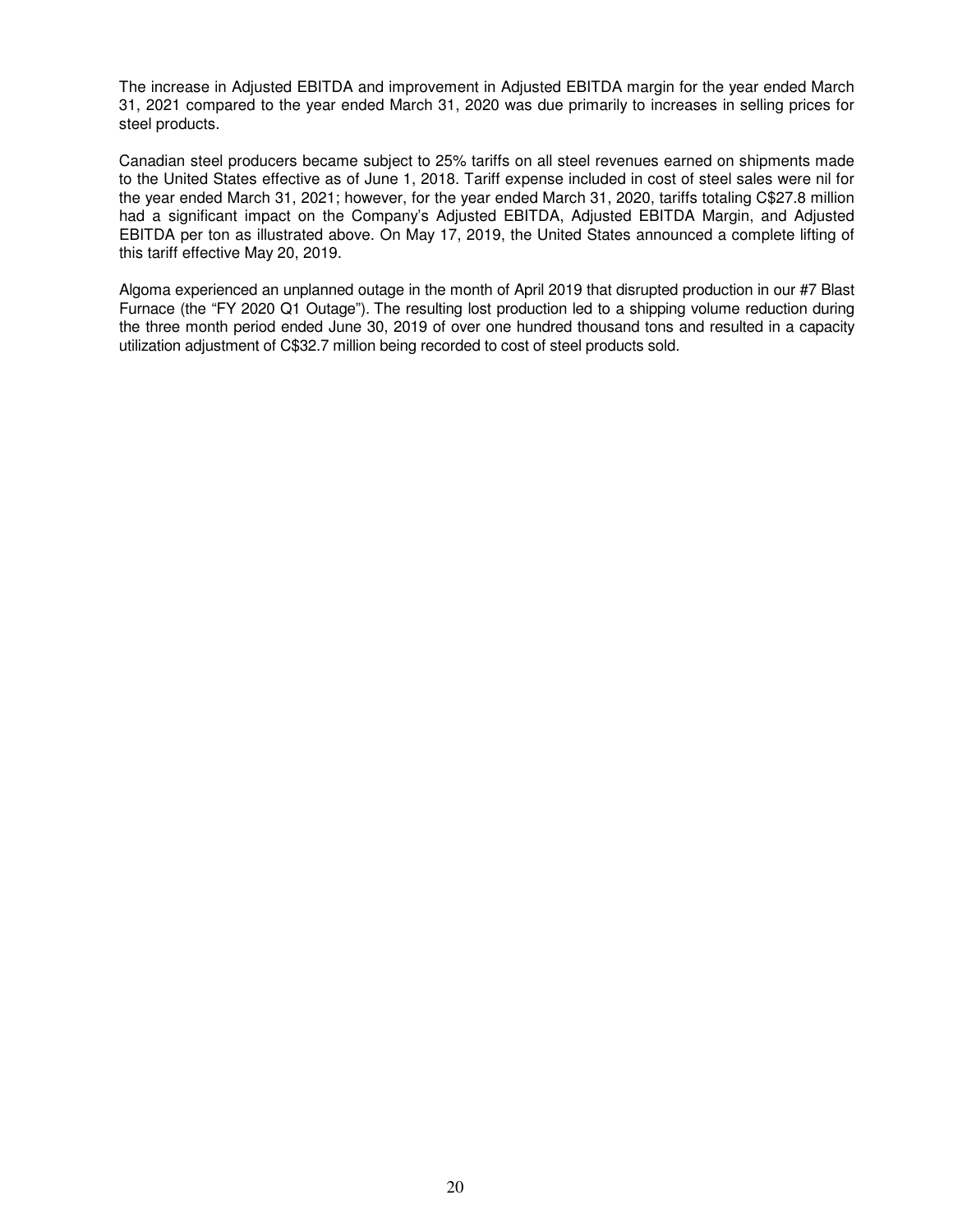The increase in Adjusted EBITDA and improvement in Adjusted EBITDA margin for the year ended March 31, 2021 compared to the year ended March 31, 2020 was due primarily to increases in selling prices for steel products.

Canadian steel producers became subject to 25% tariffs on all steel revenues earned on shipments made to the United States effective as of June 1, 2018. Tariff expense included in cost of steel sales were nil for the year ended March 31, 2021; however, for the year ended March 31, 2020, tariffs totaling C\$27.8 million had a significant impact on the Company's Adjusted EBITDA, Adjusted EBITDA Margin, and Adjusted EBITDA per ton as illustrated above. On May 17, 2019, the United States announced a complete lifting of this tariff effective May 20, 2019.

Algoma experienced an unplanned outage in the month of April 2019 that disrupted production in our #7 Blast Furnace (the "FY 2020 Q1 Outage"). The resulting lost production led to a shipping volume reduction during the three month period ended June 30, 2019 of over one hundred thousand tons and resulted in a capacity utilization adjustment of C\$32.7 million being recorded to cost of steel products sold.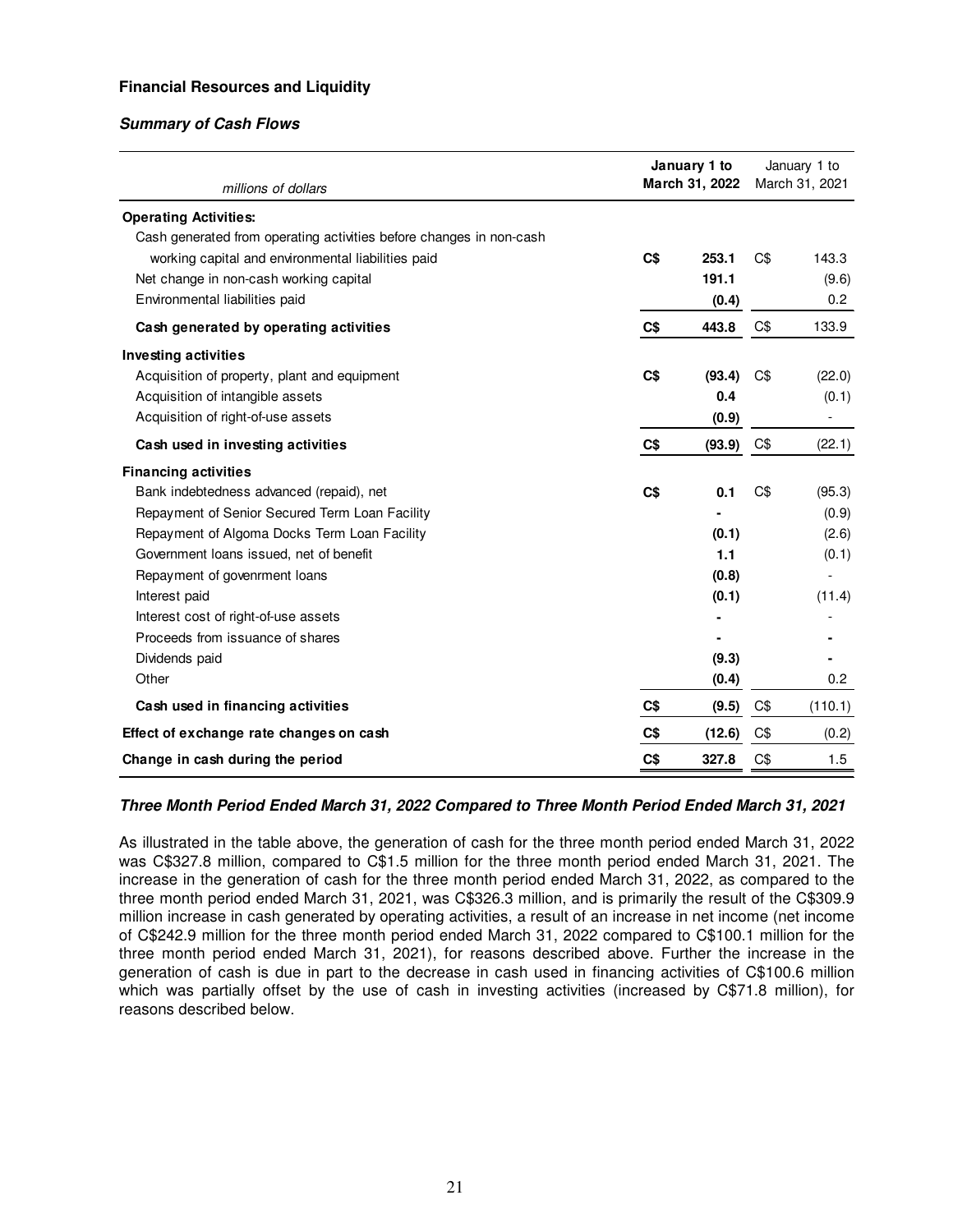# **Financial Resources and Liquidity**

# **Summary of Cash Flows**

| millions of dollars                                                 | January 1 to<br>March 31, 2022 |        | January 1 to<br>March 31, 2021 |         |
|---------------------------------------------------------------------|--------------------------------|--------|--------------------------------|---------|
|                                                                     |                                |        |                                |         |
| <b>Operating Activities:</b>                                        |                                |        |                                |         |
| Cash generated from operating activities before changes in non-cash |                                |        |                                |         |
| working capital and environmental liabilities paid                  | C\$                            | 253.1  | C\$                            | 143.3   |
| Net change in non-cash working capital                              |                                | 191.1  |                                | (9.6)   |
| Environmental liabilities paid                                      |                                | (0.4)  |                                | 0.2     |
| Cash generated by operating activities                              | C\$                            | 443.8  | C\$                            | 133.9   |
| <b>Investing activities</b>                                         |                                |        |                                |         |
| Acquisition of property, plant and equipment                        | C\$                            | (93.4) | C\$                            | (22.0)  |
| Acquisition of intangible assets                                    |                                | 0.4    |                                | (0.1)   |
| Acquisition of right-of-use assets                                  |                                | (0.9)  |                                |         |
| Cash used in investing activities                                   | C\$                            | (93.9) | C\$                            | (22.1)  |
| <b>Financing activities</b>                                         |                                |        |                                |         |
| Bank indebtedness advanced (repaid), net                            | C\$                            | 0.1    | C\$                            | (95.3)  |
| Repayment of Senior Secured Term Loan Facility                      |                                |        |                                | (0.9)   |
| Repayment of Algoma Docks Term Loan Facility                        |                                | (0.1)  |                                | (2.6)   |
| Government loans issued, net of benefit                             |                                | 1.1    |                                | (0.1)   |
| Repayment of govenrment loans                                       |                                | (0.8)  |                                |         |
| Interest paid                                                       |                                | (0.1)  |                                | (11.4)  |
| Interest cost of right-of-use assets                                |                                |        |                                |         |
| Proceeds from issuance of shares                                    |                                |        |                                |         |
| Dividends paid                                                      |                                | (9.3)  |                                |         |
| Other                                                               |                                | (0.4)  |                                | 0.2     |
| Cash used in financing activities                                   | C\$                            | (9.5)  | C\$                            | (110.1) |
| Effect of exchange rate changes on cash                             | C\$                            | (12.6) | C\$                            | (0.2)   |
| Change in cash during the period                                    | C\$                            | 327.8  | C\$                            | 1.5     |

### **Three Month Period Ended March 31, 2022 Compared to Three Month Period Ended March 31, 2021**

As illustrated in the table above, the generation of cash for the three month period ended March 31, 2022 was C\$327.8 million, compared to C\$1.5 million for the three month period ended March 31, 2021. The increase in the generation of cash for the three month period ended March 31, 2022, as compared to the three month period ended March 31, 2021, was C\$326.3 million, and is primarily the result of the C\$309.9 million increase in cash generated by operating activities, a result of an increase in net income (net income of C\$242.9 million for the three month period ended March 31, 2022 compared to C\$100.1 million for the three month period ended March 31, 2021), for reasons described above. Further the increase in the generation of cash is due in part to the decrease in cash used in financing activities of C\$100.6 million which was partially offset by the use of cash in investing activities (increased by C\$71.8 million), for reasons described below.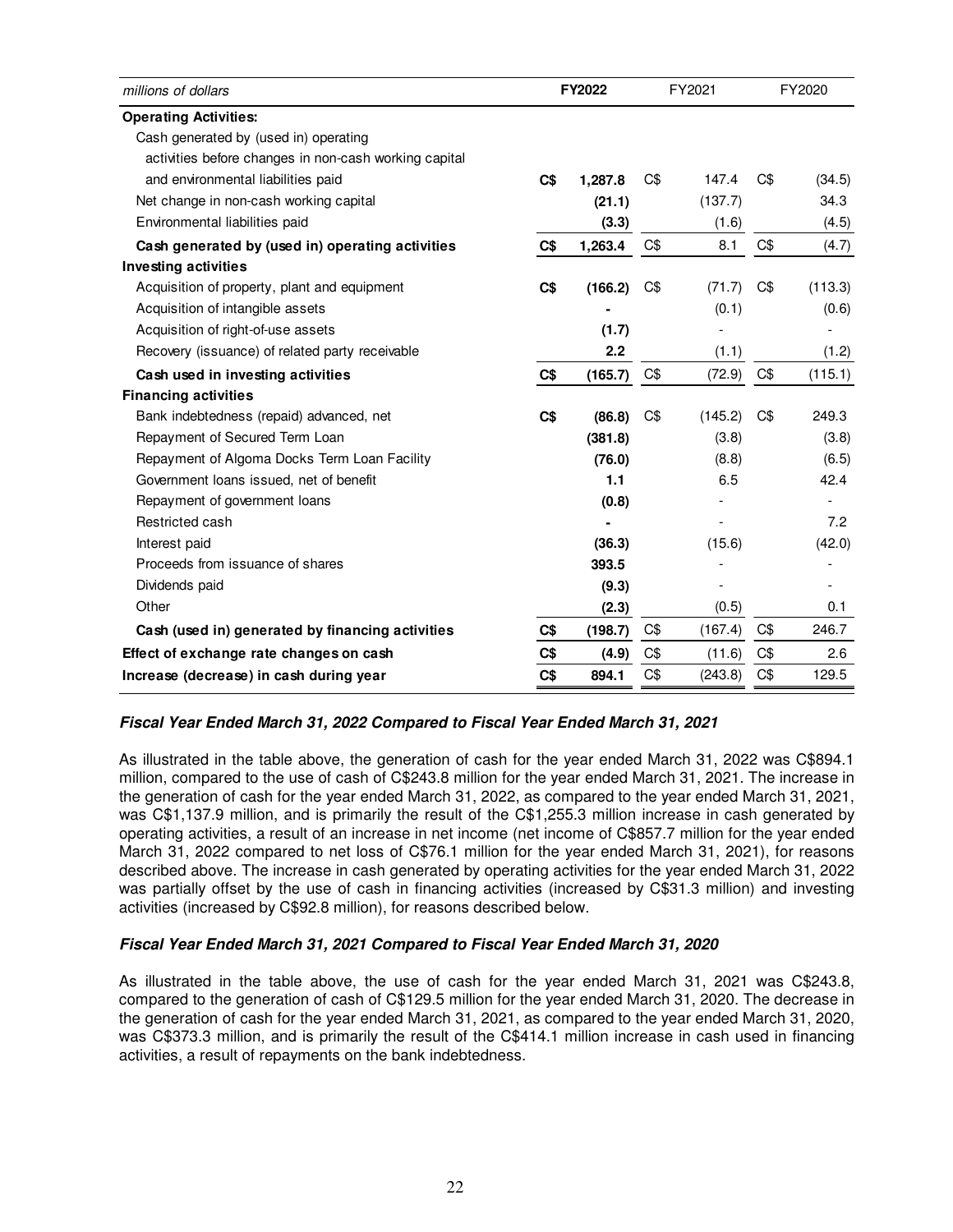| millions of dollars                                   |                | FY2022  |     | FY2021         | FY2020 |         |  |
|-------------------------------------------------------|----------------|---------|-----|----------------|--------|---------|--|
| <b>Operating Activities:</b>                          |                |         |     |                |        |         |  |
| Cash generated by (used in) operating                 |                |         |     |                |        |         |  |
| activities before changes in non-cash working capital |                |         |     |                |        |         |  |
| and environmental liabilities paid                    | C\$            | 1,287.8 | C\$ | 147.4          | C\$    | (34.5)  |  |
| Net change in non-cash working capital                |                | (21.1)  |     | (137.7)        |        | 34.3    |  |
| Environmental liabilities paid                        |                | (3.3)   |     | (1.6)          |        | (4.5)   |  |
| Cash generated by (used in) operating activities      | C <sub>5</sub> | 1,263.4 | C\$ | 8.1            | C\$    | (4.7)   |  |
| <b>Investing activities</b>                           |                |         |     |                |        |         |  |
| Acquisition of property, plant and equipment          | C\$            | (166.2) | C\$ | (71.7)         | C\$    | (113.3) |  |
| Acquisition of intangible assets                      |                |         |     | (0.1)          |        | (0.6)   |  |
| Acquisition of right-of-use assets                    |                | (1.7)   |     |                |        |         |  |
| Recovery (issuance) of related party receivable       |                | 2.2     |     | (1.1)          |        | (1.2)   |  |
| Cash used in investing activities                     | C\$            | (165.7) | C\$ | (72.9)         | C\$    | (115.1) |  |
| <b>Financing activities</b>                           |                |         |     |                |        |         |  |
| Bank indebtedness (repaid) advanced, net              | C\$            | (86.8)  | C\$ | (145.2)        | C\$    | 249.3   |  |
| Repayment of Secured Term Loan                        |                | (381.8) |     | (3.8)          |        | (3.8)   |  |
| Repayment of Algoma Docks Term Loan Facility          |                | (76.0)  |     | (8.8)          |        | (6.5)   |  |
| Government loans issued, net of benefit               |                | 1.1     |     | 6.5            |        | 42.4    |  |
| Repayment of government loans                         |                | (0.8)   |     |                |        |         |  |
| Restricted cash                                       |                |         |     |                |        | 7.2     |  |
| Interest paid                                         |                | (36.3)  |     | (15.6)         |        | (42.0)  |  |
| Proceeds from issuance of shares                      |                | 393.5   |     |                |        |         |  |
| Dividends paid                                        |                | (9.3)   |     | $\overline{a}$ |        |         |  |
| Other                                                 |                | (2.3)   |     | (0.5)          |        | 0.1     |  |
| Cash (used in) generated by financing activities      | C\$            | (198.7) | C\$ | (167.4)        | C\$    | 246.7   |  |
| Effect of exchange rate changes on cash               | C\$            | (4.9)   | C\$ | (11.6)         | C\$    | 2.6     |  |
| Increase (decrease) in cash during year               | C\$            | 894.1   | C\$ | (243.8)        | C\$    | 129.5   |  |

### **Fiscal Year Ended March 31, 2022 Compared to Fiscal Year Ended March 31, 2021**

As illustrated in the table above, the generation of cash for the year ended March 31, 2022 was C\$894.1 million, compared to the use of cash of C\$243.8 million for the year ended March 31, 2021. The increase in the generation of cash for the year ended March 31, 2022, as compared to the year ended March 31, 2021, was C\$1,137.9 million, and is primarily the result of the C\$1,255.3 million increase in cash generated by operating activities, a result of an increase in net income (net income of C\$857.7 million for the year ended March 31, 2022 compared to net loss of C\$76.1 million for the year ended March 31, 2021), for reasons described above. The increase in cash generated by operating activities for the year ended March 31, 2022 was partially offset by the use of cash in financing activities (increased by C\$31.3 million) and investing activities (increased by C\$92.8 million), for reasons described below.

### **Fiscal Year Ended March 31, 2021 Compared to Fiscal Year Ended March 31, 2020**

As illustrated in the table above, the use of cash for the year ended March 31, 2021 was C\$243.8, compared to the generation of cash of C\$129.5 million for the year ended March 31, 2020. The decrease in the generation of cash for the year ended March 31, 2021, as compared to the year ended March 31, 2020, was C\$373.3 million, and is primarily the result of the C\$414.1 million increase in cash used in financing activities, a result of repayments on the bank indebtedness.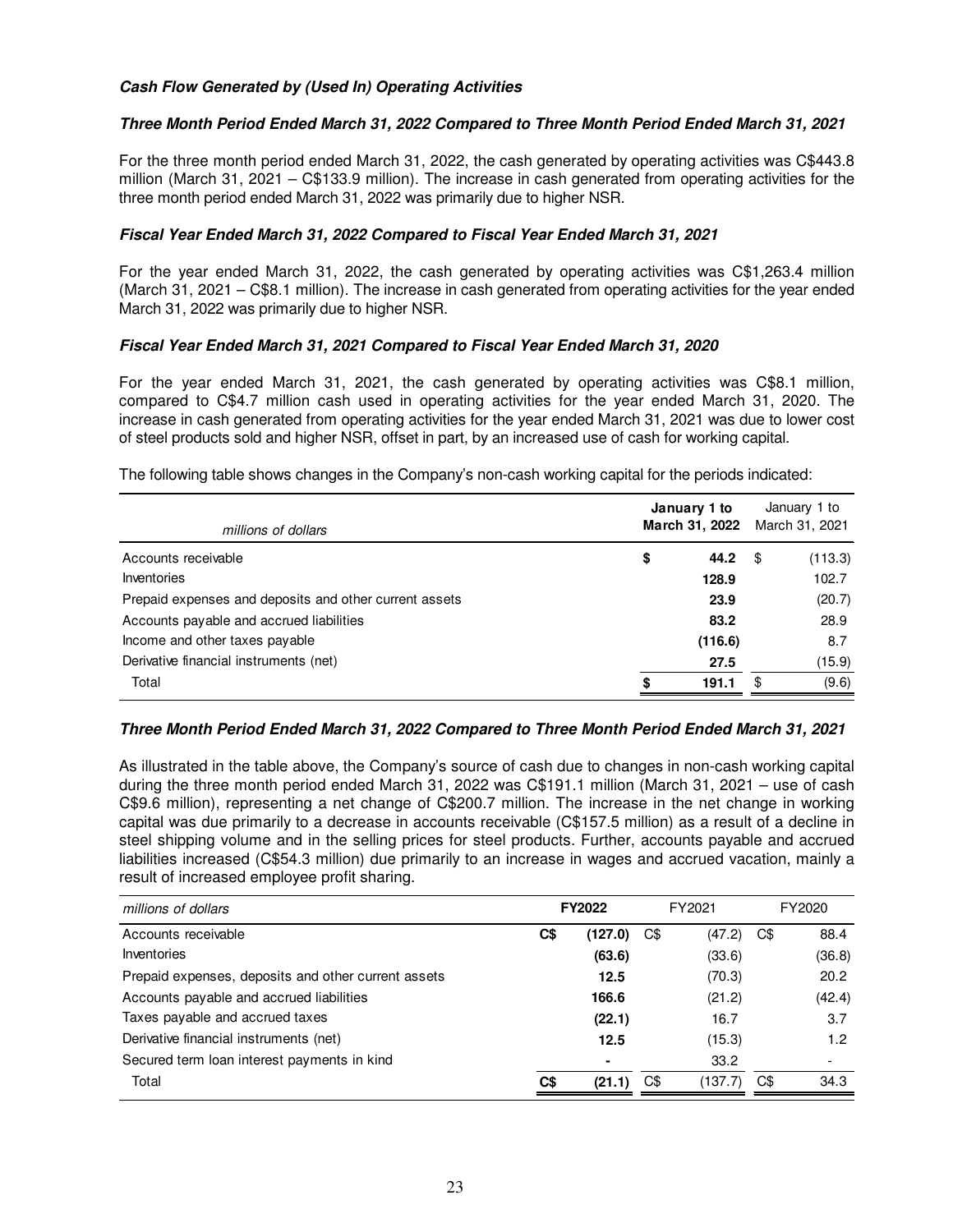# **Cash Flow Generated by (Used In) Operating Activities**

# **Three Month Period Ended March 31, 2022 Compared to Three Month Period Ended March 31, 2021**

For the three month period ended March 31, 2022, the cash generated by operating activities was C\$443.8 million (March 31, 2021 – C\$133.9 million). The increase in cash generated from operating activities for the three month period ended March 31, 2022 was primarily due to higher NSR.

### **Fiscal Year Ended March 31, 2022 Compared to Fiscal Year Ended March 31, 2021**

For the year ended March 31, 2022, the cash generated by operating activities was C\$1,263.4 million (March 31, 2021 – C\$8.1 million). The increase in cash generated from operating activities for the year ended March 31, 2022 was primarily due to higher NSR.

### **Fiscal Year Ended March 31, 2021 Compared to Fiscal Year Ended March 31, 2020**

For the year ended March 31, 2021, the cash generated by operating activities was C\$8.1 million, compared to C\$4.7 million cash used in operating activities for the year ended March 31, 2020. The increase in cash generated from operating activities for the year ended March 31, 2021 was due to lower cost of steel products sold and higher NSR, offset in part, by an increased use of cash for working capital.

| The following table shows changes in the Company's non-cash working capital for the periods indicated: |  |
|--------------------------------------------------------------------------------------------------------|--|
|--------------------------------------------------------------------------------------------------------|--|

| millions of dollars                                    | January 1 to<br>March 31, 2022 | January 1 to<br>March 31, 2021 |         |  |
|--------------------------------------------------------|--------------------------------|--------------------------------|---------|--|
| Accounts receivable                                    | \$<br>44.2                     | - \$                           | (113.3) |  |
| Inventories                                            | 128.9                          |                                | 102.7   |  |
| Prepaid expenses and deposits and other current assets | 23.9                           |                                | (20.7)  |  |
| Accounts payable and accrued liabilities               | 83.2                           |                                | 28.9    |  |
| Income and other taxes payable                         | (116.6)                        |                                | 8.7     |  |
| Derivative financial instruments (net)                 | 27.5                           |                                | (15.9)  |  |
| Total                                                  | \$<br>191.1                    | \$                             | (9.6)   |  |

### **Three Month Period Ended March 31, 2022 Compared to Three Month Period Ended March 31, 2021**

As illustrated in the table above, the Company's source of cash due to changes in non-cash working capital during the three month period ended March 31, 2022 was C\$191.1 million (March 31, 2021 – use of cash C\$9.6 million), representing a net change of C\$200.7 million. The increase in the net change in working capital was due primarily to a decrease in accounts receivable (C\$157.5 million) as a result of a decline in steel shipping volume and in the selling prices for steel products. Further, accounts payable and accrued liabilities increased (C\$54.3 million) due primarily to an increase in wages and accrued vacation, mainly a result of increased employee profit sharing.

| millions of dollars                                 | FY2022         |                |     | FY2021  | FY2020 |        |  |
|-----------------------------------------------------|----------------|----------------|-----|---------|--------|--------|--|
| Accounts receivable                                 | C\$<br>(127.0) |                | C\$ | (47.2)  | C\$    | 88.4   |  |
| Inventories                                         |                | (63.6)         |     | (33.6)  |        | (36.8) |  |
| Prepaid expenses, deposits and other current assets |                | 12.5           |     | (70.3)  |        | 20.2   |  |
| Accounts payable and accrued liabilities            |                | 166.6          |     | (21.2)  |        | (42.4) |  |
| Taxes payable and accrued taxes                     |                | (22.1)         |     | 16.7    |        | 3.7    |  |
| Derivative financial instruments (net)              |                | 12.5           |     | (15.3)  |        | 1.2    |  |
| Secured term loan interest payments in kind         |                | $\blacksquare$ |     | 33.2    |        |        |  |
| Total                                               | C\$            | (21.1)         | C\$ | (137.7) | C\$    | 34.3   |  |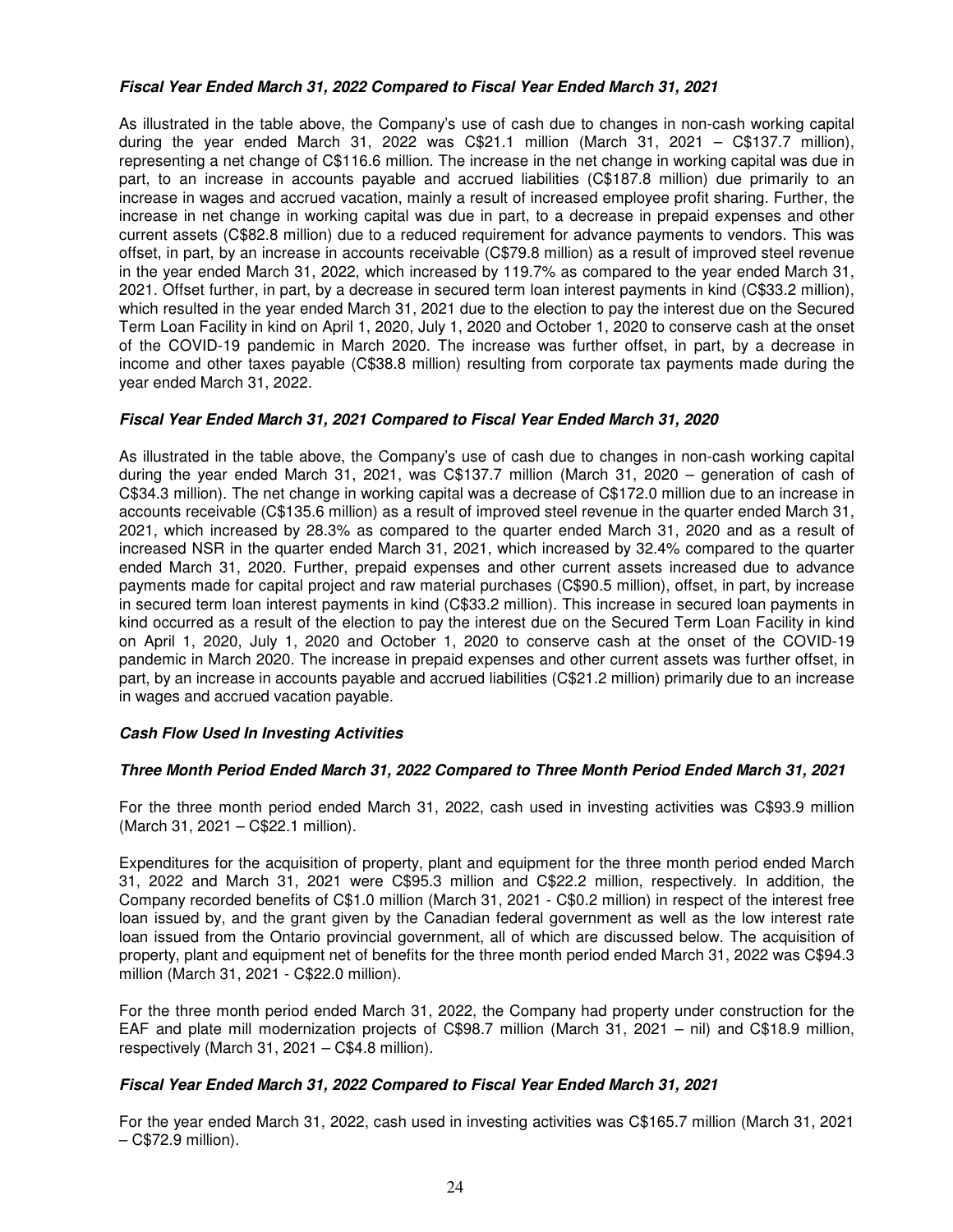# **Fiscal Year Ended March 31, 2022 Compared to Fiscal Year Ended March 31, 2021**

As illustrated in the table above, the Company's use of cash due to changes in non-cash working capital during the year ended March 31, 2022 was C\$21.1 million (March 31, 2021 – C\$137.7 million), representing a net change of C\$116.6 million. The increase in the net change in working capital was due in part, to an increase in accounts payable and accrued liabilities (C\$187.8 million) due primarily to an increase in wages and accrued vacation, mainly a result of increased employee profit sharing. Further, the increase in net change in working capital was due in part, to a decrease in prepaid expenses and other current assets (C\$82.8 million) due to a reduced requirement for advance payments to vendors. This was offset, in part, by an increase in accounts receivable (C\$79.8 million) as a result of improved steel revenue in the year ended March 31, 2022, which increased by 119.7% as compared to the year ended March 31, 2021. Offset further, in part, by a decrease in secured term loan interest payments in kind (C\$33.2 million), which resulted in the year ended March 31, 2021 due to the election to pay the interest due on the Secured Term Loan Facility in kind on April 1, 2020, July 1, 2020 and October 1, 2020 to conserve cash at the onset of the COVID-19 pandemic in March 2020. The increase was further offset, in part, by a decrease in income and other taxes payable (C\$38.8 million) resulting from corporate tax payments made during the year ended March 31, 2022.

# **Fiscal Year Ended March 31, 2021 Compared to Fiscal Year Ended March 31, 2020**

As illustrated in the table above, the Company's use of cash due to changes in non-cash working capital during the year ended March 31, 2021, was C\$137.7 million (March 31, 2020 – generation of cash of C\$34.3 million). The net change in working capital was a decrease of C\$172.0 million due to an increase in accounts receivable (C\$135.6 million) as a result of improved steel revenue in the quarter ended March 31, 2021, which increased by 28.3% as compared to the quarter ended March 31, 2020 and as a result of increased NSR in the quarter ended March 31, 2021, which increased by 32.4% compared to the quarter ended March 31, 2020. Further, prepaid expenses and other current assets increased due to advance payments made for capital project and raw material purchases (C\$90.5 million), offset, in part, by increase in secured term loan interest payments in kind (C\$33.2 million). This increase in secured loan payments in kind occurred as a result of the election to pay the interest due on the Secured Term Loan Facility in kind on April 1, 2020, July 1, 2020 and October 1, 2020 to conserve cash at the onset of the COVID-19 pandemic in March 2020. The increase in prepaid expenses and other current assets was further offset, in part, by an increase in accounts payable and accrued liabilities (C\$21.2 million) primarily due to an increase in wages and accrued vacation payable.

### **Cash Flow Used In Investing Activities**

### **Three Month Period Ended March 31, 2022 Compared to Three Month Period Ended March 31, 2021**

For the three month period ended March 31, 2022, cash used in investing activities was C\$93.9 million (March 31, 2021 – C\$22.1 million).

Expenditures for the acquisition of property, plant and equipment for the three month period ended March 31, 2022 and March 31, 2021 were C\$95.3 million and C\$22.2 million, respectively. In addition, the Company recorded benefits of C\$1.0 million (March 31, 2021 - C\$0.2 million) in respect of the interest free loan issued by, and the grant given by the Canadian federal government as well as the low interest rate loan issued from the Ontario provincial government, all of which are discussed below. The acquisition of property, plant and equipment net of benefits for the three month period ended March 31, 2022 was C\$94.3 million (March 31, 2021 - C\$22.0 million).

For the three month period ended March 31, 2022, the Company had property under construction for the EAF and plate mill modernization projects of C\$98.7 million (March 31, 2021 – nil) and C\$18.9 million, respectively (March 31, 2021 – C\$4.8 million).

### **Fiscal Year Ended March 31, 2022 Compared to Fiscal Year Ended March 31, 2021**

For the year ended March 31, 2022, cash used in investing activities was C\$165.7 million (March 31, 2021 – C\$72.9 million).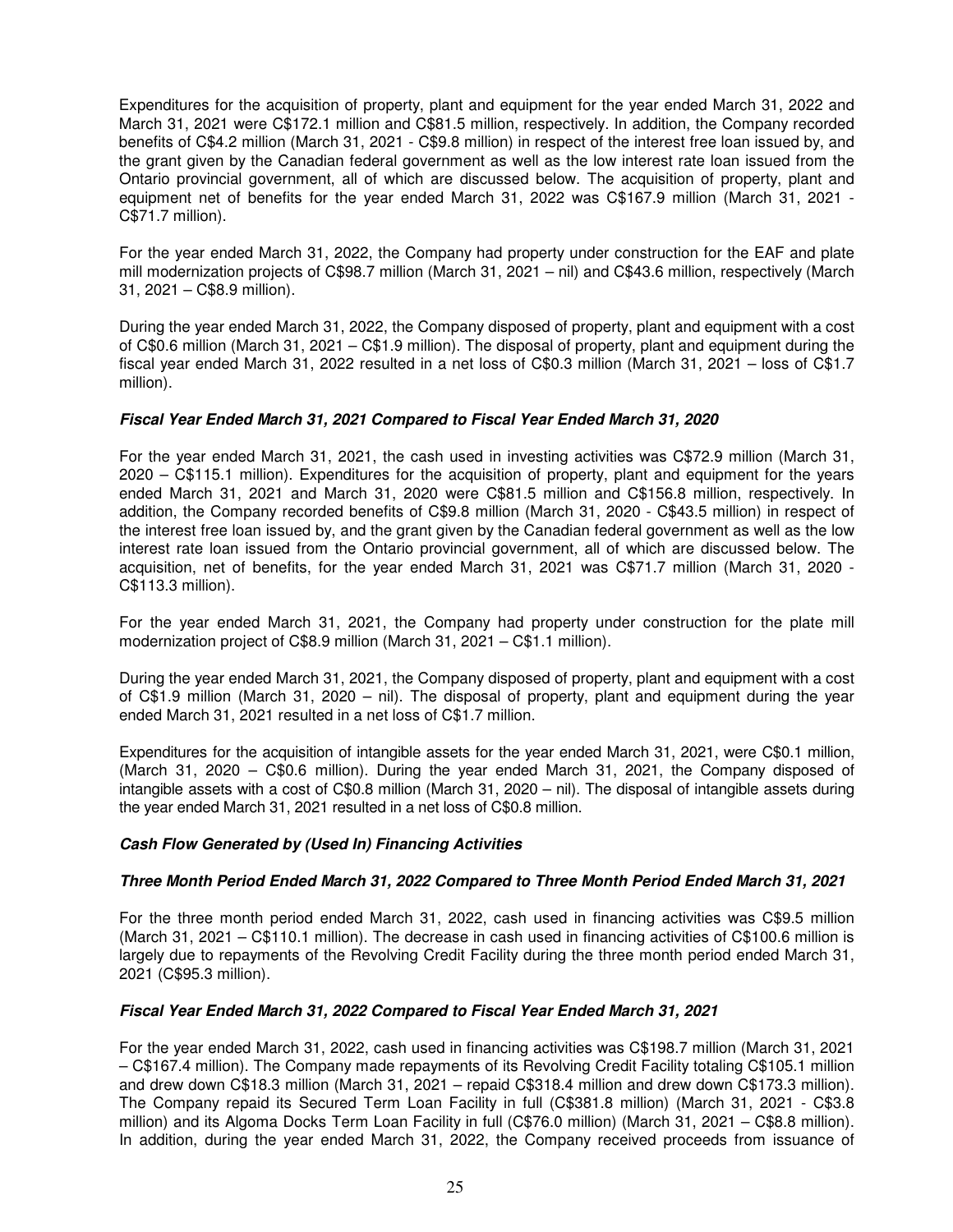Expenditures for the acquisition of property, plant and equipment for the year ended March 31, 2022 and March 31, 2021 were C\$172.1 million and C\$81.5 million, respectively. In addition, the Company recorded benefits of C\$4.2 million (March 31, 2021 - C\$9.8 million) in respect of the interest free loan issued by, and the grant given by the Canadian federal government as well as the low interest rate loan issued from the Ontario provincial government, all of which are discussed below. The acquisition of property, plant and equipment net of benefits for the year ended March 31, 2022 was C\$167.9 million (March 31, 2021 - C\$71.7 million).

For the year ended March 31, 2022, the Company had property under construction for the EAF and plate mill modernization projects of C\$98.7 million (March 31, 2021 – nil) and C\$43.6 million, respectively (March 31, 2021 – C\$8.9 million).

During the year ended March 31, 2022, the Company disposed of property, plant and equipment with a cost of C\$0.6 million (March 31, 2021 – C\$1.9 million). The disposal of property, plant and equipment during the fiscal year ended March 31, 2022 resulted in a net loss of C\$0.3 million (March 31, 2021 – loss of C\$1.7 million).

# **Fiscal Year Ended March 31, 2021 Compared to Fiscal Year Ended March 31, 2020**

For the year ended March 31, 2021, the cash used in investing activities was C\$72.9 million (March 31, 2020 – C\$115.1 million). Expenditures for the acquisition of property, plant and equipment for the years ended March 31, 2021 and March 31, 2020 were C\$81.5 million and C\$156.8 million, respectively. In addition, the Company recorded benefits of C\$9.8 million (March 31, 2020 - C\$43.5 million) in respect of the interest free loan issued by, and the grant given by the Canadian federal government as well as the low interest rate loan issued from the Ontario provincial government, all of which are discussed below. The acquisition, net of benefits, for the year ended March 31, 2021 was C\$71.7 million (March 31, 2020 - C\$113.3 million).

For the year ended March 31, 2021, the Company had property under construction for the plate mill modernization project of C\$8.9 million (March 31, 2021 – C\$1.1 million).

During the year ended March 31, 2021, the Company disposed of property, plant and equipment with a cost of C\$1.9 million (March 31, 2020 – nil). The disposal of property, plant and equipment during the year ended March 31, 2021 resulted in a net loss of C\$1.7 million.

Expenditures for the acquisition of intangible assets for the year ended March 31, 2021, were C\$0.1 million, (March 31, 2020 – C\$0.6 million). During the year ended March 31, 2021, the Company disposed of intangible assets with a cost of C\$0.8 million (March 31, 2020 – nil). The disposal of intangible assets during the year ended March 31, 2021 resulted in a net loss of C\$0.8 million.

### **Cash Flow Generated by (Used In) Financing Activities**

### **Three Month Period Ended March 31, 2022 Compared to Three Month Period Ended March 31, 2021**

For the three month period ended March 31, 2022, cash used in financing activities was C\$9.5 million (March 31, 2021 – C\$110.1 million). The decrease in cash used in financing activities of C\$100.6 million is largely due to repayments of the Revolving Credit Facility during the three month period ended March 31, 2021 (C\$95.3 million).

### **Fiscal Year Ended March 31, 2022 Compared to Fiscal Year Ended March 31, 2021**

For the year ended March 31, 2022, cash used in financing activities was C\$198.7 million (March 31, 2021 – C\$167.4 million). The Company made repayments of its Revolving Credit Facility totaling C\$105.1 million and drew down C\$18.3 million (March 31, 2021 – repaid C\$318.4 million and drew down C\$173.3 million). The Company repaid its Secured Term Loan Facility in full (C\$381.8 million) (March 31, 2021 - C\$3.8 million) and its Algoma Docks Term Loan Facility in full (C\$76.0 million) (March 31, 2021 – C\$8.8 million). In addition, during the year ended March 31, 2022, the Company received proceeds from issuance of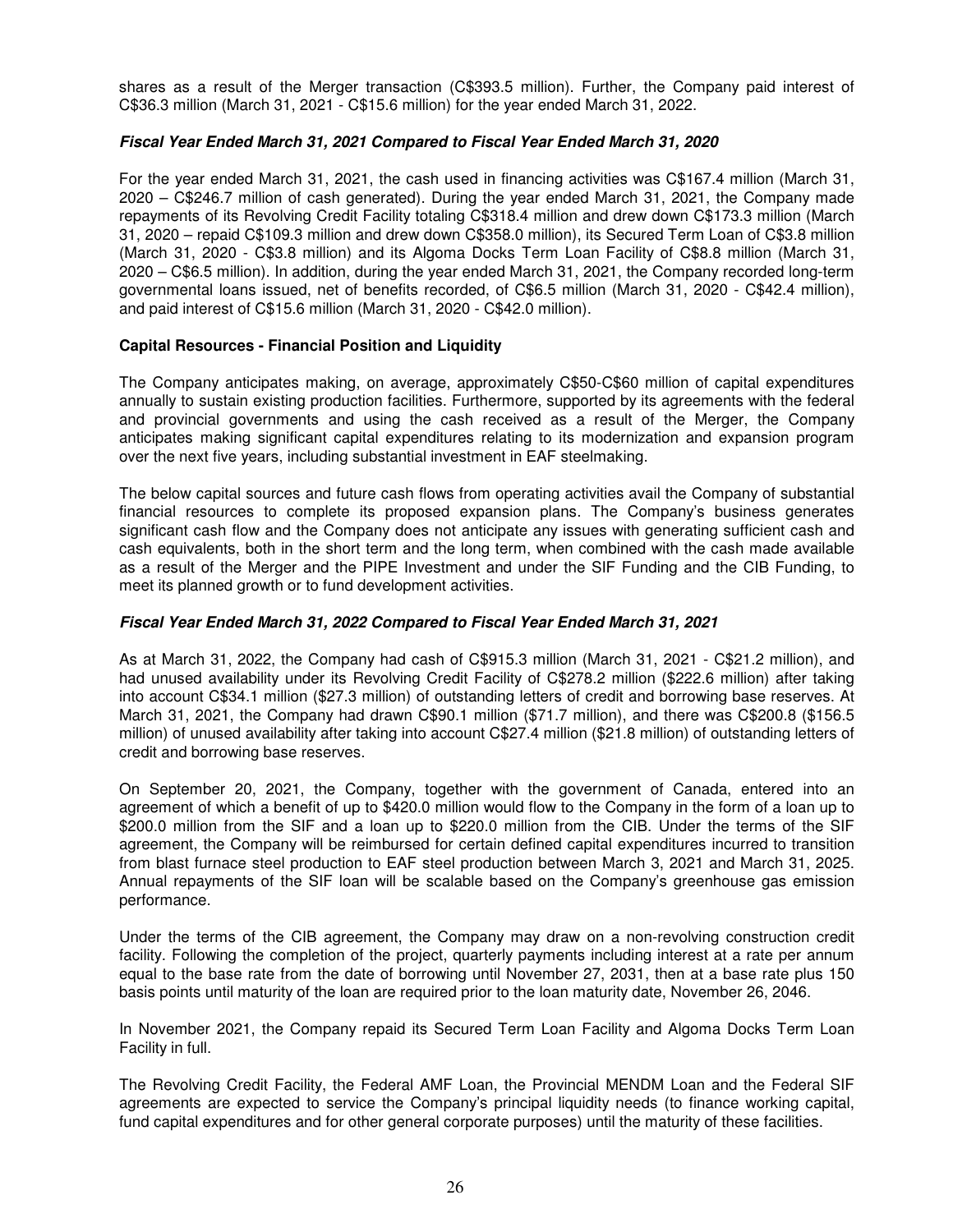shares as a result of the Merger transaction (C\$393.5 million). Further, the Company paid interest of C\$36.3 million (March 31, 2021 - C\$15.6 million) for the year ended March 31, 2022.

# **Fiscal Year Ended March 31, 2021 Compared to Fiscal Year Ended March 31, 2020**

For the year ended March 31, 2021, the cash used in financing activities was C\$167.4 million (March 31, 2020 – C\$246.7 million of cash generated). During the year ended March 31, 2021, the Company made repayments of its Revolving Credit Facility totaling C\$318.4 million and drew down C\$173.3 million (March 31, 2020 – repaid C\$109.3 million and drew down C\$358.0 million), its Secured Term Loan of C\$3.8 million (March 31, 2020 - C\$3.8 million) and its Algoma Docks Term Loan Facility of C\$8.8 million (March 31, 2020 – C\$6.5 million). In addition, during the year ended March 31, 2021, the Company recorded long-term governmental loans issued, net of benefits recorded, of C\$6.5 million (March 31, 2020 - C\$42.4 million), and paid interest of C\$15.6 million (March 31, 2020 - C\$42.0 million).

# **Capital Resources - Financial Position and Liquidity**

The Company anticipates making, on average, approximately C\$50-C\$60 million of capital expenditures annually to sustain existing production facilities. Furthermore, supported by its agreements with the federal and provincial governments and using the cash received as a result of the Merger, the Company anticipates making significant capital expenditures relating to its modernization and expansion program over the next five years, including substantial investment in EAF steelmaking.

The below capital sources and future cash flows from operating activities avail the Company of substantial financial resources to complete its proposed expansion plans. The Company's business generates significant cash flow and the Company does not anticipate any issues with generating sufficient cash and cash equivalents, both in the short term and the long term, when combined with the cash made available as a result of the Merger and the PIPE Investment and under the SIF Funding and the CIB Funding, to meet its planned growth or to fund development activities.

### **Fiscal Year Ended March 31, 2022 Compared to Fiscal Year Ended March 31, 2021**

As at March 31, 2022, the Company had cash of C\$915.3 million (March 31, 2021 - C\$21.2 million), and had unused availability under its Revolving Credit Facility of C\$278.2 million (\$222.6 million) after taking into account C\$34.1 million (\$27.3 million) of outstanding letters of credit and borrowing base reserves. At March 31, 2021, the Company had drawn C\$90.1 million (\$71.7 million), and there was C\$200.8 (\$156.5 million) of unused availability after taking into account C\$27.4 million (\$21.8 million) of outstanding letters of credit and borrowing base reserves.

On September 20, 2021, the Company, together with the government of Canada, entered into an agreement of which a benefit of up to \$420.0 million would flow to the Company in the form of a loan up to \$200.0 million from the SIF and a loan up to \$220.0 million from the CIB. Under the terms of the SIF agreement, the Company will be reimbursed for certain defined capital expenditures incurred to transition from blast furnace steel production to EAF steel production between March 3, 2021 and March 31, 2025. Annual repayments of the SIF loan will be scalable based on the Company's greenhouse gas emission performance.

Under the terms of the CIB agreement, the Company may draw on a non-revolving construction credit facility. Following the completion of the project, quarterly payments including interest at a rate per annum equal to the base rate from the date of borrowing until November 27, 2031, then at a base rate plus 150 basis points until maturity of the loan are required prior to the loan maturity date, November 26, 2046.

In November 2021, the Company repaid its Secured Term Loan Facility and Algoma Docks Term Loan Facility in full.

The Revolving Credit Facility, the Federal AMF Loan, the Provincial MENDM Loan and the Federal SIF agreements are expected to service the Company's principal liquidity needs (to finance working capital, fund capital expenditures and for other general corporate purposes) until the maturity of these facilities.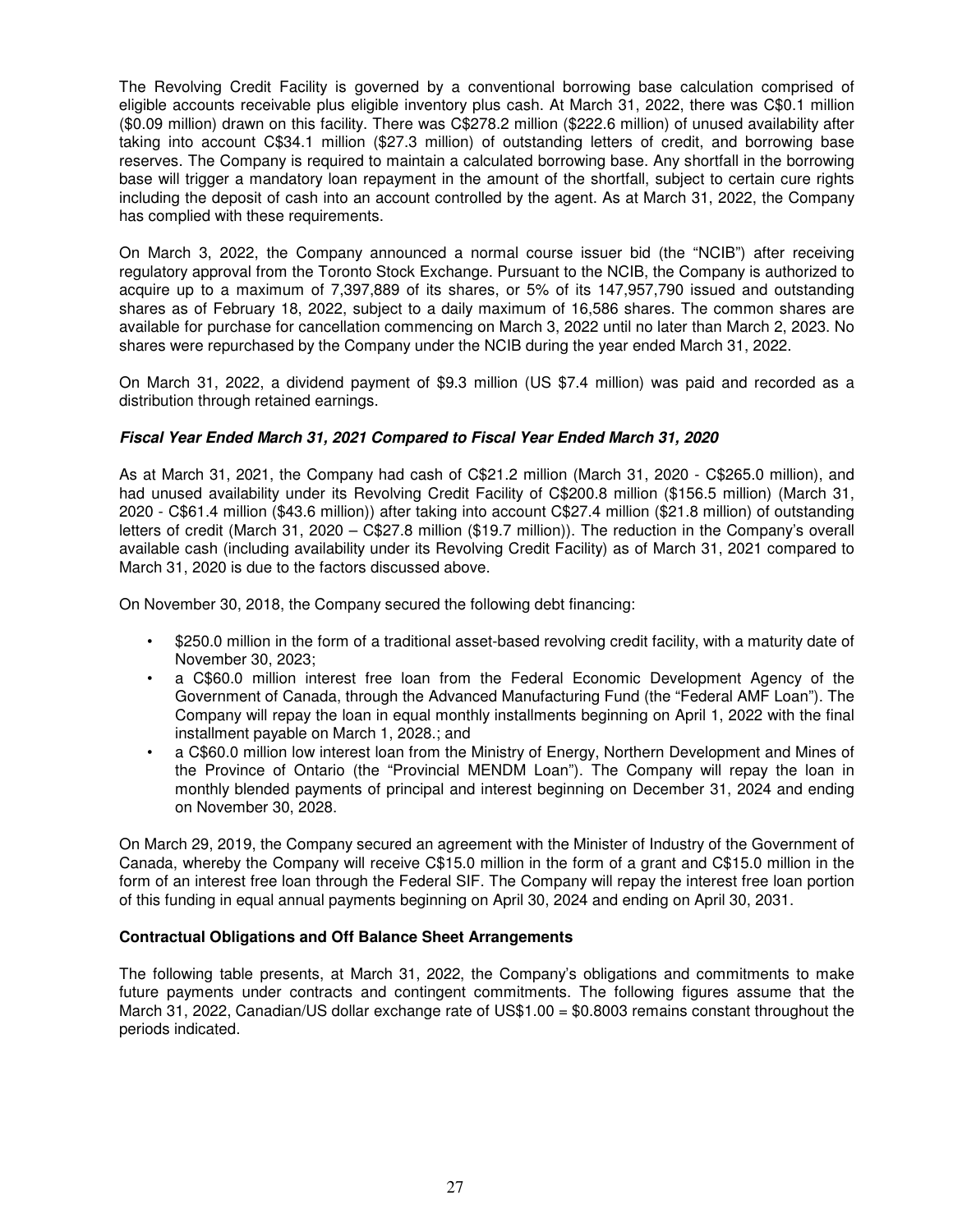The Revolving Credit Facility is governed by a conventional borrowing base calculation comprised of eligible accounts receivable plus eligible inventory plus cash. At March 31, 2022, there was C\$0.1 million (\$0.09 million) drawn on this facility. There was C\$278.2 million (\$222.6 million) of unused availability after taking into account C\$34.1 million (\$27.3 million) of outstanding letters of credit, and borrowing base reserves. The Company is required to maintain a calculated borrowing base. Any shortfall in the borrowing base will trigger a mandatory loan repayment in the amount of the shortfall, subject to certain cure rights including the deposit of cash into an account controlled by the agent. As at March 31, 2022, the Company has complied with these requirements.

On March 3, 2022, the Company announced a normal course issuer bid (the "NCIB") after receiving regulatory approval from the Toronto Stock Exchange. Pursuant to the NCIB, the Company is authorized to acquire up to a maximum of 7,397,889 of its shares, or 5% of its 147,957,790 issued and outstanding shares as of February 18, 2022, subject to a daily maximum of 16,586 shares. The common shares are available for purchase for cancellation commencing on March 3, 2022 until no later than March 2, 2023. No shares were repurchased by the Company under the NCIB during the year ended March 31, 2022.

On March 31, 2022, a dividend payment of \$9.3 million (US \$7.4 million) was paid and recorded as a distribution through retained earnings.

# **Fiscal Year Ended March 31, 2021 Compared to Fiscal Year Ended March 31, 2020**

As at March 31, 2021, the Company had cash of C\$21.2 million (March 31, 2020 - C\$265.0 million), and had unused availability under its Revolving Credit Facility of C\$200.8 million (\$156.5 million) (March 31, 2020 - C\$61.4 million (\$43.6 million)) after taking into account C\$27.4 million (\$21.8 million) of outstanding letters of credit (March 31, 2020 – C\$27.8 million (\$19.7 million)). The reduction in the Company's overall available cash (including availability under its Revolving Credit Facility) as of March 31, 2021 compared to March 31, 2020 is due to the factors discussed above.

On November 30, 2018, the Company secured the following debt financing:

- \$250.0 million in the form of a traditional asset-based revolving credit facility, with a maturity date of November 30, 2023;
- a C\$60.0 million interest free loan from the Federal Economic Development Agency of the Government of Canada, through the Advanced Manufacturing Fund (the "Federal AMF Loan"). The Company will repay the loan in equal monthly installments beginning on April 1, 2022 with the final installment payable on March 1, 2028.; and
- a C\$60.0 million low interest loan from the Ministry of Energy, Northern Development and Mines of the Province of Ontario (the "Provincial MENDM Loan"). The Company will repay the loan in monthly blended payments of principal and interest beginning on December 31, 2024 and ending on November 30, 2028.

On March 29, 2019, the Company secured an agreement with the Minister of Industry of the Government of Canada, whereby the Company will receive C\$15.0 million in the form of a grant and C\$15.0 million in the form of an interest free loan through the Federal SIF. The Company will repay the interest free loan portion of this funding in equal annual payments beginning on April 30, 2024 and ending on April 30, 2031.

### **Contractual Obligations and Off Balance Sheet Arrangements**

The following table presents, at March 31, 2022, the Company's obligations and commitments to make future payments under contracts and contingent commitments. The following figures assume that the March 31, 2022, Canadian/US dollar exchange rate of US\$1.00 = \$0.8003 remains constant throughout the periods indicated.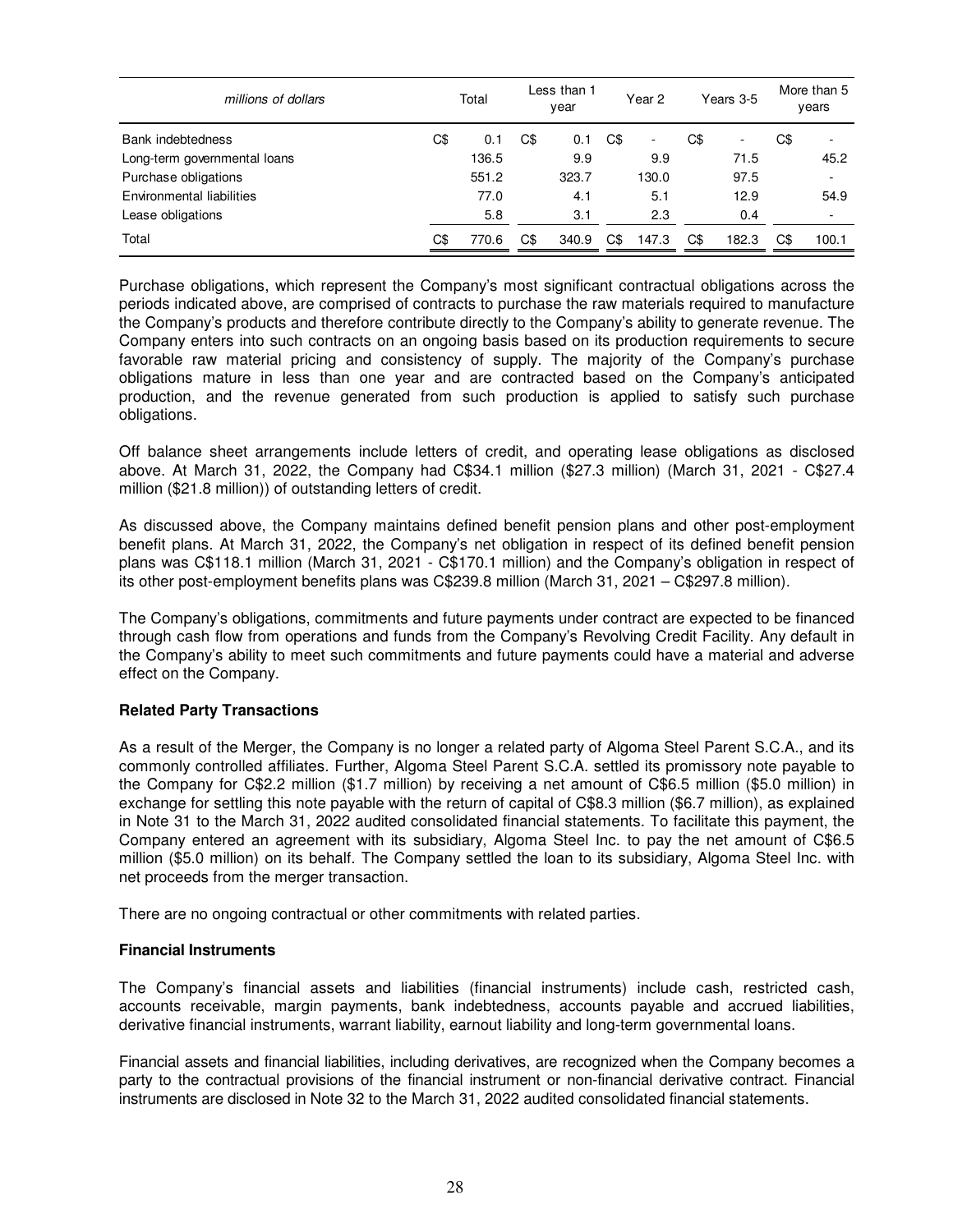| millions of dollars          | Total |       | Less than 1<br>year |       | Year 2 |       | Years 3-5 |       | More than 5<br>years |       |  |
|------------------------------|-------|-------|---------------------|-------|--------|-------|-----------|-------|----------------------|-------|--|
| Bank indebtedness            | C\$   | 0.1   | C\$                 | 0.1   | C\$    | ٠     | C\$       | ۰     | C\$                  | ٠     |  |
| Long-term governmental loans |       | 136.5 |                     | 9.9   |        | 9.9   |           | 71.5  |                      | 45.2  |  |
| Purchase obligations         |       | 551.2 |                     | 323.7 |        | 130.0 |           | 97.5  |                      |       |  |
| Environmental liabilities    |       | 77.0  |                     | 4.1   |        | 5.1   |           | 12.9  |                      | 54.9  |  |
| Lease obligations            |       | 5.8   |                     | 3.1   |        | 2.3   |           | 0.4   |                      | ٠     |  |
| Total                        | C\$   | 770.6 | C\$                 | 340.9 | C\$    | 147.3 | C\$       | 182.3 | C\$                  | 100.1 |  |

Purchase obligations, which represent the Company's most significant contractual obligations across the periods indicated above, are comprised of contracts to purchase the raw materials required to manufacture the Company's products and therefore contribute directly to the Company's ability to generate revenue. The Company enters into such contracts on an ongoing basis based on its production requirements to secure favorable raw material pricing and consistency of supply. The majority of the Company's purchase obligations mature in less than one year and are contracted based on the Company's anticipated production, and the revenue generated from such production is applied to satisfy such purchase obligations.

Off balance sheet arrangements include letters of credit, and operating lease obligations as disclosed above. At March 31, 2022, the Company had C\$34.1 million (\$27.3 million) (March 31, 2021 - C\$27.4 million (\$21.8 million)) of outstanding letters of credit.

As discussed above, the Company maintains defined benefit pension plans and other post-employment benefit plans. At March 31, 2022, the Company's net obligation in respect of its defined benefit pension plans was C\$118.1 million (March 31, 2021 - C\$170.1 million) and the Company's obligation in respect of its other post-employment benefits plans was C\$239.8 million (March 31, 2021 – C\$297.8 million).

The Company's obligations, commitments and future payments under contract are expected to be financed through cash flow from operations and funds from the Company's Revolving Credit Facility. Any default in the Company's ability to meet such commitments and future payments could have a material and adverse effect on the Company.

# **Related Party Transactions**

As a result of the Merger, the Company is no longer a related party of Algoma Steel Parent S.C.A., and its commonly controlled affiliates. Further, Algoma Steel Parent S.C.A. settled its promissory note payable to the Company for C\$2.2 million (\$1.7 million) by receiving a net amount of C\$6.5 million (\$5.0 million) in exchange for settling this note payable with the return of capital of C\$8.3 million (\$6.7 million), as explained in Note 31 to the March 31, 2022 audited consolidated financial statements. To facilitate this payment, the Company entered an agreement with its subsidiary, Algoma Steel Inc. to pay the net amount of C\$6.5 million (\$5.0 million) on its behalf. The Company settled the loan to its subsidiary, Algoma Steel Inc. with net proceeds from the merger transaction.

There are no ongoing contractual or other commitments with related parties.

### **Financial Instruments**

The Company's financial assets and liabilities (financial instruments) include cash, restricted cash, accounts receivable, margin payments, bank indebtedness, accounts payable and accrued liabilities, derivative financial instruments, warrant liability, earnout liability and long-term governmental loans.

Financial assets and financial liabilities, including derivatives, are recognized when the Company becomes a party to the contractual provisions of the financial instrument or non-financial derivative contract. Financial instruments are disclosed in Note 32 to the March 31, 2022 audited consolidated financial statements.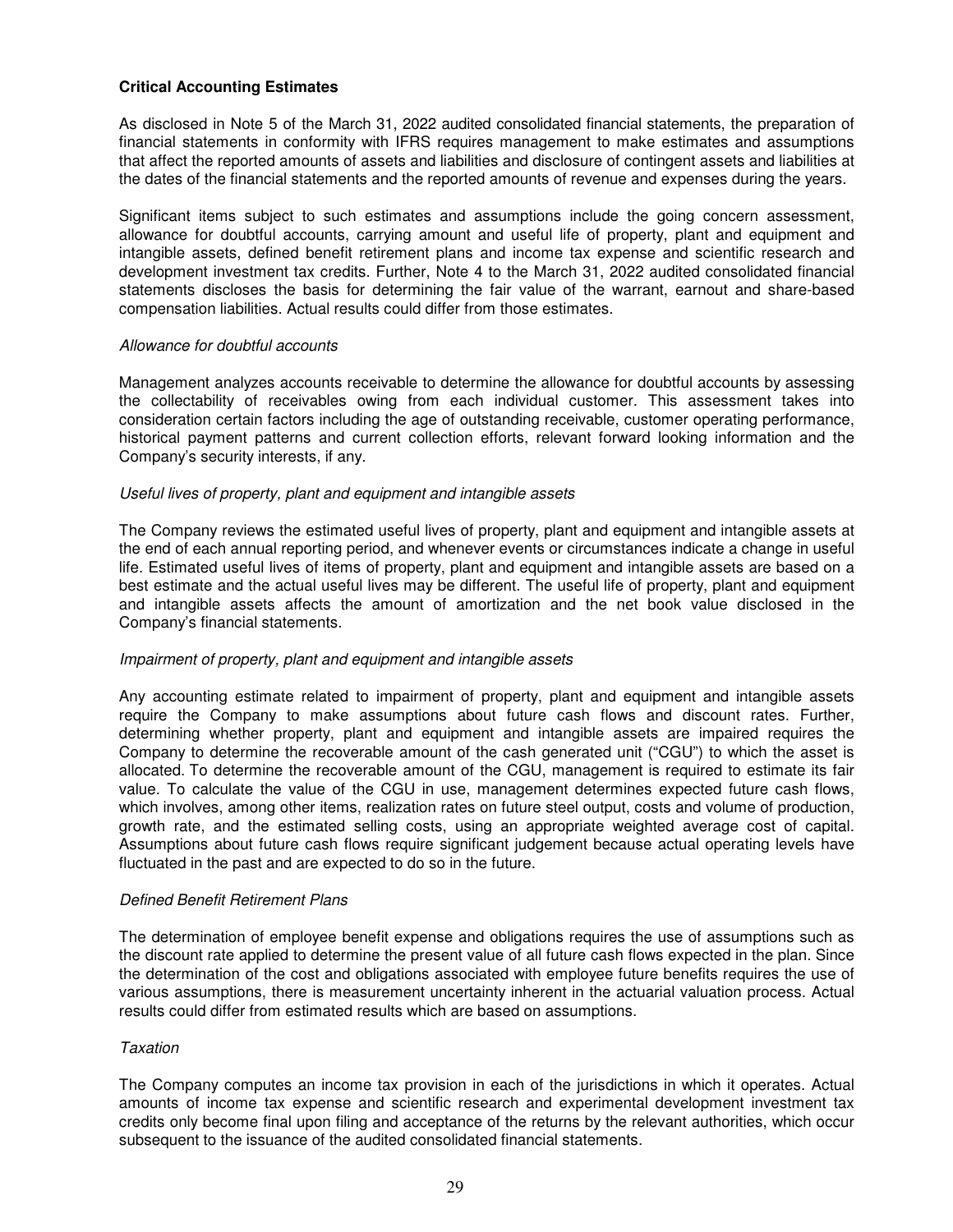# **Critical Accounting Estimates**

As disclosed in Note 5 of the March 31, 2022 audited consolidated financial statements, the preparation of financial statements in conformity with IFRS requires management to make estimates and assumptions that affect the reported amounts of assets and liabilities and disclosure of contingent assets and liabilities at the dates of the financial statements and the reported amounts of revenue and expenses during the years.

Significant items subject to such estimates and assumptions include the going concern assessment, allowance for doubtful accounts, carrying amount and useful life of property, plant and equipment and intangible assets, defined benefit retirement plans and income tax expense and scientific research and development investment tax credits. Further, Note 4 to the March 31, 2022 audited consolidated financial statements discloses the basis for determining the fair value of the warrant, earnout and share-based compensation liabilities. Actual results could differ from those estimates.

### *Allowance for doubtful accounts*

Management analyzes accounts receivable to determine the allowance for doubtful accounts by assessing the collectability of receivables owing from each individual customer. This assessment takes into consideration certain factors including the age of outstanding receivable, customer operating performance, historical payment patterns and current collection efforts, relevant forward looking information and the Company's security interests, if any.

### *Useful lives of property, plant and equipment and intangible assets*

The Company reviews the estimated useful lives of property, plant and equipment and intangible assets at the end of each annual reporting period, and whenever events or circumstances indicate a change in useful life. Estimated useful lives of items of property, plant and equipment and intangible assets are based on a best estimate and the actual useful lives may be different. The useful life of property, plant and equipment and intangible assets affects the amount of amortization and the net book value disclosed in the Company's financial statements.

### *Impairment of property, plant and equipment and intangible assets*

Any accounting estimate related to impairment of property, plant and equipment and intangible assets require the Company to make assumptions about future cash flows and discount rates. Further, determining whether property, plant and equipment and intangible assets are impaired requires the Company to determine the recoverable amount of the cash generated unit ("CGU") to which the asset is allocated. To determine the recoverable amount of the CGU, management is required to estimate its fair value. To calculate the value of the CGU in use, management determines expected future cash flows, which involves, among other items, realization rates on future steel output, costs and volume of production, growth rate, and the estimated selling costs, using an appropriate weighted average cost of capital. Assumptions about future cash flows require significant judgement because actual operating levels have fluctuated in the past and are expected to do so in the future.

### *Defined Benefit Retirement Plans*

The determination of employee benefit expense and obligations requires the use of assumptions such as the discount rate applied to determine the present value of all future cash flows expected in the plan. Since the determination of the cost and obligations associated with employee future benefits requires the use of various assumptions, there is measurement uncertainty inherent in the actuarial valuation process. Actual results could differ from estimated results which are based on assumptions.

### *Taxation*

The Company computes an income tax provision in each of the jurisdictions in which it operates. Actual amounts of income tax expense and scientific research and experimental development investment tax credits only become final upon filing and acceptance of the returns by the relevant authorities, which occur subsequent to the issuance of the audited consolidated financial statements.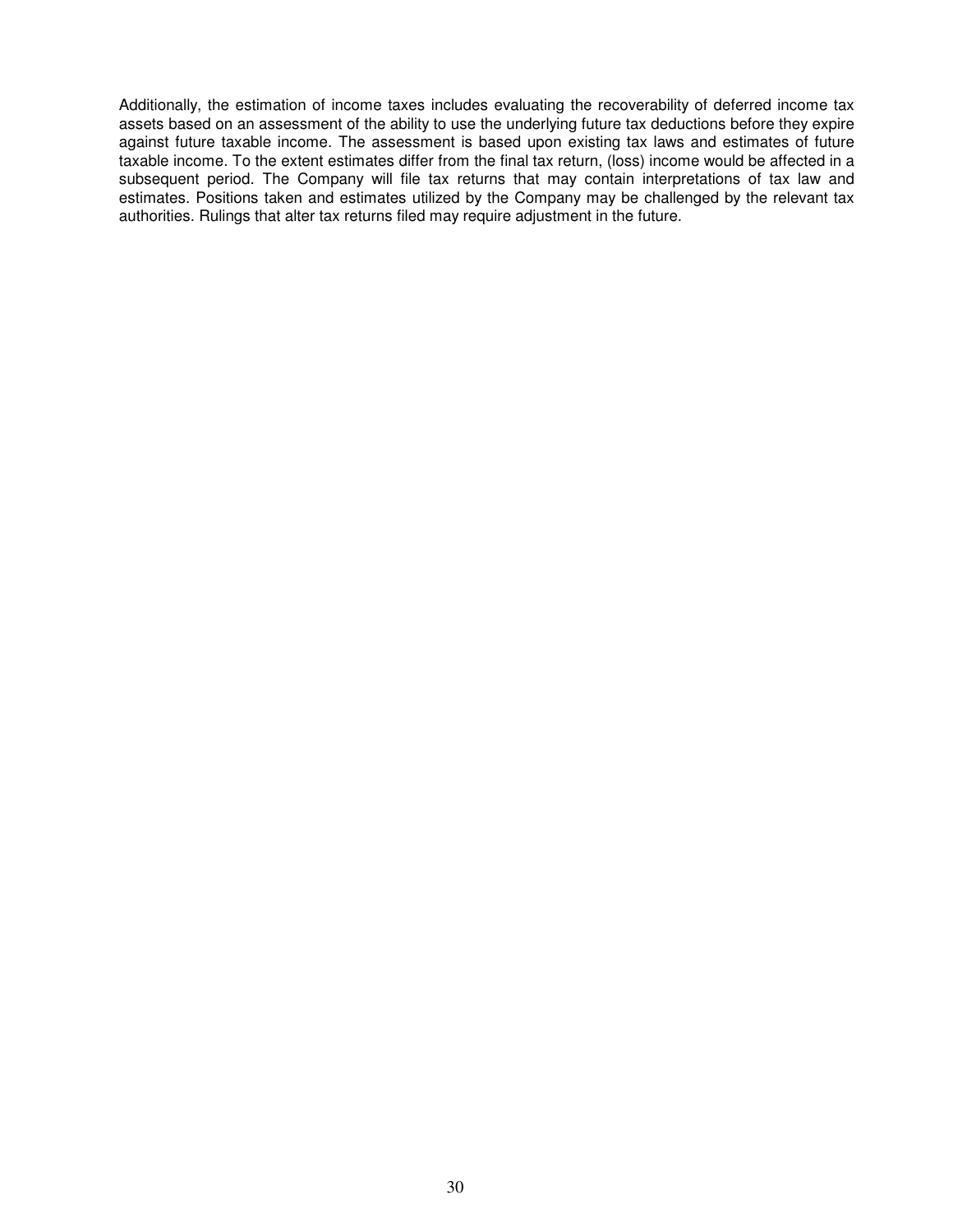Additionally, the estimation of income taxes includes evaluating the recoverability of deferred income tax assets based on an assessment of the ability to use the underlying future tax deductions before they expire against future taxable income. The assessment is based upon existing tax laws and estimates of future taxable income. To the extent estimates differ from the final tax return, (loss) income would be affected in a subsequent period. The Company will file tax returns that may contain interpretations of tax law and estimates. Positions taken and estimates utilized by the Company may be challenged by the relevant tax authorities. Rulings that alter tax returns filed may require adjustment in the future.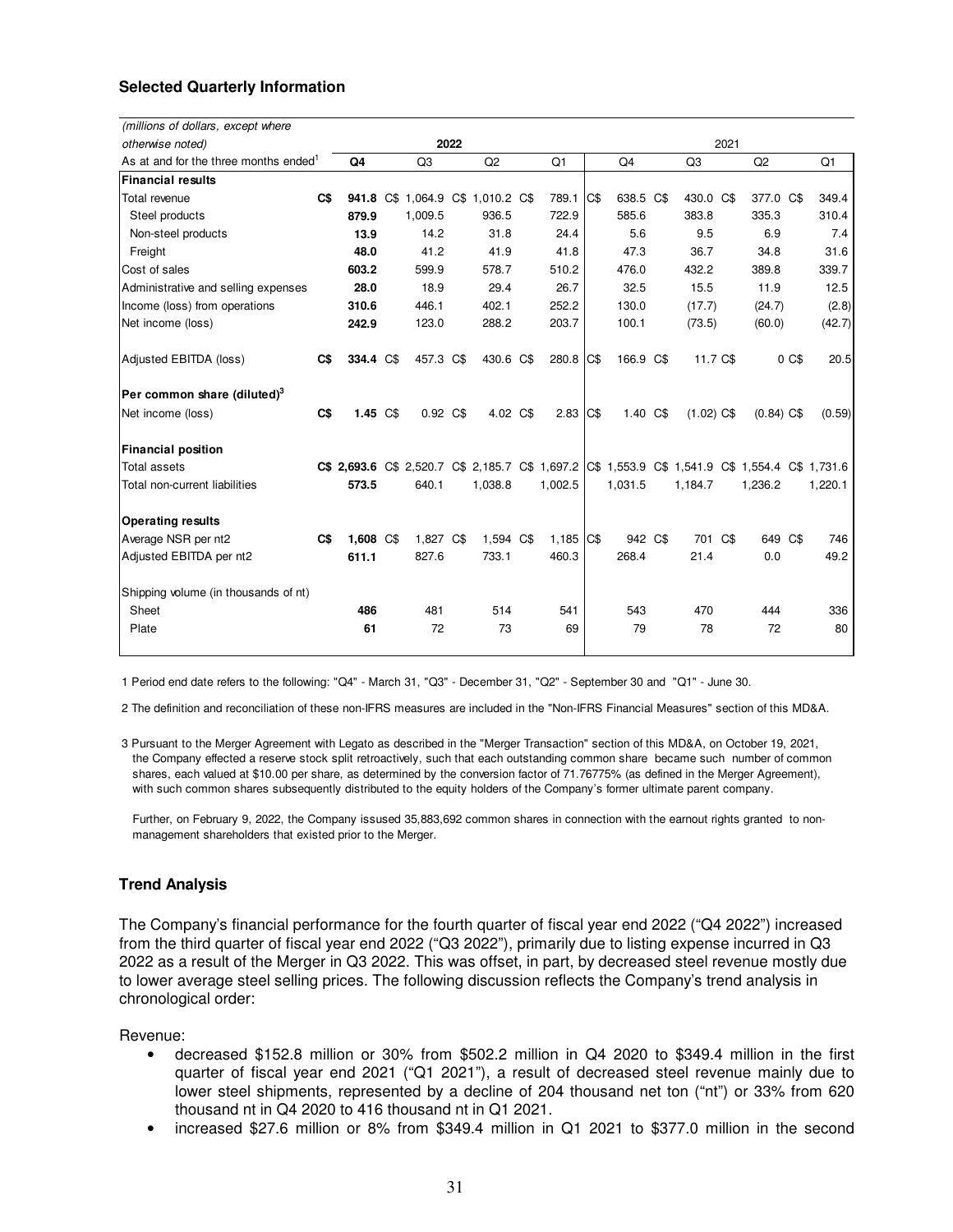# **Selected Quarterly Information**

| (millions of dollars, except where                |                |              |  |                                   |  |           |  |         |      |           |     |                                                                                                 |              |       |         |
|---------------------------------------------------|----------------|--------------|--|-----------------------------------|--|-----------|--|---------|------|-----------|-----|-------------------------------------------------------------------------------------------------|--------------|-------|---------|
| otherwise noted)                                  |                | 2021<br>2022 |  |                                   |  |           |  |         |      |           |     |                                                                                                 |              |       |         |
| As at and for the three months ended <sup>1</sup> |                | Q4           |  | Q <sub>3</sub>                    |  | Q2        |  | Q1      |      | Q4        |     | Q3                                                                                              | Q2           |       | Q1      |
| Financial results                                 |                |              |  |                                   |  |           |  |         |      |           |     |                                                                                                 |              |       |         |
| Total revenue                                     | c <sub>s</sub> |              |  | 941.8 C\$ 1,064.9 C\$ 1,010.2 C\$ |  |           |  | 789.1   | C\$  | 638.5 C\$ |     | 430.0 C\$                                                                                       | 377.0 C\$    |       | 349.4   |
| Steel products                                    |                | 879.9        |  | 1,009.5                           |  | 936.5     |  | 722.9   |      | 585.6     |     | 383.8                                                                                           | 335.3        |       | 310.4   |
| Non-steel products                                |                | 13.9         |  | 14.2                              |  | 31.8      |  | 24.4    |      | 5.6       |     | 9.5                                                                                             | 6.9          |       | 7.4     |
| Freight                                           |                | 48.0         |  | 41.2                              |  | 41.9      |  | 41.8    |      | 47.3      |     | 36.7                                                                                            | 34.8         |       | 31.6    |
| Cost of sales                                     |                | 603.2        |  | 599.9                             |  | 578.7     |  | 510.2   |      | 476.0     |     | 432.2                                                                                           | 389.8        |       | 339.7   |
| Administrative and selling expenses               |                | 28.0         |  | 18.9                              |  | 29.4      |  | 26.7    |      | 32.5      |     | 15.5                                                                                            | 11.9         |       | 12.5    |
| Income (loss) from operations                     |                | 310.6        |  | 446.1                             |  | 402.1     |  | 252.2   |      | 130.0     |     | (17.7)                                                                                          | (24.7)       |       | (2.8)   |
| Net income (loss)                                 |                | 242.9        |  | 123.0                             |  | 288.2     |  | 203.7   |      | 100.1     |     | (73.5)                                                                                          | (60.0)       |       | (42.7)  |
| Adjusted EBITDA (loss)                            | C\$            | 334.4 C\$    |  | 457.3 C\$                         |  | 430.6 C\$ |  | 280.8   | IC\$ | 166.9     | C\$ | 11.7 C\$                                                                                        |              | 0 C\$ | 20.5    |
| Per common share (diluted) $3$                    |                |              |  |                                   |  |           |  |         |      |           |     |                                                                                                 |              |       |         |
| Net income (loss)                                 | C\$            | 1.45 C\$     |  | 0.92 C\$                          |  | 4.02 C\$  |  | 2.83    | C\$  | 1.40 C\$  |     | $(1.02)$ C\$                                                                                    | $(0.84)$ C\$ |       | (0.59)  |
| <b>Financial position</b>                         |                |              |  |                                   |  |           |  |         |      |           |     |                                                                                                 |              |       |         |
| Total assets                                      |                |              |  |                                   |  |           |  |         |      |           |     | C\$ 2,693.6 C\$ 2,520.7 C\$ 2,185.7 C\$ 1,697.2 C\$ 1,553.9 C\$ 1,541.9 C\$ 1,554.4 C\$ 1,731.6 |              |       |         |
| Total non-current liabilities                     |                | 573.5        |  | 640.1                             |  | 1,038.8   |  | 1,002.5 |      | 1,031.5   |     | 1,184.7                                                                                         | 1,236.2      |       | 1,220.1 |
| <b>Operating results</b>                          |                |              |  |                                   |  |           |  |         |      |           |     |                                                                                                 |              |       |         |
| Average NSR per nt2                               | $\mathbf{C}$   | 1.608 C\$    |  | 1.827 C\$                         |  | 1,594 C\$ |  | 1,185   | C\$  | 942 C\$   |     | 701 C\$                                                                                         | 649 C\$      |       | 746     |
| Adjusted EBITDA per nt2                           |                | 611.1        |  | 827.6                             |  | 733.1     |  | 460.3   |      | 268.4     |     | 21.4                                                                                            | 0.0          |       | 49.2    |
| Shipping volume (in thousands of nt)              |                |              |  |                                   |  |           |  |         |      |           |     |                                                                                                 |              |       |         |
| Sheet                                             |                | 486          |  | 481                               |  | 514       |  | 541     |      | 543       |     | 470                                                                                             | 444          |       | 336     |
| Plate                                             |                | 61           |  | 72                                |  | 73        |  | 69      |      | 79        |     | 78                                                                                              | 72           |       | 80      |
|                                                   |                |              |  |                                   |  |           |  |         |      |           |     |                                                                                                 |              |       |         |

1 Period end date refers to the following: "Q4" - March 31, "Q3" - December 31, "Q2" - September 30 and "Q1" - June 30.

2 The definition and reconciliation of these non-IFRS measures are included in the "Non-IFRS Financial Measures" section of this MD&A.

3 Pursuant to the Merger Agreement with Legato as described in the "Merger Transaction" section of this MD&A, on October 19, 2021, the Company effected a reserve stock split retroactively, such that each outstanding common share became such number of common shares, each valued at \$10.00 per share, as determined by the conversion factor of 71.76775% (as defined in the Merger Agreement), with such common shares subsequently distributed to the equity holders of the Company's former ultimate parent company.

 Further, on February 9, 2022, the Company issused 35,883,692 common shares in connection with the earnout rights granted to non management shareholders that existed prior to the Merger.

### **Trend Analysis**

The Company's financial performance for the fourth quarter of fiscal year end 2022 ("Q4 2022") increased from the third quarter of fiscal year end 2022 ("Q3 2022"), primarily due to listing expense incurred in Q3 2022 as a result of the Merger in Q3 2022. This was offset, in part, by decreased steel revenue mostly due to lower average steel selling prices. The following discussion reflects the Company's trend analysis in chronological order:

Revenue:

- decreased \$152.8 million or 30% from \$502.2 million in Q4 2020 to \$349.4 million in the first quarter of fiscal year end 2021 ("Q1 2021"), a result of decreased steel revenue mainly due to lower steel shipments, represented by a decline of 204 thousand net ton ("nt") or 33% from 620 thousand nt in Q4 2020 to 416 thousand nt in Q1 2021.
- increased \$27.6 million or 8% from \$349.4 million in Q1 2021 to \$377.0 million in the second